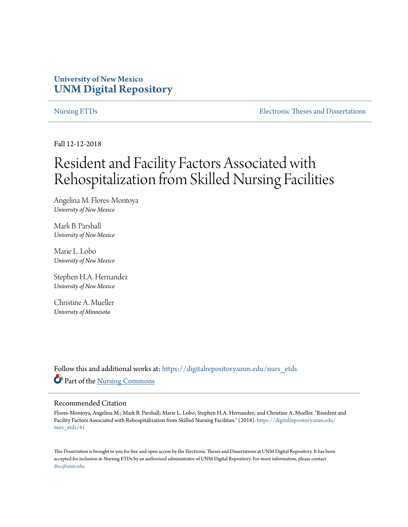# **University of New Mexico [UNM Digital Repository](https://digitalrepository.unm.edu?utm_source=digitalrepository.unm.edu%2Fnurs_etds%2F41&utm_medium=PDF&utm_campaign=PDFCoverPages)**

[Nursing ETDs](https://digitalrepository.unm.edu/nurs_etds?utm_source=digitalrepository.unm.edu%2Fnurs_etds%2F41&utm_medium=PDF&utm_campaign=PDFCoverPages) **[Electronic Theses and Dissertations](https://digitalrepository.unm.edu/etds?utm_source=digitalrepository.unm.edu%2Fnurs_etds%2F41&utm_medium=PDF&utm_campaign=PDFCoverPages)** 

Fall 12-12-2018

# Resident and Facility Factors Associated with Rehospitalization from Skilled Nursing Facilities

Angelina M. Flores-Montoya *University of New Mexico*

Mark B. Parshall *University of New Mexico*

Marie L. Lobo *University of New Mexico*

Stephen H.A. Hernandez *University of New Mexico*

Christine A. Mueller *University of Minnesota*

Follow this and additional works at: [https://digitalrepository.unm.edu/nurs\\_etds](https://digitalrepository.unm.edu/nurs_etds?utm_source=digitalrepository.unm.edu%2Fnurs_etds%2F41&utm_medium=PDF&utm_campaign=PDFCoverPages) Part of the [Nursing Commons](http://network.bepress.com/hgg/discipline/718?utm_source=digitalrepository.unm.edu%2Fnurs_etds%2F41&utm_medium=PDF&utm_campaign=PDFCoverPages)

#### Recommended Citation

Flores-Montoya, Angelina M.; Mark B. Parshall; Marie L. Lobo; Stephen H.A. Hernandez; and Christine A. Mueller. "Resident and Facility Factors Associated with Rehospitalization from Skilled Nursing Facilities." (2018). [https://digitalrepository.unm.edu/](https://digitalrepository.unm.edu/nurs_etds/41?utm_source=digitalrepository.unm.edu%2Fnurs_etds%2F41&utm_medium=PDF&utm_campaign=PDFCoverPages) [nurs\\_etds/41](https://digitalrepository.unm.edu/nurs_etds/41?utm_source=digitalrepository.unm.edu%2Fnurs_etds%2F41&utm_medium=PDF&utm_campaign=PDFCoverPages)

This Dissertation is brought to you for free and open access by the Electronic Theses and Dissertations at UNM Digital Repository. It has been accepted for inclusion in Nursing ETDs by an authorized administrator of UNM Digital Repository. For more information, please contact [disc@unm.edu](mailto:disc@unm.edu).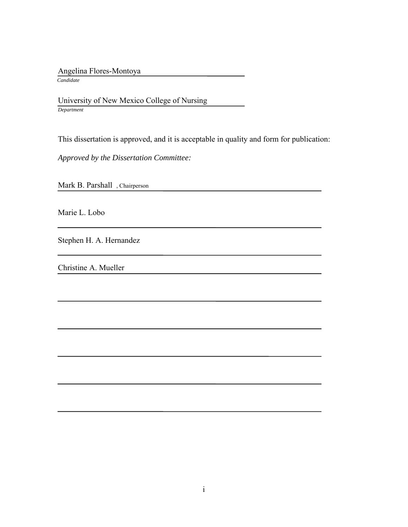Angelina Flores-Montoya

 *Candidate*

 University of New Mexico College of Nursing *Department*

This dissertation is approved, and it is acceptable in quality and form for publication:

*Approved by the Dissertation Committee:*

Mark B. Parshall , Chairperson

Marie L. Lobo

Stephen H. A. Hernandez

Christine A. Mueller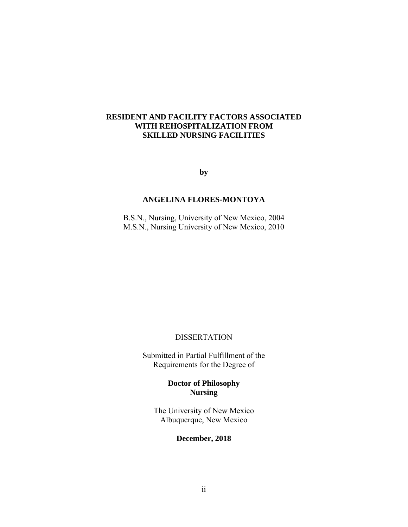#### **RESIDENT AND FACILITY FACTORS ASSOCIATED WITH REHOSPITALIZATION FROM SKILLED NURSING FACILITIES**

**by** 

#### **ANGELINA FLORES-MONTOYA**

B.S.N., Nursing, University of New Mexico, 2004 M.S.N., Nursing University of New Mexico, 2010

### **DISSERTATION**

Submitted in Partial Fulfillment of the Requirements for the Degree of

> **Doctor of Philosophy Nursing**

The University of New Mexico Albuquerque, New Mexico

#### **December, 2018**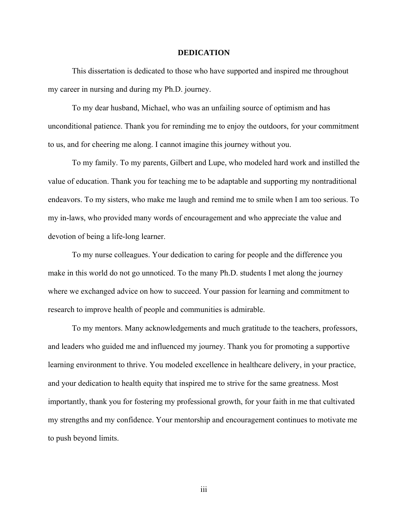#### **DEDICATION**

This dissertation is dedicated to those who have supported and inspired me throughout my career in nursing and during my Ph.D. journey.

 To my dear husband, Michael, who was an unfailing source of optimism and has unconditional patience. Thank you for reminding me to enjoy the outdoors, for your commitment to us, and for cheering me along. I cannot imagine this journey without you.

 To my family. To my parents, Gilbert and Lupe, who modeled hard work and instilled the value of education. Thank you for teaching me to be adaptable and supporting my nontraditional endeavors. To my sisters, who make me laugh and remind me to smile when I am too serious. To my in-laws, who provided many words of encouragement and who appreciate the value and devotion of being a life-long learner.

 To my nurse colleagues. Your dedication to caring for people and the difference you make in this world do not go unnoticed. To the many Ph.D. students I met along the journey where we exchanged advice on how to succeed. Your passion for learning and commitment to research to improve health of people and communities is admirable.

 To my mentors. Many acknowledgements and much gratitude to the teachers, professors, and leaders who guided me and influenced my journey. Thank you for promoting a supportive learning environment to thrive. You modeled excellence in healthcare delivery, in your practice, and your dedication to health equity that inspired me to strive for the same greatness. Most importantly, thank you for fostering my professional growth, for your faith in me that cultivated my strengths and my confidence. Your mentorship and encouragement continues to motivate me to push beyond limits.

iii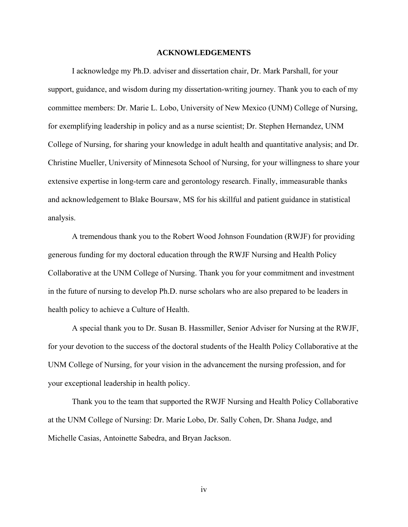#### **ACKNOWLEDGEMENTS**

 I acknowledge my Ph.D. adviser and dissertation chair, Dr. Mark Parshall, for your support, guidance, and wisdom during my dissertation-writing journey. Thank you to each of my committee members: Dr. Marie L. Lobo, University of New Mexico (UNM) College of Nursing, for exemplifying leadership in policy and as a nurse scientist; Dr. Stephen Hernandez, UNM College of Nursing, for sharing your knowledge in adult health and quantitative analysis; and Dr. Christine Mueller, University of Minnesota School of Nursing, for your willingness to share your extensive expertise in long-term care and gerontology research. Finally, immeasurable thanks and acknowledgement to Blake Boursaw, MS for his skillful and patient guidance in statistical analysis.

 A tremendous thank you to the Robert Wood Johnson Foundation (RWJF) for providing generous funding for my doctoral education through the RWJF Nursing and Health Policy Collaborative at the UNM College of Nursing. Thank you for your commitment and investment in the future of nursing to develop Ph.D. nurse scholars who are also prepared to be leaders in health policy to achieve a Culture of Health.

A special thank you to Dr. Susan B. Hassmiller, Senior Adviser for Nursing at the RWJF, for your devotion to the success of the doctoral students of the Health Policy Collaborative at the UNM College of Nursing, for your vision in the advancement the nursing profession, and for your exceptional leadership in health policy.

 Thank you to the team that supported the RWJF Nursing and Health Policy Collaborative at the UNM College of Nursing: Dr. Marie Lobo, Dr. Sally Cohen, Dr. Shana Judge, and Michelle Casias, Antoinette Sabedra, and Bryan Jackson.

iv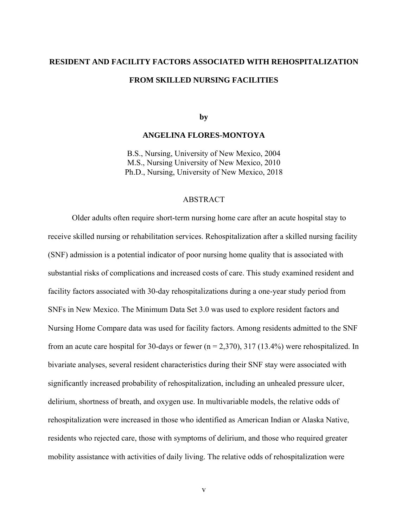#### **RESIDENT AND FACILITY FACTORS ASSOCIATED WITH REHOSPITALIZATION**

#### **FROM SKILLED NURSING FACILITIES**

**by** 

#### **ANGELINA FLORES-MONTOYA**

B.S., Nursing, University of New Mexico, 2004 M.S., Nursing University of New Mexico, 2010 Ph.D., Nursing, University of New Mexico, 2018

#### ABSTRACT

Older adults often require short-term nursing home care after an acute hospital stay to receive skilled nursing or rehabilitation services. Rehospitalization after a skilled nursing facility (SNF) admission is a potential indicator of poor nursing home quality that is associated with substantial risks of complications and increased costs of care. This study examined resident and facility factors associated with 30-day rehospitalizations during a one-year study period from SNFs in New Mexico. The Minimum Data Set 3.0 was used to explore resident factors and Nursing Home Compare data was used for facility factors. Among residents admitted to the SNF from an acute care hospital for 30-days or fewer  $(n = 2,370)$ , 317 (13.4%) were rehospitalized. In bivariate analyses, several resident characteristics during their SNF stay were associated with significantly increased probability of rehospitalization, including an unhealed pressure ulcer, delirium, shortness of breath, and oxygen use. In multivariable models, the relative odds of rehospitalization were increased in those who identified as American Indian or Alaska Native, residents who rejected care, those with symptoms of delirium, and those who required greater mobility assistance with activities of daily living. The relative odds of rehospitalization were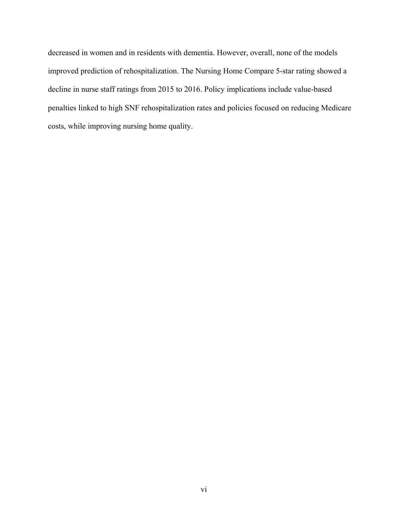decreased in women and in residents with dementia. However, overall, none of the models improved prediction of rehospitalization. The Nursing Home Compare 5-star rating showed a decline in nurse staff ratings from 2015 to 2016. Policy implications include value-based penalties linked to high SNF rehospitalization rates and policies focused on reducing Medicare costs, while improving nursing home quality.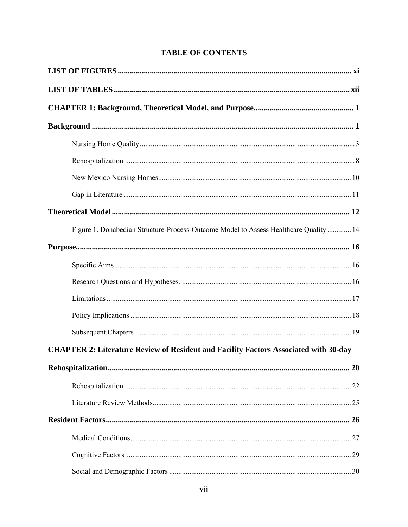## **TABLE OF CONTENTS**

| Figure 1. Donabedian Structure-Process-Outcome Model to Assess Healthcare Quality  14       |
|---------------------------------------------------------------------------------------------|
|                                                                                             |
|                                                                                             |
|                                                                                             |
|                                                                                             |
|                                                                                             |
|                                                                                             |
| <b>CHAPTER 2: Literature Review of Resident and Facility Factors Associated with 30-day</b> |
|                                                                                             |
|                                                                                             |
|                                                                                             |
|                                                                                             |
|                                                                                             |
|                                                                                             |
|                                                                                             |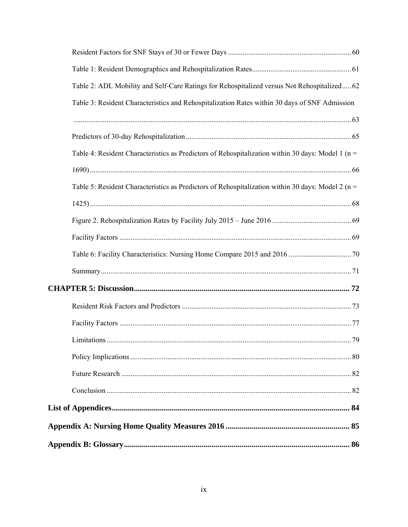| Table 2: ADL Mobility and Self-Care Ratings for Rehospitalized versus Not Rehospitalized 62          |  |
|------------------------------------------------------------------------------------------------------|--|
| Table 3: Resident Characteristics and Rehospitalization Rates within 30 days of SNF Admission        |  |
|                                                                                                      |  |
|                                                                                                      |  |
| Table 4: Resident Characteristics as Predictors of Rehospitalization within 30 days: Model 1 ( $n =$ |  |
|                                                                                                      |  |
| Table 5: Resident Characteristics as Predictors of Rehospitalization within 30 days: Model 2 ( $n =$ |  |
|                                                                                                      |  |
|                                                                                                      |  |
|                                                                                                      |  |
|                                                                                                      |  |
|                                                                                                      |  |
|                                                                                                      |  |
|                                                                                                      |  |
|                                                                                                      |  |
|                                                                                                      |  |
|                                                                                                      |  |
|                                                                                                      |  |
|                                                                                                      |  |
|                                                                                                      |  |
|                                                                                                      |  |
|                                                                                                      |  |
|                                                                                                      |  |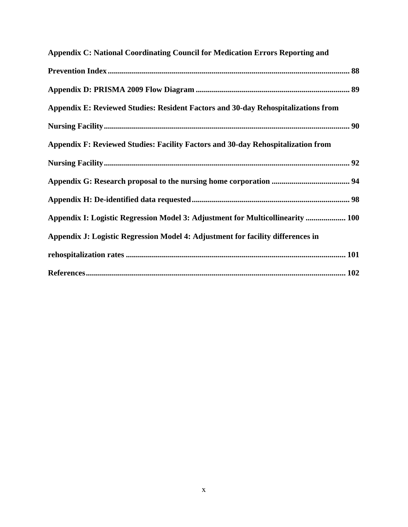| Appendix C: National Coordinating Council for Medication Errors Reporting and     |
|-----------------------------------------------------------------------------------|
|                                                                                   |
|                                                                                   |
| Appendix E: Reviewed Studies: Resident Factors and 30-day Rehospitalizations from |
|                                                                                   |
| Appendix F: Reviewed Studies: Facility Factors and 30-day Rehospitalization from  |
|                                                                                   |
|                                                                                   |
|                                                                                   |
| Appendix I: Logistic Regression Model 3: Adjustment for Multicollinearity  100    |
| Appendix J: Logistic Regression Model 4: Adjustment for facility differences in   |
|                                                                                   |
|                                                                                   |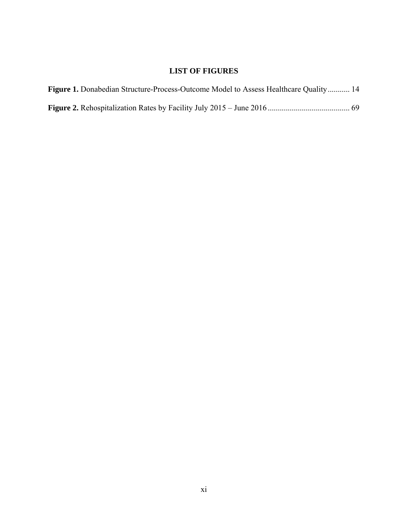# **LIST OF FIGURES**

| <b>Figure 1.</b> Donabedian Structure-Process-Outcome Model to Assess Healthcare Quality 14 |  |
|---------------------------------------------------------------------------------------------|--|
|                                                                                             |  |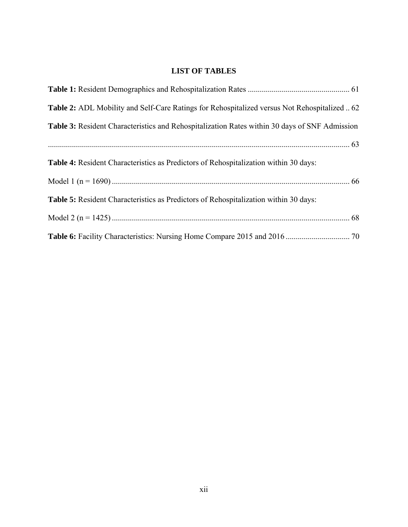# **LIST OF TABLES**

| <b>Table 2:</b> ADL Mobility and Self-Care Ratings for Rehospitalized versus Not Rehospitalized  62 |  |
|-----------------------------------------------------------------------------------------------------|--|
| Table 3: Resident Characteristics and Rehospitalization Rates within 30 days of SNF Admission       |  |
|                                                                                                     |  |
| <b>Table 4:</b> Resident Characteristics as Predictors of Rehospitalization within 30 days:         |  |
|                                                                                                     |  |
| <b>Table 5:</b> Resident Characteristics as Predictors of Rehospitalization within 30 days:         |  |
|                                                                                                     |  |
|                                                                                                     |  |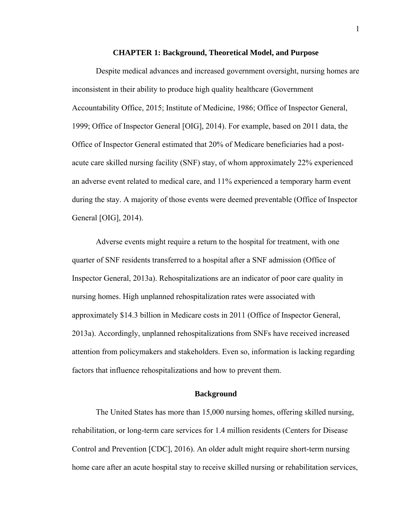#### **CHAPTER 1: Background, Theoretical Model, and Purpose**

Despite medical advances and increased government oversight, nursing homes are inconsistent in their ability to produce high quality healthcare (Government Accountability Office, 2015; Institute of Medicine, 1986; Office of Inspector General, 1999; Office of Inspector General [OIG], 2014). For example, based on 2011 data, the Office of Inspector General estimated that 20% of Medicare beneficiaries had a postacute care skilled nursing facility (SNF) stay, of whom approximately 22% experienced an adverse event related to medical care, and 11% experienced a temporary harm event during the stay. A majority of those events were deemed preventable (Office of Inspector General [OIG], 2014).

Adverse events might require a return to the hospital for treatment, with one quarter of SNF residents transferred to a hospital after a SNF admission (Office of Inspector General, 2013a). Rehospitalizations are an indicator of poor care quality in nursing homes. High unplanned rehospitalization rates were associated with approximately \$14.3 billion in Medicare costs in 2011 (Office of Inspector General, 2013a). Accordingly, unplanned rehospitalizations from SNFs have received increased attention from policymakers and stakeholders. Even so, information is lacking regarding factors that influence rehospitalizations and how to prevent them.

#### **Background**

The United States has more than 15,000 nursing homes, offering skilled nursing, rehabilitation, or long-term care services for 1.4 million residents (Centers for Disease Control and Prevention [CDC], 2016). An older adult might require short-term nursing home care after an acute hospital stay to receive skilled nursing or rehabilitation services,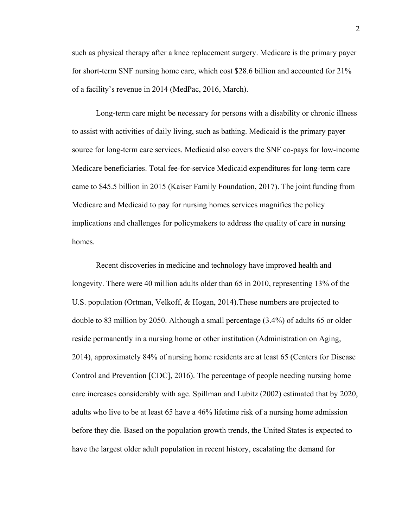such as physical therapy after a knee replacement surgery. Medicare is the primary payer for short-term SNF nursing home care, which cost \$28.6 billion and accounted for 21% of a facility's revenue in 2014 (MedPac, 2016, March).

Long-term care might be necessary for persons with a disability or chronic illness to assist with activities of daily living, such as bathing. Medicaid is the primary payer source for long-term care services. Medicaid also covers the SNF co-pays for low-income Medicare beneficiaries. Total fee-for-service Medicaid expenditures for long-term care came to \$45.5 billion in 2015 (Kaiser Family Foundation, 2017). The joint funding from Medicare and Medicaid to pay for nursing homes services magnifies the policy implications and challenges for policymakers to address the quality of care in nursing homes.

Recent discoveries in medicine and technology have improved health and longevity. There were 40 million adults older than 65 in 2010, representing 13% of the U.S. population (Ortman, Velkoff, & Hogan, 2014).These numbers are projected to double to 83 million by 2050. Although a small percentage (3.4%) of adults 65 or older reside permanently in a nursing home or other institution (Administration on Aging, 2014), approximately 84% of nursing home residents are at least 65 (Centers for Disease Control and Prevention [CDC], 2016). The percentage of people needing nursing home care increases considerably with age. Spillman and Lubitz (2002) estimated that by 2020, adults who live to be at least 65 have a 46% lifetime risk of a nursing home admission before they die. Based on the population growth trends, the United States is expected to have the largest older adult population in recent history, escalating the demand for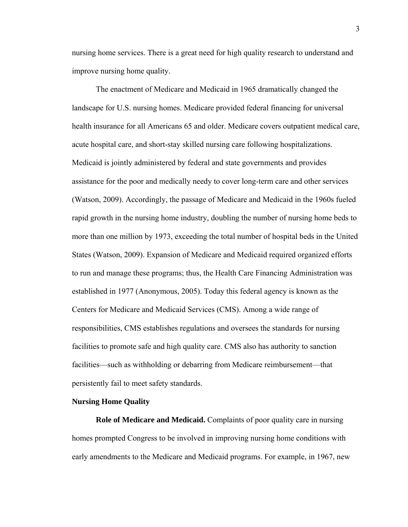nursing home services. There is a great need for high quality research to understand and improve nursing home quality.

The enactment of Medicare and Medicaid in 1965 dramatically changed the landscape for U.S. nursing homes. Medicare provided federal financing for universal health insurance for all Americans 65 and older. Medicare covers outpatient medical care, acute hospital care, and short-stay skilled nursing care following hospitalizations. Medicaid is jointly administered by federal and state governments and provides assistance for the poor and medically needy to cover long-term care and other services (Watson, 2009). Accordingly, the passage of Medicare and Medicaid in the 1960s fueled rapid growth in the nursing home industry, doubling the number of nursing home beds to more than one million by 1973, exceeding the total number of hospital beds in the United States (Watson, 2009). Expansion of Medicare and Medicaid required organized efforts to run and manage these programs; thus, the Health Care Financing Administration was established in 1977 (Anonymous, 2005). Today this federal agency is known as the Centers for Medicare and Medicaid Services (CMS). Among a wide range of responsibilities, CMS establishes regulations and oversees the standards for nursing facilities to promote safe and high quality care. CMS also has authority to sanction facilities—such as withholding or debarring from Medicare reimbursement—that persistently fail to meet safety standards.

#### **Nursing Home Quality**

**Role of Medicare and Medicaid.** Complaints of poor quality care in nursing homes prompted Congress to be involved in improving nursing home conditions with early amendments to the Medicare and Medicaid programs. For example, in 1967, new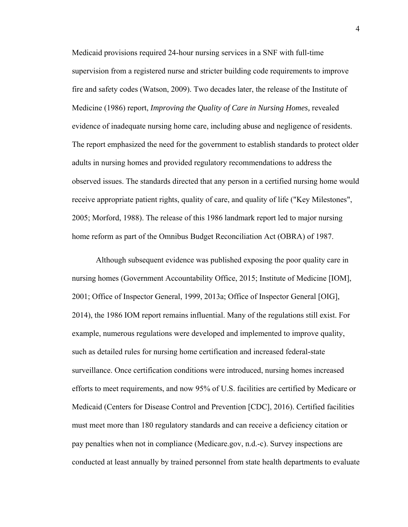Medicaid provisions required 24-hour nursing services in a SNF with full-time supervision from a registered nurse and stricter building code requirements to improve fire and safety codes (Watson, 2009). Two decades later, the release of the Institute of Medicine (1986) report, *Improving the Quality of Care in Nursing Homes,* revealed evidence of inadequate nursing home care, including abuse and negligence of residents. The report emphasized the need for the government to establish standards to protect older adults in nursing homes and provided regulatory recommendations to address the observed issues. The standards directed that any person in a certified nursing home would receive appropriate patient rights, quality of care, and quality of life ("Key Milestones", 2005; Morford, 1988). The release of this 1986 landmark report led to major nursing home reform as part of the Omnibus Budget Reconciliation Act (OBRA) of 1987.

Although subsequent evidence was published exposing the poor quality care in nursing homes (Government Accountability Office, 2015; Institute of Medicine [IOM], 2001; Office of Inspector General, 1999, 2013a; Office of Inspector General [OIG], 2014), the 1986 IOM report remains influential. Many of the regulations still exist. For example, numerous regulations were developed and implemented to improve quality, such as detailed rules for nursing home certification and increased federal-state surveillance. Once certification conditions were introduced, nursing homes increased efforts to meet requirements, and now 95% of U.S. facilities are certified by Medicare or Medicaid (Centers for Disease Control and Prevention [CDC], 2016). Certified facilities must meet more than 180 regulatory standards and can receive a deficiency citation or pay penalties when not in compliance (Medicare.gov, n.d.-c). Survey inspections are conducted at least annually by trained personnel from state health departments to evaluate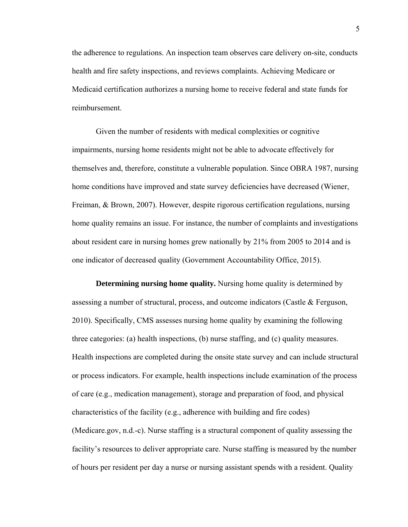the adherence to regulations. An inspection team observes care delivery on-site, conducts health and fire safety inspections, and reviews complaints. Achieving Medicare or Medicaid certification authorizes a nursing home to receive federal and state funds for reimbursement.

Given the number of residents with medical complexities or cognitive impairments, nursing home residents might not be able to advocate effectively for themselves and, therefore, constitute a vulnerable population. Since OBRA 1987, nursing home conditions have improved and state survey deficiencies have decreased (Wiener, Freiman, & Brown, 2007). However, despite rigorous certification regulations, nursing home quality remains an issue. For instance, the number of complaints and investigations about resident care in nursing homes grew nationally by 21% from 2005 to 2014 and is one indicator of decreased quality (Government Accountability Office, 2015).

**Determining nursing home quality.** Nursing home quality is determined by assessing a number of structural, process, and outcome indicators (Castle & Ferguson, 2010). Specifically, CMS assesses nursing home quality by examining the following three categories: (a) health inspections, (b) nurse staffing, and (c) quality measures. Health inspections are completed during the onsite state survey and can include structural or process indicators. For example, health inspections include examination of the process of care (e.g., medication management), storage and preparation of food, and physical characteristics of the facility (e.g., adherence with building and fire codes) (Medicare.gov, n.d.-c). Nurse staffing is a structural component of quality assessing the facility's resources to deliver appropriate care. Nurse staffing is measured by the number of hours per resident per day a nurse or nursing assistant spends with a resident. Quality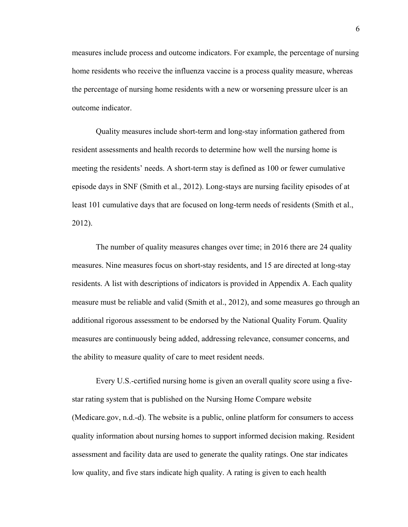measures include process and outcome indicators. For example, the percentage of nursing home residents who receive the influenza vaccine is a process quality measure, whereas the percentage of nursing home residents with a new or worsening pressure ulcer is an outcome indicator.

Quality measures include short-term and long-stay information gathered from resident assessments and health records to determine how well the nursing home is meeting the residents' needs. A short-term stay is defined as 100 or fewer cumulative episode days in SNF (Smith et al., 2012). Long-stays are nursing facility episodes of at least 101 cumulative days that are focused on long-term needs of residents (Smith et al., 2012).

The number of quality measures changes over time; in 2016 there are 24 quality measures. Nine measures focus on short-stay residents, and 15 are directed at long-stay residents. A list with descriptions of indicators is provided in Appendix A. Each quality measure must be reliable and valid (Smith et al., 2012), and some measures go through an additional rigorous assessment to be endorsed by the National Quality Forum. Quality measures are continuously being added, addressing relevance, consumer concerns, and the ability to measure quality of care to meet resident needs.

Every U.S.-certified nursing home is given an overall quality score using a fivestar rating system that is published on the Nursing Home Compare website (Medicare.gov, n.d.-d). The website is a public, online platform for consumers to access quality information about nursing homes to support informed decision making. Resident assessment and facility data are used to generate the quality ratings. One star indicates low quality, and five stars indicate high quality. A rating is given to each health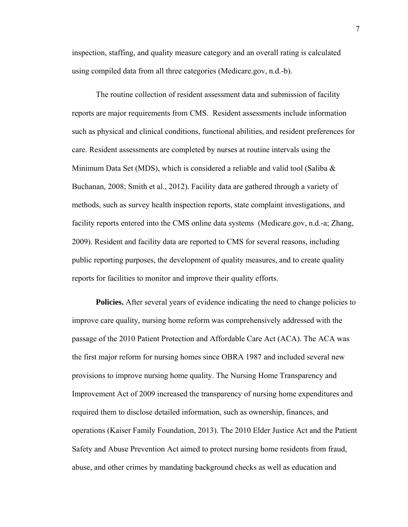inspection, staffing, and quality measure category and an overall rating is calculated using compiled data from all three categories (Medicare.gov, n.d.-b).

The routine collection of resident assessment data and submission of facility reports are major requirements from CMS. Resident assessments include information such as physical and clinical conditions, functional abilities, and resident preferences for care. Resident assessments are completed by nurses at routine intervals using the Minimum Data Set (MDS), which is considered a reliable and valid tool (Saliba & Buchanan, 2008; Smith et al., 2012). Facility data are gathered through a variety of methods, such as survey health inspection reports, state complaint investigations, and facility reports entered into the CMS online data systems (Medicare.gov, n.d.-a; Zhang, 2009). Resident and facility data are reported to CMS for several reasons, including public reporting purposes, the development of quality measures, and to create quality reports for facilities to monitor and improve their quality efforts.

**Policies.** After several years of evidence indicating the need to change policies to improve care quality, nursing home reform was comprehensively addressed with the passage of the 2010 Patient Protection and Affordable Care Act (ACA). The ACA was the first major reform for nursing homes since OBRA 1987 and included several new provisions to improve nursing home quality. The Nursing Home Transparency and Improvement Act of 2009 increased the transparency of nursing home expenditures and required them to disclose detailed information, such as ownership, finances, and operations (Kaiser Family Foundation, 2013). The 2010 Elder Justice Act and the Patient Safety and Abuse Prevention Act aimed to protect nursing home residents from fraud, abuse, and other crimes by mandating background checks as well as education and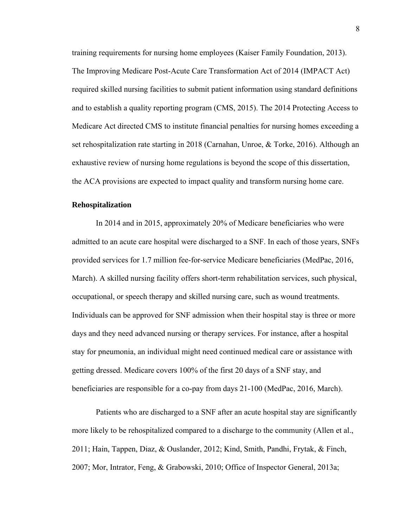training requirements for nursing home employees (Kaiser Family Foundation, 2013). The Improving Medicare Post-Acute Care Transformation Act of 2014 (IMPACT Act) required skilled nursing facilities to submit patient information using standard definitions and to establish a quality reporting program (CMS, 2015). The 2014 Protecting Access to Medicare Act directed CMS to institute financial penalties for nursing homes exceeding a set rehospitalization rate starting in 2018 (Carnahan, Unroe, & Torke, 2016). Although an exhaustive review of nursing home regulations is beyond the scope of this dissertation, the ACA provisions are expected to impact quality and transform nursing home care.

#### **Rehospitalization**

In 2014 and in 2015, approximately 20% of Medicare beneficiaries who were admitted to an acute care hospital were discharged to a SNF. In each of those years, SNFs provided services for 1.7 million fee-for-service Medicare beneficiaries (MedPac, 2016, March). A skilled nursing facility offers short-term rehabilitation services, such physical, occupational, or speech therapy and skilled nursing care, such as wound treatments. Individuals can be approved for SNF admission when their hospital stay is three or more days and they need advanced nursing or therapy services. For instance, after a hospital stay for pneumonia, an individual might need continued medical care or assistance with getting dressed. Medicare covers 100% of the first 20 days of a SNF stay, and beneficiaries are responsible for a co-pay from days 21-100 (MedPac, 2016, March).

Patients who are discharged to a SNF after an acute hospital stay are significantly more likely to be rehospitalized compared to a discharge to the community (Allen et al., 2011; Hain, Tappen, Diaz, & Ouslander, 2012; Kind, Smith, Pandhi, Frytak, & Finch, 2007; Mor, Intrator, Feng, & Grabowski, 2010; Office of Inspector General, 2013a;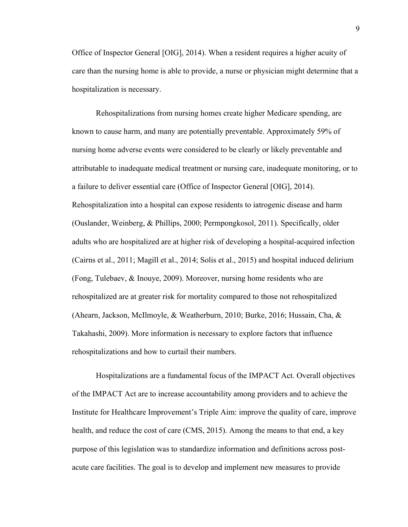Office of Inspector General [OIG], 2014). When a resident requires a higher acuity of care than the nursing home is able to provide, a nurse or physician might determine that a hospitalization is necessary.

Rehospitalizations from nursing homes create higher Medicare spending, are known to cause harm, and many are potentially preventable. Approximately 59% of nursing home adverse events were considered to be clearly or likely preventable and attributable to inadequate medical treatment or nursing care, inadequate monitoring, or to a failure to deliver essential care (Office of Inspector General [OIG], 2014). Rehospitalization into a hospital can expose residents to iatrogenic disease and harm (Ouslander, Weinberg, & Phillips, 2000; Permpongkosol, 2011). Specifically, older adults who are hospitalized are at higher risk of developing a hospital-acquired infection (Cairns et al., 2011; Magill et al., 2014; Solis et al., 2015) and hospital induced delirium (Fong, Tulebaev, & Inouye, 2009). Moreover, nursing home residents who are rehospitalized are at greater risk for mortality compared to those not rehospitalized (Ahearn, Jackson, McIlmoyle, & Weatherburn, 2010; Burke, 2016; Hussain, Cha, & Takahashi, 2009). More information is necessary to explore factors that influence rehospitalizations and how to curtail their numbers.

Hospitalizations are a fundamental focus of the IMPACT Act. Overall objectives of the IMPACT Act are to increase accountability among providers and to achieve the Institute for Healthcare Improvement's Triple Aim: improve the quality of care, improve health, and reduce the cost of care (CMS, 2015). Among the means to that end, a key purpose of this legislation was to standardize information and definitions across postacute care facilities. The goal is to develop and implement new measures to provide

9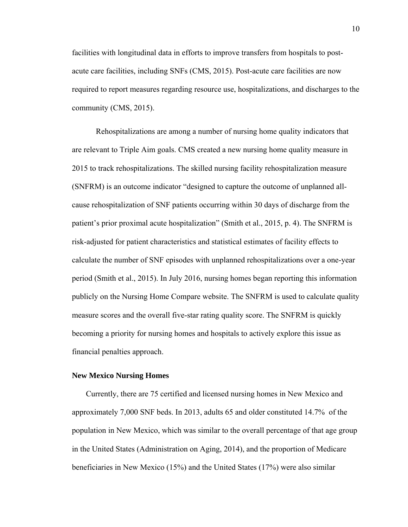facilities with longitudinal data in efforts to improve transfers from hospitals to postacute care facilities, including SNFs (CMS, 2015). Post-acute care facilities are now required to report measures regarding resource use, hospitalizations, and discharges to the community (CMS, 2015).

Rehospitalizations are among a number of nursing home quality indicators that are relevant to Triple Aim goals. CMS created a new nursing home quality measure in 2015 to track rehospitalizations. The skilled nursing facility rehospitalization measure (SNFRM) is an outcome indicator "designed to capture the outcome of unplanned allcause rehospitalization of SNF patients occurring within 30 days of discharge from the patient's prior proximal acute hospitalization" (Smith et al., 2015, p. 4). The SNFRM is risk-adjusted for patient characteristics and statistical estimates of facility effects to calculate the number of SNF episodes with unplanned rehospitalizations over a one-year period (Smith et al., 2015). In July 2016, nursing homes began reporting this information publicly on the Nursing Home Compare website. The SNFRM is used to calculate quality measure scores and the overall five-star rating quality score. The SNFRM is quickly becoming a priority for nursing homes and hospitals to actively explore this issue as financial penalties approach.

#### **New Mexico Nursing Homes**

 Currently, there are 75 certified and licensed nursing homes in New Mexico and approximately 7,000 SNF beds. In 2013, adults 65 and older constituted 14.7% of the population in New Mexico, which was similar to the overall percentage of that age group in the United States (Administration on Aging, 2014), and the proportion of Medicare beneficiaries in New Mexico (15%) and the United States (17%) were also similar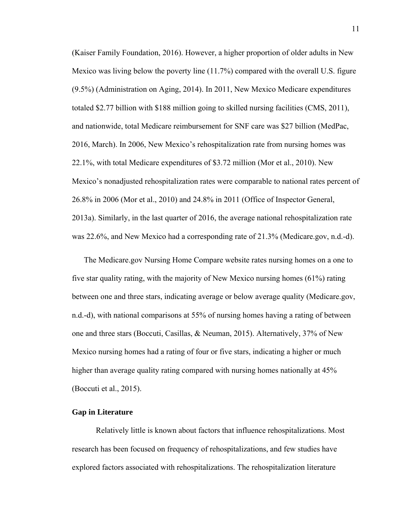(Kaiser Family Foundation, 2016). However, a higher proportion of older adults in New Mexico was living below the poverty line (11.7%) compared with the overall U.S. figure (9.5%) (Administration on Aging, 2014). In 2011, New Mexico Medicare expenditures totaled \$2.77 billion with \$188 million going to skilled nursing facilities (CMS, 2011), and nationwide, total Medicare reimbursement for SNF care was \$27 billion (MedPac, 2016, March). In 2006, New Mexico's rehospitalization rate from nursing homes was 22.1%, with total Medicare expenditures of \$3.72 million (Mor et al., 2010). New Mexico's nonadjusted rehospitalization rates were comparable to national rates percent of 26.8% in 2006 (Mor et al., 2010) and 24.8% in 2011 (Office of Inspector General, 2013a). Similarly, in the last quarter of 2016, the average national rehospitalization rate was 22.6%, and New Mexico had a corresponding rate of 21.3% (Medicare.gov, n.d.-d).

The Medicare.gov Nursing Home Compare website rates nursing homes on a one to five star quality rating, with the majority of New Mexico nursing homes (61%) rating between one and three stars, indicating average or below average quality (Medicare.gov, n.d.-d), with national comparisons at 55% of nursing homes having a rating of between one and three stars (Boccuti, Casillas, & Neuman, 2015). Alternatively, 37% of New Mexico nursing homes had a rating of four or five stars, indicating a higher or much higher than average quality rating compared with nursing homes nationally at 45% (Boccuti et al., 2015).

#### **Gap in Literature**

Relatively little is known about factors that influence rehospitalizations. Most research has been focused on frequency of rehospitalizations, and few studies have explored factors associated with rehospitalizations. The rehospitalization literature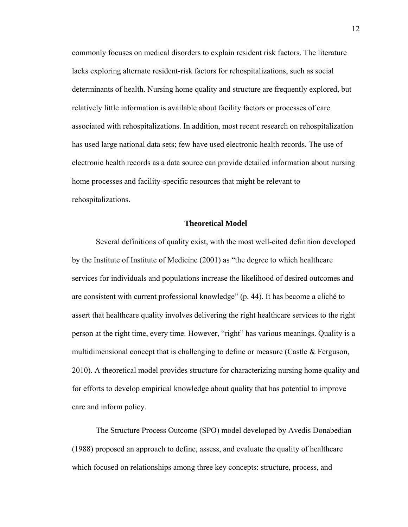commonly focuses on medical disorders to explain resident risk factors. The literature lacks exploring alternate resident-risk factors for rehospitalizations, such as social determinants of health. Nursing home quality and structure are frequently explored, but relatively little information is available about facility factors or processes of care associated with rehospitalizations. In addition, most recent research on rehospitalization has used large national data sets; few have used electronic health records. The use of electronic health records as a data source can provide detailed information about nursing home processes and facility-specific resources that might be relevant to rehospitalizations.

#### **Theoretical Model**

Several definitions of quality exist, with the most well-cited definition developed by the Institute of Institute of Medicine (2001) as "the degree to which healthcare services for individuals and populations increase the likelihood of desired outcomes and are consistent with current professional knowledge" (p. 44). It has become a cliché to assert that healthcare quality involves delivering the right healthcare services to the right person at the right time, every time. However, "right" has various meanings. Quality is a multidimensional concept that is challenging to define or measure (Castle & Ferguson, 2010). A theoretical model provides structure for characterizing nursing home quality and for efforts to develop empirical knowledge about quality that has potential to improve care and inform policy.

The Structure Process Outcome (SPO) model developed by Avedis Donabedian (1988) proposed an approach to define, assess, and evaluate the quality of healthcare which focused on relationships among three key concepts: structure, process, and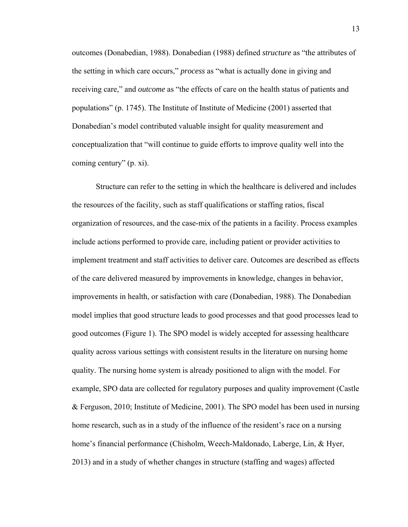outcomes (Donabedian, 1988). Donabedian (1988) defined *structure* as "the attributes of the setting in which care occurs," *process* as "what is actually done in giving and receiving care," and *outcome* as "the effects of care on the health status of patients and populations" (p. 1745). The Institute of Institute of Medicine (2001) asserted that Donabedian's model contributed valuable insight for quality measurement and conceptualization that "will continue to guide efforts to improve quality well into the coming century" (p. xi).

Structure can refer to the setting in which the healthcare is delivered and includes the resources of the facility, such as staff qualifications or staffing ratios, fiscal organization of resources, and the case-mix of the patients in a facility. Process examples include actions performed to provide care, including patient or provider activities to implement treatment and staff activities to deliver care. Outcomes are described as effects of the care delivered measured by improvements in knowledge, changes in behavior, improvements in health, or satisfaction with care (Donabedian, 1988). The Donabedian model implies that good structure leads to good processes and that good processes lead to good outcomes (Figure 1). The SPO model is widely accepted for assessing healthcare quality across various settings with consistent results in the literature on nursing home quality. The nursing home system is already positioned to align with the model. For example, SPO data are collected for regulatory purposes and quality improvement (Castle & Ferguson, 2010; Institute of Medicine, 2001). The SPO model has been used in nursing home research, such as in a study of the influence of the resident's race on a nursing home's financial performance (Chisholm, Weech-Maldonado, Laberge, Lin, & Hyer, 2013) and in a study of whether changes in structure (staffing and wages) affected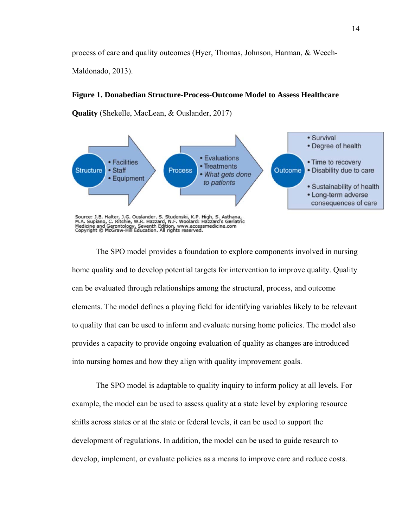process of care and quality outcomes (Hyer, Thomas, Johnson, Harman, & Weech-

Maldonado, 2013).

#### **Figure 1. Donabedian Structure-Process-Outcome Model to Assess Healthcare**

**Quality** (Shekelle, MacLean, & Ouslander, 2017)



Source: J.B. Halter, J.G. Ouslander, S. Studenski, K.P. High, S. Asthana,<br>M.A. Supiano, C. Ritchie, W.R. Hazzard, N.F. Woolard: Hazzard's Geriatric<br>Medicine and Gerontology, Seventh Edition, www.accessmedicine.com<br>Copyrigh

The SPO model provides a foundation to explore components involved in nursing home quality and to develop potential targets for intervention to improve quality. Quality can be evaluated through relationships among the structural, process, and outcome elements. The model defines a playing field for identifying variables likely to be relevant to quality that can be used to inform and evaluate nursing home policies. The model also provides a capacity to provide ongoing evaluation of quality as changes are introduced into nursing homes and how they align with quality improvement goals.

The SPO model is adaptable to quality inquiry to inform policy at all levels. For example, the model can be used to assess quality at a state level by exploring resource shifts across states or at the state or federal levels, it can be used to support the development of regulations. In addition, the model can be used to guide research to develop, implement, or evaluate policies as a means to improve care and reduce costs.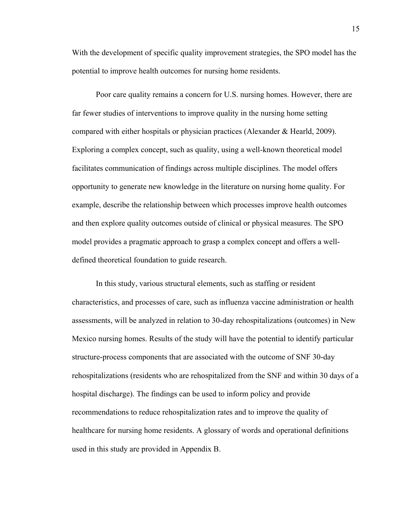With the development of specific quality improvement strategies, the SPO model has the potential to improve health outcomes for nursing home residents.

Poor care quality remains a concern for U.S. nursing homes. However, there are far fewer studies of interventions to improve quality in the nursing home setting compared with either hospitals or physician practices (Alexander & Hearld, 2009). Exploring a complex concept, such as quality, using a well-known theoretical model facilitates communication of findings across multiple disciplines. The model offers opportunity to generate new knowledge in the literature on nursing home quality. For example, describe the relationship between which processes improve health outcomes and then explore quality outcomes outside of clinical or physical measures. The SPO model provides a pragmatic approach to grasp a complex concept and offers a welldefined theoretical foundation to guide research.

In this study, various structural elements, such as staffing or resident characteristics, and processes of care, such as influenza vaccine administration or health assessments, will be analyzed in relation to 30-day rehospitalizations (outcomes) in New Mexico nursing homes. Results of the study will have the potential to identify particular structure-process components that are associated with the outcome of SNF 30-day rehospitalizations (residents who are rehospitalized from the SNF and within 30 days of a hospital discharge). The findings can be used to inform policy and provide recommendations to reduce rehospitalization rates and to improve the quality of healthcare for nursing home residents. A glossary of words and operational definitions used in this study are provided in Appendix B.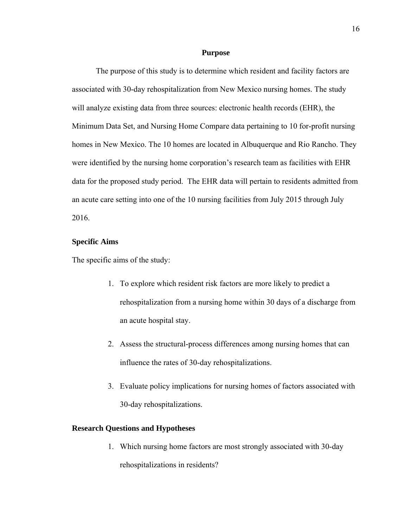#### **Purpose**

The purpose of this study is to determine which resident and facility factors are associated with 30-day rehospitalization from New Mexico nursing homes. The study will analyze existing data from three sources: electronic health records (EHR), the Minimum Data Set, and Nursing Home Compare data pertaining to 10 for-profit nursing homes in New Mexico. The 10 homes are located in Albuquerque and Rio Rancho. They were identified by the nursing home corporation's research team as facilities with EHR data for the proposed study period. The EHR data will pertain to residents admitted from an acute care setting into one of the 10 nursing facilities from July 2015 through July 2016.

#### **Specific Aims**

The specific aims of the study:

- 1. To explore which resident risk factors are more likely to predict a rehospitalization from a nursing home within 30 days of a discharge from an acute hospital stay.
- 2. Assess the structural-process differences among nursing homes that can influence the rates of 30-day rehospitalizations.
- 3. Evaluate policy implications for nursing homes of factors associated with 30-day rehospitalizations.

#### **Research Questions and Hypotheses**

1. Which nursing home factors are most strongly associated with 30-day rehospitalizations in residents?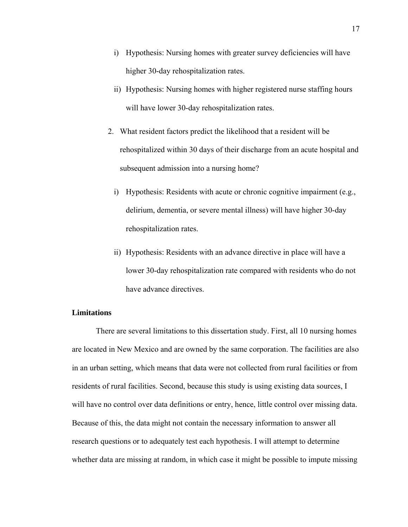- i) Hypothesis: Nursing homes with greater survey deficiencies will have higher 30-day rehospitalization rates.
- ii) Hypothesis: Nursing homes with higher registered nurse staffing hours will have lower 30-day rehospitalization rates.
- 2. What resident factors predict the likelihood that a resident will be rehospitalized within 30 days of their discharge from an acute hospital and subsequent admission into a nursing home?
	- i) Hypothesis: Residents with acute or chronic cognitive impairment (e.g., delirium, dementia, or severe mental illness) will have higher 30-day rehospitalization rates.
	- ii) Hypothesis: Residents with an advance directive in place will have a lower 30-day rehospitalization rate compared with residents who do not have advance directives.

#### **Limitations**

There are several limitations to this dissertation study. First, all 10 nursing homes are located in New Mexico and are owned by the same corporation. The facilities are also in an urban setting, which means that data were not collected from rural facilities or from residents of rural facilities. Second, because this study is using existing data sources, I will have no control over data definitions or entry, hence, little control over missing data. Because of this, the data might not contain the necessary information to answer all research questions or to adequately test each hypothesis. I will attempt to determine whether data are missing at random, in which case it might be possible to impute missing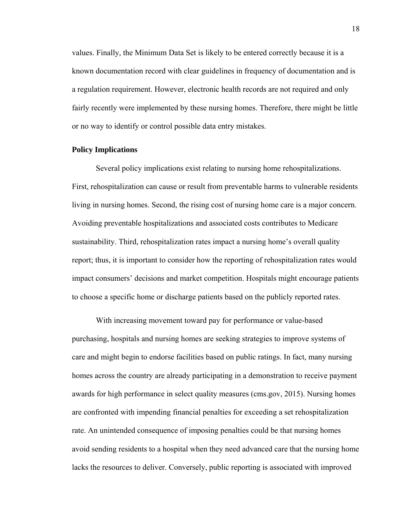values. Finally, the Minimum Data Set is likely to be entered correctly because it is a known documentation record with clear guidelines in frequency of documentation and is a regulation requirement. However, electronic health records are not required and only fairly recently were implemented by these nursing homes. Therefore, there might be little or no way to identify or control possible data entry mistakes.

#### **Policy Implications**

Several policy implications exist relating to nursing home rehospitalizations. First, rehospitalization can cause or result from preventable harms to vulnerable residents living in nursing homes. Second, the rising cost of nursing home care is a major concern. Avoiding preventable hospitalizations and associated costs contributes to Medicare sustainability. Third, rehospitalization rates impact a nursing home's overall quality report; thus, it is important to consider how the reporting of rehospitalization rates would impact consumers' decisions and market competition. Hospitals might encourage patients to choose a specific home or discharge patients based on the publicly reported rates.

With increasing movement toward pay for performance or value-based purchasing, hospitals and nursing homes are seeking strategies to improve systems of care and might begin to endorse facilities based on public ratings. In fact, many nursing homes across the country are already participating in a demonstration to receive payment awards for high performance in select quality measures (cms.gov, 2015). Nursing homes are confronted with impending financial penalties for exceeding a set rehospitalization rate. An unintended consequence of imposing penalties could be that nursing homes avoid sending residents to a hospital when they need advanced care that the nursing home lacks the resources to deliver. Conversely, public reporting is associated with improved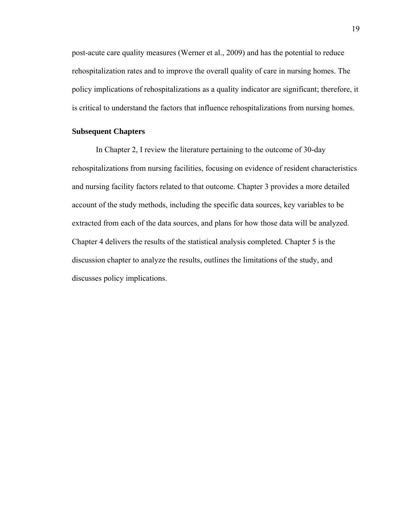post-acute care quality measures (Werner et al., 2009) and has the potential to reduce rehospitalization rates and to improve the overall quality of care in nursing homes. The policy implications of rehospitalizations as a quality indicator are significant; therefore, it is critical to understand the factors that influence rehospitalizations from nursing homes.

#### **Subsequent Chapters**

In Chapter 2, I review the literature pertaining to the outcome of 30-day rehospitalizations from nursing facilities, focusing on evidence of resident characteristics and nursing facility factors related to that outcome. Chapter 3 provides a more detailed account of the study methods, including the specific data sources, key variables to be extracted from each of the data sources, and plans for how those data will be analyzed. Chapter 4 delivers the results of the statistical analysis completed. Chapter 5 is the discussion chapter to analyze the results, outlines the limitations of the study, and discusses policy implications.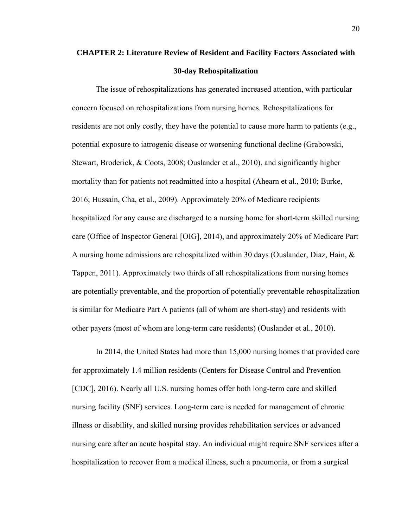# **CHAPTER 2: Literature Review of Resident and Facility Factors Associated with 30-day Rehospitalization**

The issue of rehospitalizations has generated increased attention, with particular concern focused on rehospitalizations from nursing homes. Rehospitalizations for residents are not only costly, they have the potential to cause more harm to patients (e.g., potential exposure to iatrogenic disease or worsening functional decline (Grabowski, Stewart, Broderick, & Coots, 2008; Ouslander et al., 2010), and significantly higher mortality than for patients not readmitted into a hospital (Ahearn et al., 2010; Burke, 2016; Hussain, Cha, et al., 2009). Approximately 20% of Medicare recipients hospitalized for any cause are discharged to a nursing home for short-term skilled nursing care (Office of Inspector General [OIG], 2014), and approximately 20% of Medicare Part A nursing home admissions are rehospitalized within 30 days (Ouslander, Diaz, Hain,  $\&$ Tappen, 2011). Approximately two thirds of all rehospitalizations from nursing homes are potentially preventable, and the proportion of potentially preventable rehospitalization is similar for Medicare Part A patients (all of whom are short-stay) and residents with other payers (most of whom are long-term care residents) (Ouslander et al., 2010).

In 2014, the United States had more than 15,000 nursing homes that provided care for approximately 1.4 million residents (Centers for Disease Control and Prevention [CDC], 2016). Nearly all U.S. nursing homes offer both long-term care and skilled nursing facility (SNF) services. Long-term care is needed for management of chronic illness or disability, and skilled nursing provides rehabilitation services or advanced nursing care after an acute hospital stay. An individual might require SNF services after a hospitalization to recover from a medical illness, such a pneumonia, or from a surgical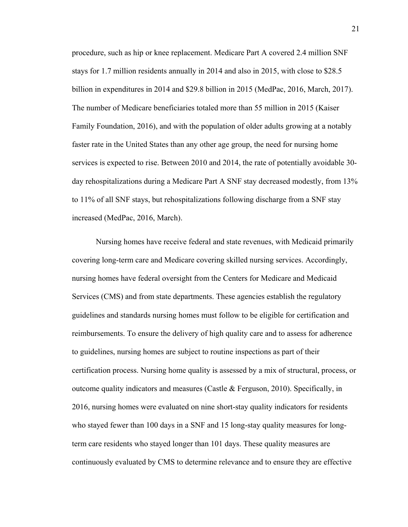procedure, such as hip or knee replacement. Medicare Part A covered 2.4 million SNF stays for 1.7 million residents annually in 2014 and also in 2015, with close to \$28.5 billion in expenditures in 2014 and \$29.8 billion in 2015 (MedPac, 2016, March, 2017). The number of Medicare beneficiaries totaled more than 55 million in 2015 (Kaiser Family Foundation, 2016), and with the population of older adults growing at a notably faster rate in the United States than any other age group, the need for nursing home services is expected to rise. Between 2010 and 2014, the rate of potentially avoidable 30 day rehospitalizations during a Medicare Part A SNF stay decreased modestly, from 13% to 11% of all SNF stays, but rehospitalizations following discharge from a SNF stay increased (MedPac, 2016, March).

Nursing homes have receive federal and state revenues, with Medicaid primarily covering long-term care and Medicare covering skilled nursing services. Accordingly, nursing homes have federal oversight from the Centers for Medicare and Medicaid Services (CMS) and from state departments. These agencies establish the regulatory guidelines and standards nursing homes must follow to be eligible for certification and reimbursements. To ensure the delivery of high quality care and to assess for adherence to guidelines, nursing homes are subject to routine inspections as part of their certification process. Nursing home quality is assessed by a mix of structural, process, or outcome quality indicators and measures (Castle  $\&$  Ferguson, 2010). Specifically, in 2016, nursing homes were evaluated on nine short-stay quality indicators for residents who stayed fewer than 100 days in a SNF and 15 long-stay quality measures for longterm care residents who stayed longer than 101 days. These quality measures are continuously evaluated by CMS to determine relevance and to ensure they are effective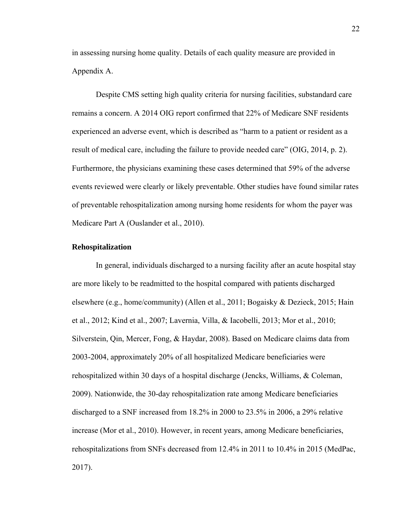in assessing nursing home quality. Details of each quality measure are provided in Appendix A.

Despite CMS setting high quality criteria for nursing facilities, substandard care remains a concern. A 2014 OIG report confirmed that 22% of Medicare SNF residents experienced an adverse event, which is described as "harm to a patient or resident as a result of medical care, including the failure to provide needed care" (OIG, 2014, p. 2). Furthermore, the physicians examining these cases determined that 59% of the adverse events reviewed were clearly or likely preventable. Other studies have found similar rates of preventable rehospitalization among nursing home residents for whom the payer was Medicare Part A (Ouslander et al., 2010).

#### **Rehospitalization**

In general, individuals discharged to a nursing facility after an acute hospital stay are more likely to be readmitted to the hospital compared with patients discharged elsewhere (e.g., home/community) (Allen et al., 2011; Bogaisky & Dezieck, 2015; Hain et al., 2012; Kind et al., 2007; Lavernia, Villa, & Iacobelli, 2013; Mor et al., 2010; Silverstein, Qin, Mercer, Fong, & Haydar, 2008). Based on Medicare claims data from 2003-2004, approximately 20% of all hospitalized Medicare beneficiaries were rehospitalized within 30 days of a hospital discharge (Jencks, Williams, & Coleman, 2009). Nationwide, the 30-day rehospitalization rate among Medicare beneficiaries discharged to a SNF increased from 18.2% in 2000 to 23.5% in 2006, a 29% relative increase (Mor et al., 2010). However, in recent years, among Medicare beneficiaries, rehospitalizations from SNFs decreased from 12.4% in 2011 to 10.4% in 2015 (MedPac, 2017).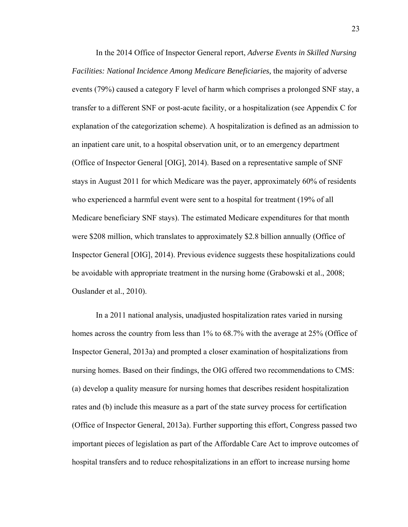In the 2014 Office of Inspector General report, *Adverse Events in Skilled Nursing Facilities: National Incidence Among Medicare Beneficiaries,* the majority of adverse events (79%) caused a category F level of harm which comprises a prolonged SNF stay, a transfer to a different SNF or post-acute facility, or a hospitalization (see Appendix C for explanation of the categorization scheme). A hospitalization is defined as an admission to an inpatient care unit, to a hospital observation unit, or to an emergency department (Office of Inspector General [OIG], 2014). Based on a representative sample of SNF stays in August 2011 for which Medicare was the payer, approximately 60% of residents who experienced a harmful event were sent to a hospital for treatment (19% of all Medicare beneficiary SNF stays). The estimated Medicare expenditures for that month were \$208 million, which translates to approximately \$2.8 billion annually (Office of Inspector General [OIG], 2014). Previous evidence suggests these hospitalizations could be avoidable with appropriate treatment in the nursing home (Grabowski et al., 2008; Ouslander et al., 2010).

In a 2011 national analysis, unadjusted hospitalization rates varied in nursing homes across the country from less than 1% to 68.7% with the average at 25% (Office of Inspector General, 2013a) and prompted a closer examination of hospitalizations from nursing homes. Based on their findings, the OIG offered two recommendations to CMS: (a) develop a quality measure for nursing homes that describes resident hospitalization rates and (b) include this measure as a part of the state survey process for certification (Office of Inspector General, 2013a). Further supporting this effort, Congress passed two important pieces of legislation as part of the Affordable Care Act to improve outcomes of hospital transfers and to reduce rehospitalizations in an effort to increase nursing home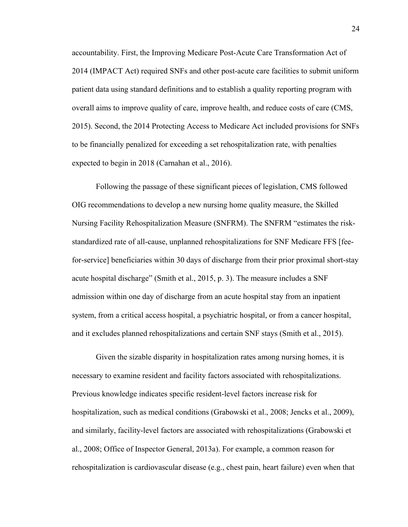accountability. First, the Improving Medicare Post-Acute Care Transformation Act of 2014 (IMPACT Act) required SNFs and other post-acute care facilities to submit uniform patient data using standard definitions and to establish a quality reporting program with overall aims to improve quality of care, improve health, and reduce costs of care (CMS, 2015). Second, the 2014 Protecting Access to Medicare Act included provisions for SNFs to be financially penalized for exceeding a set rehospitalization rate, with penalties expected to begin in 2018 (Carnahan et al., 2016).

Following the passage of these significant pieces of legislation, CMS followed OIG recommendations to develop a new nursing home quality measure, the Skilled Nursing Facility Rehospitalization Measure (SNFRM). The SNFRM "estimates the riskstandardized rate of all-cause, unplanned rehospitalizations for SNF Medicare FFS [feefor-service] beneficiaries within 30 days of discharge from their prior proximal short-stay acute hospital discharge" (Smith et al., 2015, p. 3). The measure includes a SNF admission within one day of discharge from an acute hospital stay from an inpatient system, from a critical access hospital, a psychiatric hospital, or from a cancer hospital, and it excludes planned rehospitalizations and certain SNF stays (Smith et al., 2015).

Given the sizable disparity in hospitalization rates among nursing homes, it is necessary to examine resident and facility factors associated with rehospitalizations. Previous knowledge indicates specific resident-level factors increase risk for hospitalization, such as medical conditions (Grabowski et al., 2008; Jencks et al., 2009), and similarly, facility-level factors are associated with rehospitalizations (Grabowski et al., 2008; Office of Inspector General, 2013a). For example, a common reason for rehospitalization is cardiovascular disease (e.g., chest pain, heart failure) even when that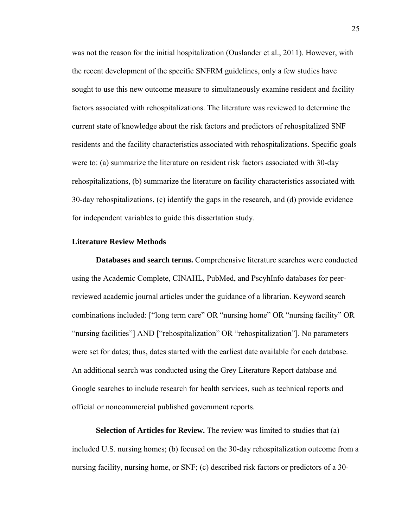was not the reason for the initial hospitalization (Ouslander et al., 2011). However, with the recent development of the specific SNFRM guidelines, only a few studies have sought to use this new outcome measure to simultaneously examine resident and facility factors associated with rehospitalizations. The literature was reviewed to determine the current state of knowledge about the risk factors and predictors of rehospitalized SNF residents and the facility characteristics associated with rehospitalizations. Specific goals were to: (a) summarize the literature on resident risk factors associated with 30-day rehospitalizations, (b) summarize the literature on facility characteristics associated with 30-day rehospitalizations, (c) identify the gaps in the research, and (d) provide evidence for independent variables to guide this dissertation study.

# **Literature Review Methods**

**Databases and search terms.** Comprehensive literature searches were conducted using the Academic Complete, CINAHL, PubMed, and PscyhInfo databases for peerreviewed academic journal articles under the guidance of a librarian. Keyword search combinations included: ["long term care" OR "nursing home" OR "nursing facility" OR "nursing facilities"] AND ["rehospitalization" OR "rehospitalization"]. No parameters were set for dates; thus, dates started with the earliest date available for each database. An additional search was conducted using the Grey Literature Report database and Google searches to include research for health services, such as technical reports and official or noncommercial published government reports.

**Selection of Articles for Review.** The review was limited to studies that (a) included U.S. nursing homes; (b) focused on the 30-day rehospitalization outcome from a nursing facility, nursing home, or SNF; (c) described risk factors or predictors of a 30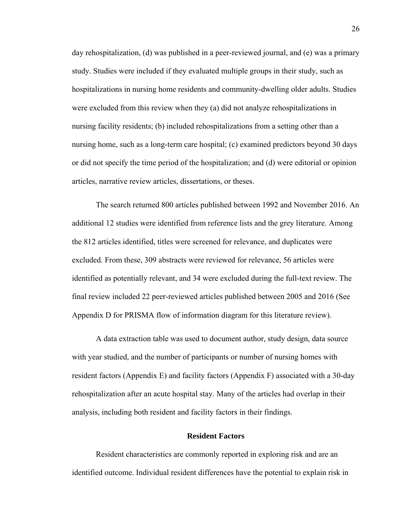day rehospitalization, (d) was published in a peer-reviewed journal, and (e) was a primary study. Studies were included if they evaluated multiple groups in their study, such as hospitalizations in nursing home residents and community-dwelling older adults. Studies were excluded from this review when they (a) did not analyze rehospitalizations in nursing facility residents; (b) included rehospitalizations from a setting other than a nursing home, such as a long-term care hospital; (c) examined predictors beyond 30 days or did not specify the time period of the hospitalization; and (d) were editorial or opinion articles, narrative review articles, dissertations, or theses.

The search returned 800 articles published between 1992 and November 2016. An additional 12 studies were identified from reference lists and the grey literature. Among the 812 articles identified, titles were screened for relevance, and duplicates were excluded. From these, 309 abstracts were reviewed for relevance, 56 articles were identified as potentially relevant, and 34 were excluded during the full-text review. The final review included 22 peer-reviewed articles published between 2005 and 2016 (See Appendix D for PRISMA flow of information diagram for this literature review).

A data extraction table was used to document author, study design, data source with year studied, and the number of participants or number of nursing homes with resident factors (Appendix E) and facility factors (Appendix F) associated with a 30-day rehospitalization after an acute hospital stay. Many of the articles had overlap in their analysis, including both resident and facility factors in their findings.

### **Resident Factors**

Resident characteristics are commonly reported in exploring risk and are an identified outcome. Individual resident differences have the potential to explain risk in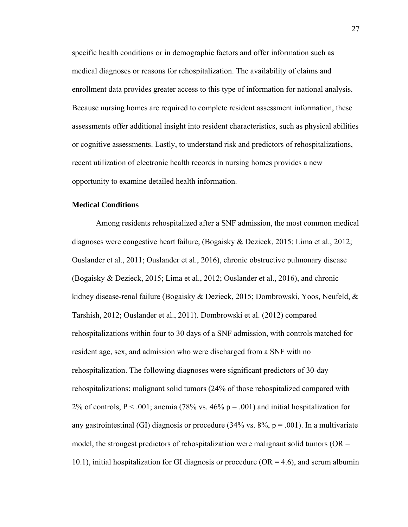specific health conditions or in demographic factors and offer information such as medical diagnoses or reasons for rehospitalization. The availability of claims and enrollment data provides greater access to this type of information for national analysis. Because nursing homes are required to complete resident assessment information, these assessments offer additional insight into resident characteristics, such as physical abilities or cognitive assessments. Lastly, to understand risk and predictors of rehospitalizations, recent utilization of electronic health records in nursing homes provides a new opportunity to examine detailed health information.

# **Medical Conditions**

Among residents rehospitalized after a SNF admission, the most common medical diagnoses were congestive heart failure, (Bogaisky & Dezieck, 2015; Lima et al., 2012; Ouslander et al., 2011; Ouslander et al., 2016), chronic obstructive pulmonary disease (Bogaisky & Dezieck, 2015; Lima et al., 2012; Ouslander et al., 2016), and chronic kidney disease-renal failure (Bogaisky & Dezieck, 2015; Dombrowski, Yoos, Neufeld, & Tarshish, 2012; Ouslander et al., 2011). Dombrowski et al. (2012) compared rehospitalizations within four to 30 days of a SNF admission, with controls matched for resident age, sex, and admission who were discharged from a SNF with no rehospitalization. The following diagnoses were significant predictors of 30-day rehospitalizations: malignant solid tumors (24% of those rehospitalized compared with 2% of controls,  $P < .001$ ; anemia (78% vs. 46% p = .001) and initial hospitalization for any gastrointestinal (GI) diagnosis or procedure (34% vs.  $8\%$ ,  $p = .001$ ). In a multivariate model, the strongest predictors of rehospitalization were malignant solid tumors ( $OR =$ 10.1), initial hospitalization for GI diagnosis or procedure ( $OR = 4.6$ ), and serum albumin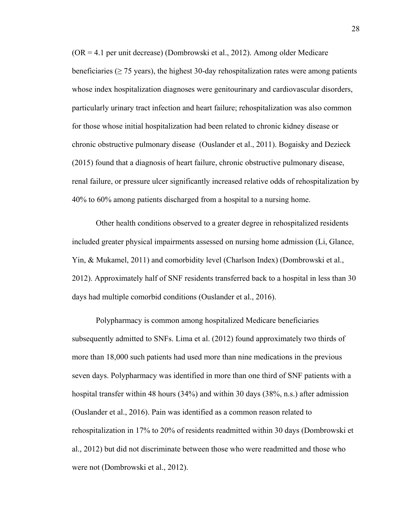(OR = 4.1 per unit decrease) (Dombrowski et al., 2012). Among older Medicare beneficiaries ( $\geq$  75 years), the highest 30-day rehospitalization rates were among patients whose index hospitalization diagnoses were genitourinary and cardiovascular disorders, particularly urinary tract infection and heart failure; rehospitalization was also common for those whose initial hospitalization had been related to chronic kidney disease or chronic obstructive pulmonary disease (Ouslander et al., 2011). Bogaisky and Dezieck (2015) found that a diagnosis of heart failure, chronic obstructive pulmonary disease, renal failure, or pressure ulcer significantly increased relative odds of rehospitalization by 40% to 60% among patients discharged from a hospital to a nursing home.

Other health conditions observed to a greater degree in rehospitalized residents included greater physical impairments assessed on nursing home admission (Li, Glance, Yin, & Mukamel, 2011) and comorbidity level (Charlson Index) (Dombrowski et al., 2012). Approximately half of SNF residents transferred back to a hospital in less than 30 days had multiple comorbid conditions (Ouslander et al., 2016).

Polypharmacy is common among hospitalized Medicare beneficiaries subsequently admitted to SNFs. Lima et al. (2012) found approximately two thirds of more than 18,000 such patients had used more than nine medications in the previous seven days. Polypharmacy was identified in more than one third of SNF patients with a hospital transfer within 48 hours (34%) and within 30 days (38%, n.s.) after admission (Ouslander et al., 2016). Pain was identified as a common reason related to rehospitalization in 17% to 20% of residents readmitted within 30 days (Dombrowski et al., 2012) but did not discriminate between those who were readmitted and those who were not (Dombrowski et al., 2012).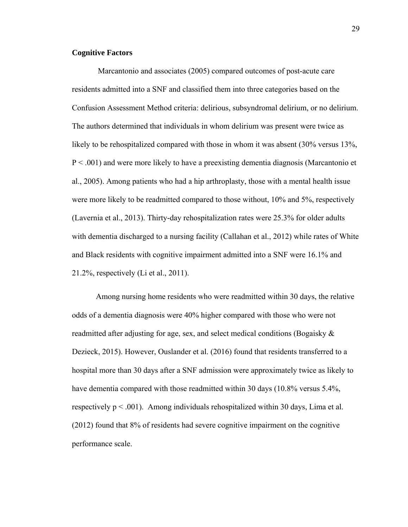## **Cognitive Factors**

Marcantonio and associates (2005) compared outcomes of post-acute care residents admitted into a SNF and classified them into three categories based on the Confusion Assessment Method criteria: delirious, subsyndromal delirium, or no delirium. The authors determined that individuals in whom delirium was present were twice as likely to be rehospitalized compared with those in whom it was absent (30% versus 13%, P < .001) and were more likely to have a preexisting dementia diagnosis (Marcantonio et al., 2005). Among patients who had a hip arthroplasty, those with a mental health issue were more likely to be readmitted compared to those without, 10% and 5%, respectively (Lavernia et al., 2013). Thirty-day rehospitalization rates were 25.3% for older adults with dementia discharged to a nursing facility (Callahan et al., 2012) while rates of White and Black residents with cognitive impairment admitted into a SNF were 16.1% and 21.2%, respectively (Li et al., 2011).

Among nursing home residents who were readmitted within 30 days, the relative odds of a dementia diagnosis were 40% higher compared with those who were not readmitted after adjusting for age, sex, and select medical conditions (Bogaisky & Dezieck, 2015). However, Ouslander et al. (2016) found that residents transferred to a hospital more than 30 days after a SNF admission were approximately twice as likely to have dementia compared with those readmitted within 30 days (10.8% versus 5.4%, respectively  $p < .001$ ). Among individuals rehospitalized within 30 days, Lima et al. (2012) found that 8% of residents had severe cognitive impairment on the cognitive performance scale.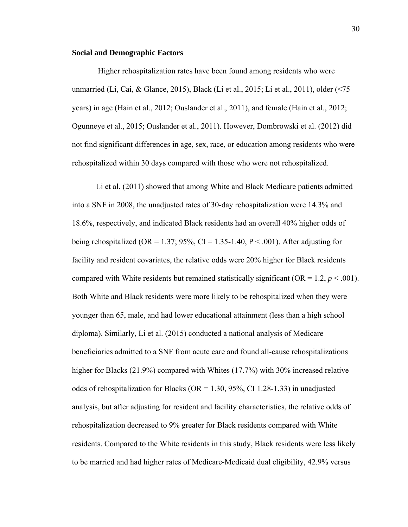## **Social and Demographic Factors**

Higher rehospitalization rates have been found among residents who were unmarried (Li, Cai, & Glance, 2015), Black (Li et al., 2015; Li et al., 2011), older (<75 years) in age (Hain et al., 2012; Ouslander et al., 2011), and female (Hain et al., 2012; Ogunneye et al., 2015; Ouslander et al., 2011). However, Dombrowski et al. (2012) did not find significant differences in age, sex, race, or education among residents who were rehospitalized within 30 days compared with those who were not rehospitalized.

Li et al. (2011) showed that among White and Black Medicare patients admitted into a SNF in 2008, the unadjusted rates of 30-day rehospitalization were 14.3% and 18.6%, respectively, and indicated Black residents had an overall 40% higher odds of being rehospitalized (OR = 1.37; 95%, CI = 1.35-1.40, P < .001). After adjusting for facility and resident covariates, the relative odds were 20% higher for Black residents compared with White residents but remained statistically significant ( $OR = 1.2$ ,  $p < .001$ ). Both White and Black residents were more likely to be rehospitalized when they were younger than 65, male, and had lower educational attainment (less than a high school diploma). Similarly, Li et al. (2015) conducted a national analysis of Medicare beneficiaries admitted to a SNF from acute care and found all-cause rehospitalizations higher for Blacks (21.9%) compared with Whites (17.7%) with 30% increased relative odds of rehospitalization for Blacks (OR = 1.30, 95%, CI 1.28-1.33) in unadjusted analysis, but after adjusting for resident and facility characteristics, the relative odds of rehospitalization decreased to 9% greater for Black residents compared with White residents. Compared to the White residents in this study, Black residents were less likely to be married and had higher rates of Medicare-Medicaid dual eligibility, 42.9% versus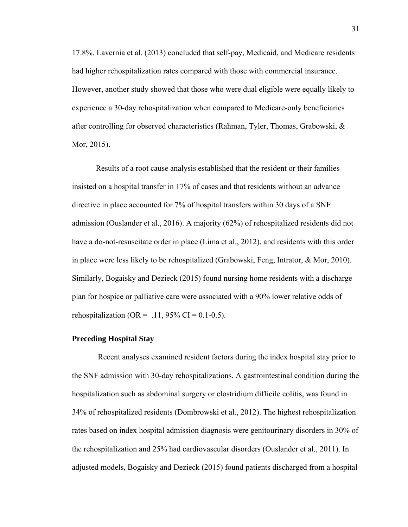17.8%. Lavernia et al. (2013) concluded that self-pay, Medicaid, and Medicare residents had higher rehospitalization rates compared with those with commercial insurance. However, another study showed that those who were dual eligible were equally likely to experience a 30-day rehospitalization when compared to Medicare-only beneficiaries after controlling for observed characteristics (Rahman, Tyler, Thomas, Grabowski, & Mor, 2015).

Results of a root cause analysis established that the resident or their families insisted on a hospital transfer in 17% of cases and that residents without an advance directive in place accounted for 7% of hospital transfers within 30 days of a SNF admission (Ouslander et al., 2016). A majority (62%) of rehospitalized residents did not have a do-not-resuscitate order in place (Lima et al., 2012), and residents with this order in place were less likely to be rehospitalized (Grabowski, Feng, Intrator, & Mor, 2010). Similarly, Bogaisky and Dezieck (2015) found nursing home residents with a discharge plan for hospice or palliative care were associated with a 90% lower relative odds of rehospitalization (OR = .11, 95% CI = 0.1-0.5).

## **Preceding Hospital Stay**

Recent analyses examined resident factors during the index hospital stay prior to the SNF admission with 30-day rehospitalizations. A gastrointestinal condition during the hospitalization such as abdominal surgery or clostridium difficile colitis, was found in 34% of rehospitalized residents (Dombrowski et al., 2012). The highest rehospitalization rates based on index hospital admission diagnosis were genitourinary disorders in 30% of the rehospitalization and 25% had cardiovascular disorders (Ouslander et al., 2011). In adjusted models, Bogaisky and Dezieck (2015) found patients discharged from a hospital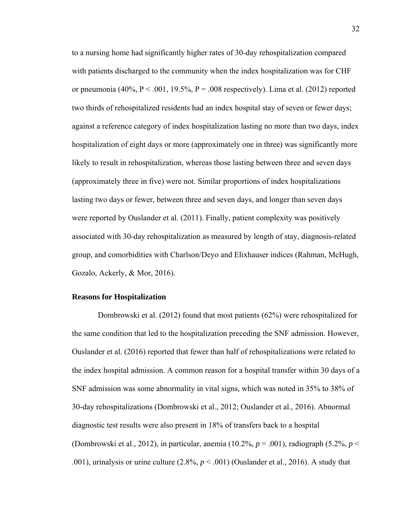to a nursing home had significantly higher rates of 30-day rehospitalization compared with patients discharged to the community when the index hospitalization was for CHF or pneumonia  $(40\%, P < .001, 19.5\%, P = .008$  respectively). Lima et al.  $(2012)$  reported two thirds of rehospitalized residents had an index hospital stay of seven or fewer days; against a reference category of index hospitalization lasting no more than two days, index hospitalization of eight days or more (approximately one in three) was significantly more likely to result in rehospitalization, whereas those lasting between three and seven days (approximately three in five) were not. Similar proportions of index hospitalizations lasting two days or fewer, between three and seven days, and longer than seven days were reported by Ouslander et al. (2011). Finally, patient complexity was positively associated with 30-day rehospitalization as measured by length of stay, diagnosis-related group, and comorbidities with Charlson/Deyo and Elixhauser indices (Rahman, McHugh, Gozalo, Ackerly, & Mor, 2016).

## **Reasons for Hospitalization**

Dombrowski et al. (2012) found that most patients (62%) were rehospitalized for the same condition that led to the hospitalization preceding the SNF admission. However, Ouslander et al. (2016) reported that fewer than half of rehospitalizations were related to the index hospital admission. A common reason for a hospital transfer within 30 days of a SNF admission was some abnormality in vital signs, which was noted in 35% to 38% of 30-day rehospitalizations (Dombrowski et al., 2012; Ouslander et al., 2016). Abnormal diagnostic test results were also present in 18% of transfers back to a hospital (Dombrowski et al., 2012), in particular, anemia (10.2%, *p* = .001), radiograph (5.2%, *p* < .001), urinalysis or urine culture  $(2.8\%, p < .001)$  (Ouslander et al., 2016). A study that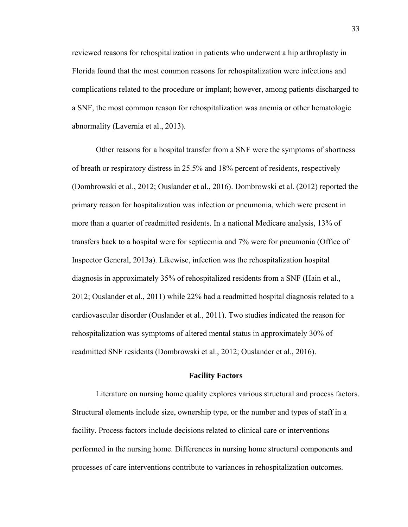reviewed reasons for rehospitalization in patients who underwent a hip arthroplasty in Florida found that the most common reasons for rehospitalization were infections and complications related to the procedure or implant; however, among patients discharged to a SNF, the most common reason for rehospitalization was anemia or other hematologic abnormality (Lavernia et al., 2013).

Other reasons for a hospital transfer from a SNF were the symptoms of shortness of breath or respiratory distress in 25.5% and 18% percent of residents, respectively (Dombrowski et al., 2012; Ouslander et al., 2016). Dombrowski et al. (2012) reported the primary reason for hospitalization was infection or pneumonia, which were present in more than a quarter of readmitted residents. In a national Medicare analysis, 13% of transfers back to a hospital were for septicemia and 7% were for pneumonia (Office of Inspector General, 2013a). Likewise, infection was the rehospitalization hospital diagnosis in approximately 35% of rehospitalized residents from a SNF (Hain et al., 2012; Ouslander et al., 2011) while 22% had a readmitted hospital diagnosis related to a cardiovascular disorder (Ouslander et al., 2011). Two studies indicated the reason for rehospitalization was symptoms of altered mental status in approximately 30% of readmitted SNF residents (Dombrowski et al., 2012; Ouslander et al., 2016).

#### **Facility Factors**

Literature on nursing home quality explores various structural and process factors. Structural elements include size, ownership type, or the number and types of staff in a facility. Process factors include decisions related to clinical care or interventions performed in the nursing home. Differences in nursing home structural components and processes of care interventions contribute to variances in rehospitalization outcomes.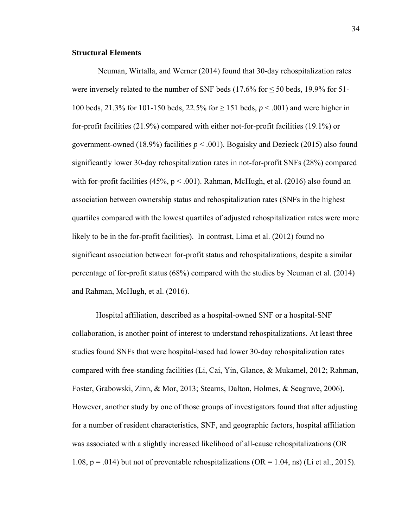### **Structural Elements**

 Neuman, Wirtalla, and Werner (2014) found that 30-day rehospitalization rates were inversely related to the number of SNF beds  $(17.6\%$  for  $\leq 50$  beds, 19.9% for 51-100 beds, 21.3% for 101-150 beds, 22.5% for ≥ 151 beds, *p* < .001) and were higher in for-profit facilities (21.9%) compared with either not-for-profit facilities (19.1%) or government-owned (18.9%) facilities  $p < .001$ ). Bogaisky and Dezieck (2015) also found significantly lower 30-day rehospitalization rates in not-for-profit SNFs (28%) compared with for-profit facilities (45%,  $p < .001$ ). Rahman, McHugh, et al. (2016) also found an association between ownership status and rehospitalization rates (SNFs in the highest quartiles compared with the lowest quartiles of adjusted rehospitalization rates were more likely to be in the for-profit facilities). In contrast, Lima et al. (2012) found no significant association between for-profit status and rehospitalizations, despite a similar percentage of for-profit status (68%) compared with the studies by Neuman et al. (2014) and Rahman, McHugh, et al. (2016).

Hospital affiliation, described as a hospital-owned SNF or a hospital-SNF collaboration, is another point of interest to understand rehospitalizations. At least three studies found SNFs that were hospital-based had lower 30-day rehospitalization rates compared with free-standing facilities (Li, Cai, Yin, Glance, & Mukamel, 2012; Rahman, Foster, Grabowski, Zinn, & Mor, 2013; Stearns, Dalton, Holmes, & Seagrave, 2006). However, another study by one of those groups of investigators found that after adjusting for a number of resident characteristics, SNF, and geographic factors, hospital affiliation was associated with a slightly increased likelihood of all-cause rehospitalizations (OR 1.08,  $p = .014$ ) but not of preventable rehospitalizations (OR = 1.04, ns) (Li et al., 2015).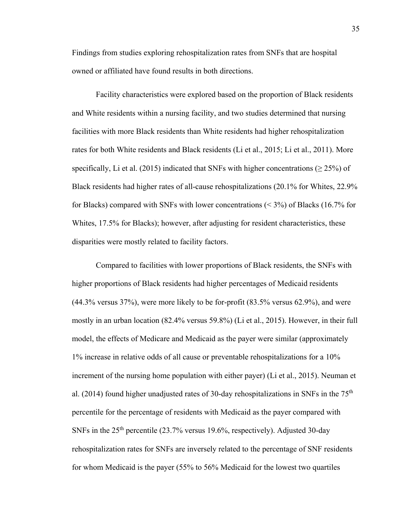Findings from studies exploring rehospitalization rates from SNFs that are hospital owned or affiliated have found results in both directions.

Facility characteristics were explored based on the proportion of Black residents and White residents within a nursing facility, and two studies determined that nursing facilities with more Black residents than White residents had higher rehospitalization rates for both White residents and Black residents (Li et al., 2015; Li et al., 2011). More specifically, Li et al. (2015) indicated that SNFs with higher concentrations ( $\geq$  25%) of Black residents had higher rates of all-cause rehospitalizations (20.1% for Whites, 22.9% for Blacks) compared with SNFs with lower concentrations (< 3%) of Blacks (16.7% for Whites, 17.5% for Blacks); however, after adjusting for resident characteristics, these disparities were mostly related to facility factors.

Compared to facilities with lower proportions of Black residents, the SNFs with higher proportions of Black residents had higher percentages of Medicaid residents (44.3% versus 37%), were more likely to be for-profit (83.5% versus 62.9%), and were mostly in an urban location (82.4% versus 59.8%) (Li et al., 2015). However, in their full model, the effects of Medicare and Medicaid as the payer were similar (approximately 1% increase in relative odds of all cause or preventable rehospitalizations for a 10% increment of the nursing home population with either payer) (Li et al., 2015). Neuman et al. (2014) found higher unadjusted rates of 30-day rehospitalizations in SNFs in the  $75<sup>th</sup>$ percentile for the percentage of residents with Medicaid as the payer compared with SNFs in the 25th percentile (23.7% versus 19.6%, respectively). Adjusted 30-day rehospitalization rates for SNFs are inversely related to the percentage of SNF residents for whom Medicaid is the payer (55% to 56% Medicaid for the lowest two quartiles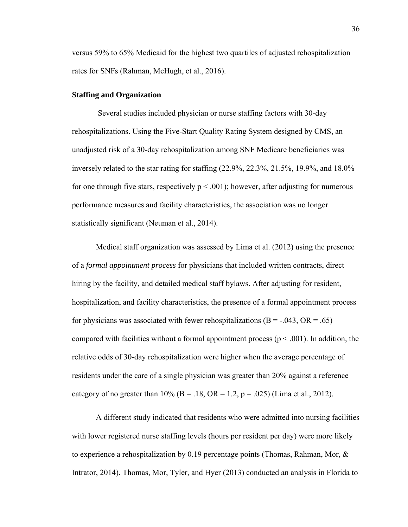versus 59% to 65% Medicaid for the highest two quartiles of adjusted rehospitalization rates for SNFs (Rahman, McHugh, et al., 2016).

## **Staffing and Organization**

 Several studies included physician or nurse staffing factors with 30-day rehospitalizations. Using the Five-Start Quality Rating System designed by CMS, an unadjusted risk of a 30-day rehospitalization among SNF Medicare beneficiaries was inversely related to the star rating for staffing (22.9%, 22.3%, 21.5%, 19.9%, and 18.0% for one through five stars, respectively  $p < .001$ ); however, after adjusting for numerous performance measures and facility characteristics, the association was no longer statistically significant (Neuman et al., 2014).

Medical staff organization was assessed by Lima et al. (2012) using the presence of a *formal appointment process* for physicians that included written contracts, direct hiring by the facility, and detailed medical staff bylaws. After adjusting for resident, hospitalization, and facility characteristics, the presence of a formal appointment process for physicians was associated with fewer rehospitalizations ( $B = -0.043$ ,  $OR = 0.65$ ) compared with facilities without a formal appointment process ( $p < .001$ ). In addition, the relative odds of 30-day rehospitalization were higher when the average percentage of residents under the care of a single physician was greater than 20% against a reference category of no greater than  $10\%$  (B = .18, OR = 1.2, p = .025) (Lima et al., 2012).

A different study indicated that residents who were admitted into nursing facilities with lower registered nurse staffing levels (hours per resident per day) were more likely to experience a rehospitalization by 0.19 percentage points (Thomas, Rahman, Mor, & Intrator, 2014). Thomas, Mor, Tyler, and Hyer (2013) conducted an analysis in Florida to

36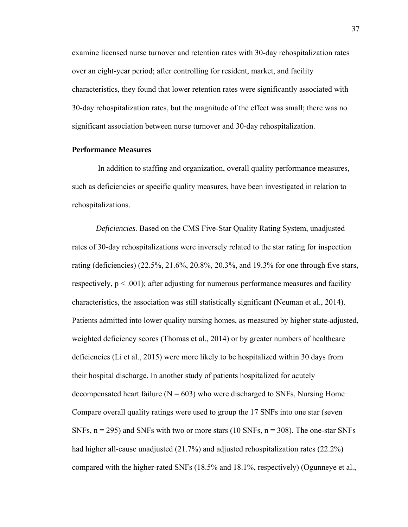examine licensed nurse turnover and retention rates with 30-day rehospitalization rates over an eight-year period; after controlling for resident, market, and facility characteristics, they found that lower retention rates were significantly associated with 30-day rehospitalization rates, but the magnitude of the effect was small; there was no significant association between nurse turnover and 30-day rehospitalization.

## **Performance Measures**

 In addition to staffing and organization, overall quality performance measures, such as deficiencies or specific quality measures, have been investigated in relation to rehospitalizations.

*Deficiencies.* Based on the CMS Five-Star Quality Rating System, unadjusted rates of 30-day rehospitalizations were inversely related to the star rating for inspection rating (deficiencies) (22.5%, 21.6%, 20.8%, 20.3%, and 19.3% for one through five stars, respectively,  $p < .001$ ; after adjusting for numerous performance measures and facility characteristics, the association was still statistically significant (Neuman et al., 2014). Patients admitted into lower quality nursing homes, as measured by higher state-adjusted, weighted deficiency scores (Thomas et al., 2014) or by greater numbers of healthcare deficiencies (Li et al., 2015) were more likely to be hospitalized within 30 days from their hospital discharge. In another study of patients hospitalized for acutely decompensated heart failure ( $N = 603$ ) who were discharged to SNFs, Nursing Home Compare overall quality ratings were used to group the 17 SNFs into one star (seven SNFs,  $n = 295$ ) and SNFs with two or more stars (10 SNFs,  $n = 308$ ). The one-star SNFs had higher all-cause unadjusted (21.7%) and adjusted rehospitalization rates (22.2%) compared with the higher-rated SNFs (18.5% and 18.1%, respectively) (Ogunneye et al.,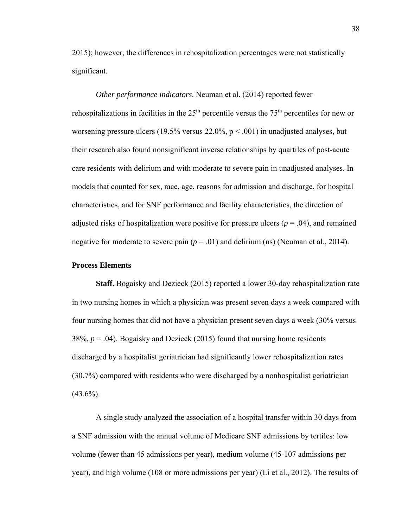2015); however, the differences in rehospitalization percentages were not statistically significant.

*Other performance indicators*. Neuman et al. (2014) reported fewer rehospitalizations in facilities in the  $25<sup>th</sup>$  percentile versus the  $75<sup>th</sup>$  percentiles for new or worsening pressure ulcers (19.5% versus  $22.0\%$ ,  $p < .001$ ) in unadjusted analyses, but their research also found nonsignificant inverse relationships by quartiles of post-acute care residents with delirium and with moderate to severe pain in unadjusted analyses. In models that counted for sex, race, age, reasons for admission and discharge, for hospital characteristics, and for SNF performance and facility characteristics, the direction of adjusted risks of hospitalization were positive for pressure ulcers ( $p = .04$ ), and remained negative for moderate to severe pain  $(p = .01)$  and delirium (ns) (Neuman et al., 2014).

#### **Process Elements**

**Staff.** Bogaisky and Dezieck (2015) reported a lower 30-day rehospitalization rate in two nursing homes in which a physician was present seven days a week compared with four nursing homes that did not have a physician present seven days a week (30% versus  $38\%$ ,  $p = .04$ ). Bogaisky and Dezieck (2015) found that nursing home residents discharged by a hospitalist geriatrician had significantly lower rehospitalization rates (30.7%) compared with residents who were discharged by a nonhospitalist geriatrician  $(43.6\%)$ .

A single study analyzed the association of a hospital transfer within 30 days from a SNF admission with the annual volume of Medicare SNF admissions by tertiles: low volume (fewer than 45 admissions per year), medium volume (45-107 admissions per year), and high volume (108 or more admissions per year) (Li et al., 2012). The results of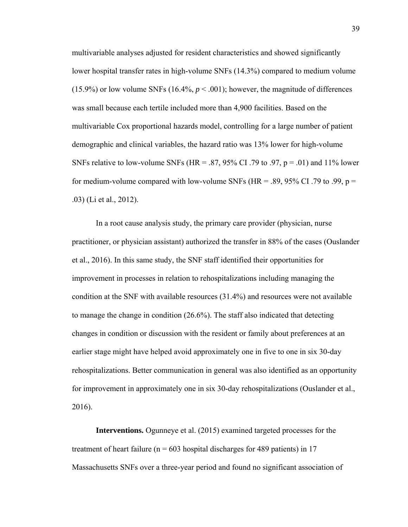multivariable analyses adjusted for resident characteristics and showed significantly lower hospital transfer rates in high-volume SNFs (14.3%) compared to medium volume (15.9%) or low volume SNFs (16.4%,  $p < .001$ ); however, the magnitude of differences was small because each tertile included more than 4,900 facilities. Based on the multivariable Cox proportional hazards model, controlling for a large number of patient demographic and clinical variables, the hazard ratio was 13% lower for high-volume SNFs relative to low-volume SNFs (HR = .87, 95% CI .79 to .97,  $p = .01$ ) and 11% lower for medium-volume compared with low-volume SNFs (HR = .89, 95% CI .79 to .99,  $p =$ .03) (Li et al., 2012).

In a root cause analysis study, the primary care provider (physician, nurse practitioner, or physician assistant) authorized the transfer in 88% of the cases (Ouslander et al., 2016). In this same study, the SNF staff identified their opportunities for improvement in processes in relation to rehospitalizations including managing the condition at the SNF with available resources (31.4%) and resources were not available to manage the change in condition (26.6%). The staff also indicated that detecting changes in condition or discussion with the resident or family about preferences at an earlier stage might have helped avoid approximately one in five to one in six 30-day rehospitalizations. Better communication in general was also identified as an opportunity for improvement in approximately one in six 30-day rehospitalizations (Ouslander et al., 2016).

**Interventions.** Ogunneye et al. (2015) examined targeted processes for the treatment of heart failure ( $n = 603$  hospital discharges for 489 patients) in 17 Massachusetts SNFs over a three-year period and found no significant association of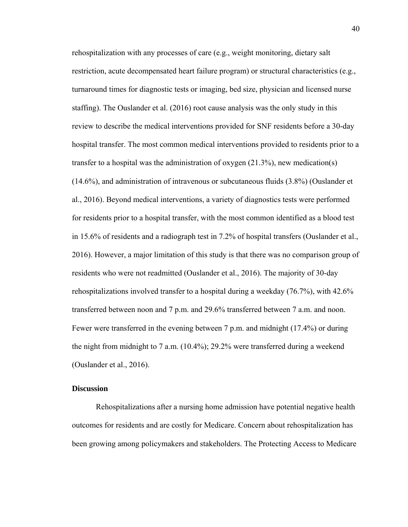rehospitalization with any processes of care (e.g., weight monitoring, dietary salt restriction, acute decompensated heart failure program) or structural characteristics (e.g., turnaround times for diagnostic tests or imaging, bed size, physician and licensed nurse staffing). The Ouslander et al. (2016) root cause analysis was the only study in this review to describe the medical interventions provided for SNF residents before a 30-day hospital transfer. The most common medical interventions provided to residents prior to a transfer to a hospital was the administration of oxygen (21.3%), new medication(s) (14.6%), and administration of intravenous or subcutaneous fluids (3.8%) (Ouslander et al., 2016). Beyond medical interventions, a variety of diagnostics tests were performed for residents prior to a hospital transfer, with the most common identified as a blood test in 15.6% of residents and a radiograph test in 7.2% of hospital transfers (Ouslander et al., 2016). However, a major limitation of this study is that there was no comparison group of residents who were not readmitted (Ouslander et al., 2016). The majority of 30-day rehospitalizations involved transfer to a hospital during a weekday (76.7%), with 42.6% transferred between noon and 7 p.m. and 29.6% transferred between 7 a.m. and noon. Fewer were transferred in the evening between 7 p.m. and midnight (17.4%) or during the night from midnight to 7 a.m.  $(10.4\%)$ ; 29.2% were transferred during a weekend (Ouslander et al., 2016).

#### **Discussion**

Rehospitalizations after a nursing home admission have potential negative health outcomes for residents and are costly for Medicare. Concern about rehospitalization has been growing among policymakers and stakeholders. The Protecting Access to Medicare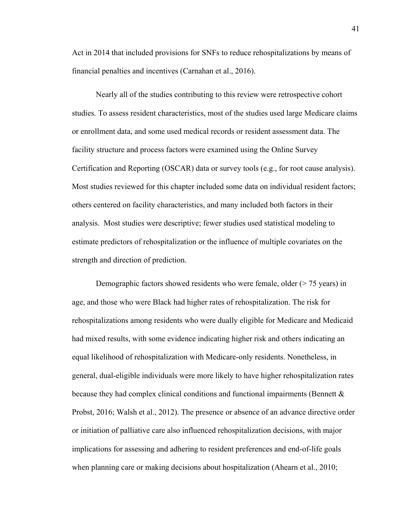Act in 2014 that included provisions for SNFs to reduce rehospitalizations by means of financial penalties and incentives (Carnahan et al., 2016).

 Nearly all of the studies contributing to this review were retrospective cohort studies. To assess resident characteristics, most of the studies used large Medicare claims or enrollment data, and some used medical records or resident assessment data. The facility structure and process factors were examined using the Online Survey Certification and Reporting (OSCAR) data or survey tools (e.g., for root cause analysis). Most studies reviewed for this chapter included some data on individual resident factors; others centered on facility characteristics, and many included both factors in their analysis. Most studies were descriptive; fewer studies used statistical modeling to estimate predictors of rehospitalization or the influence of multiple covariates on the strength and direction of prediction.

Demographic factors showed residents who were female, older (> 75 years) in age, and those who were Black had higher rates of rehospitalization. The risk for rehospitalizations among residents who were dually eligible for Medicare and Medicaid had mixed results, with some evidence indicating higher risk and others indicating an equal likelihood of rehospitalization with Medicare-only residents. Nonetheless, in general, dual-eligible individuals were more likely to have higher rehospitalization rates because they had complex clinical conditions and functional impairments (Bennett & Probst, 2016; Walsh et al., 2012). The presence or absence of an advance directive order or initiation of palliative care also influenced rehospitalization decisions, with major implications for assessing and adhering to resident preferences and end-of-life goals when planning care or making decisions about hospitalization (Ahearn et al., 2010;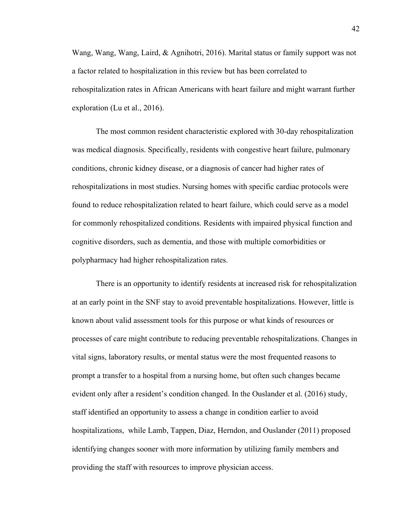Wang, Wang, Wang, Laird, & Agnihotri, 2016). Marital status or family support was not a factor related to hospitalization in this review but has been correlated to rehospitalization rates in African Americans with heart failure and might warrant further exploration (Lu et al., 2016).

The most common resident characteristic explored with 30-day rehospitalization was medical diagnosis. Specifically, residents with congestive heart failure, pulmonary conditions, chronic kidney disease, or a diagnosis of cancer had higher rates of rehospitalizations in most studies. Nursing homes with specific cardiac protocols were found to reduce rehospitalization related to heart failure, which could serve as a model for commonly rehospitalized conditions. Residents with impaired physical function and cognitive disorders, such as dementia, and those with multiple comorbidities or polypharmacy had higher rehospitalization rates.

There is an opportunity to identify residents at increased risk for rehospitalization at an early point in the SNF stay to avoid preventable hospitalizations. However, little is known about valid assessment tools for this purpose or what kinds of resources or processes of care might contribute to reducing preventable rehospitalizations. Changes in vital signs, laboratory results, or mental status were the most frequented reasons to prompt a transfer to a hospital from a nursing home, but often such changes became evident only after a resident's condition changed. In the Ouslander et al. (2016) study, staff identified an opportunity to assess a change in condition earlier to avoid hospitalizations, while Lamb, Tappen, Diaz, Herndon, and Ouslander (2011) proposed identifying changes sooner with more information by utilizing family members and providing the staff with resources to improve physician access.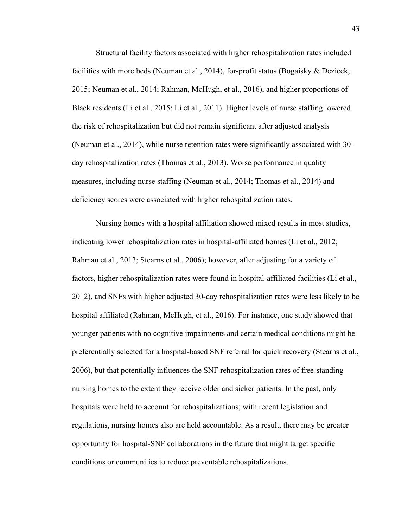Structural facility factors associated with higher rehospitalization rates included facilities with more beds (Neuman et al., 2014), for-profit status (Bogaisky & Dezieck, 2015; Neuman et al., 2014; Rahman, McHugh, et al., 2016), and higher proportions of Black residents (Li et al., 2015; Li et al., 2011). Higher levels of nurse staffing lowered the risk of rehospitalization but did not remain significant after adjusted analysis (Neuman et al., 2014), while nurse retention rates were significantly associated with 30 day rehospitalization rates (Thomas et al., 2013). Worse performance in quality measures, including nurse staffing (Neuman et al., 2014; Thomas et al., 2014) and deficiency scores were associated with higher rehospitalization rates.

Nursing homes with a hospital affiliation showed mixed results in most studies, indicating lower rehospitalization rates in hospital-affiliated homes (Li et al., 2012; Rahman et al., 2013; Stearns et al., 2006); however, after adjusting for a variety of factors, higher rehospitalization rates were found in hospital-affiliated facilities (Li et al., 2012), and SNFs with higher adjusted 30-day rehospitalization rates were less likely to be hospital affiliated (Rahman, McHugh, et al., 2016). For instance, one study showed that younger patients with no cognitive impairments and certain medical conditions might be preferentially selected for a hospital-based SNF referral for quick recovery (Stearns et al., 2006), but that potentially influences the SNF rehospitalization rates of free-standing nursing homes to the extent they receive older and sicker patients. In the past, only hospitals were held to account for rehospitalizations; with recent legislation and regulations, nursing homes also are held accountable. As a result, there may be greater opportunity for hospital-SNF collaborations in the future that might target specific conditions or communities to reduce preventable rehospitalizations.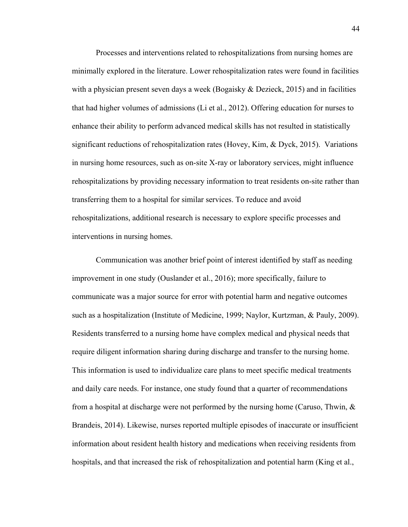Processes and interventions related to rehospitalizations from nursing homes are minimally explored in the literature. Lower rehospitalization rates were found in facilities with a physician present seven days a week (Bogaisky  $&$  Dezieck, 2015) and in facilities that had higher volumes of admissions (Li et al., 2012). Offering education for nurses to enhance their ability to perform advanced medical skills has not resulted in statistically significant reductions of rehospitalization rates (Hovey, Kim, & Dyck, 2015). Variations in nursing home resources, such as on-site X-ray or laboratory services, might influence rehospitalizations by providing necessary information to treat residents on-site rather than transferring them to a hospital for similar services. To reduce and avoid rehospitalizations, additional research is necessary to explore specific processes and interventions in nursing homes.

Communication was another brief point of interest identified by staff as needing improvement in one study (Ouslander et al., 2016); more specifically, failure to communicate was a major source for error with potential harm and negative outcomes such as a hospitalization (Institute of Medicine, 1999; Naylor, Kurtzman, & Pauly, 2009). Residents transferred to a nursing home have complex medical and physical needs that require diligent information sharing during discharge and transfer to the nursing home. This information is used to individualize care plans to meet specific medical treatments and daily care needs. For instance, one study found that a quarter of recommendations from a hospital at discharge were not performed by the nursing home (Caruso, Thwin, & Brandeis, 2014). Likewise, nurses reported multiple episodes of inaccurate or insufficient information about resident health history and medications when receiving residents from hospitals, and that increased the risk of rehospitalization and potential harm (King et al.,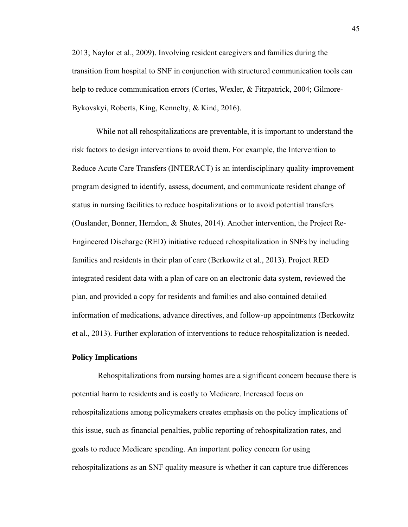2013; Naylor et al., 2009). Involving resident caregivers and families during the transition from hospital to SNF in conjunction with structured communication tools can help to reduce communication errors (Cortes, Wexler, & Fitzpatrick, 2004; Gilmore-Bykovskyi, Roberts, King, Kennelty, & Kind, 2016).

While not all rehospitalizations are preventable, it is important to understand the risk factors to design interventions to avoid them. For example, the Intervention to Reduce Acute Care Transfers (INTERACT) is an interdisciplinary quality-improvement program designed to identify, assess, document, and communicate resident change of status in nursing facilities to reduce hospitalizations or to avoid potential transfers (Ouslander, Bonner, Herndon, & Shutes, 2014). Another intervention, the Project Re-Engineered Discharge (RED) initiative reduced rehospitalization in SNFs by including families and residents in their plan of care (Berkowitz et al., 2013). Project RED integrated resident data with a plan of care on an electronic data system, reviewed the plan, and provided a copy for residents and families and also contained detailed information of medications, advance directives, and follow-up appointments (Berkowitz et al., 2013). Further exploration of interventions to reduce rehospitalization is needed.

#### **Policy Implications**

 Rehospitalizations from nursing homes are a significant concern because there is potential harm to residents and is costly to Medicare. Increased focus on rehospitalizations among policymakers creates emphasis on the policy implications of this issue, such as financial penalties, public reporting of rehospitalization rates, and goals to reduce Medicare spending. An important policy concern for using rehospitalizations as an SNF quality measure is whether it can capture true differences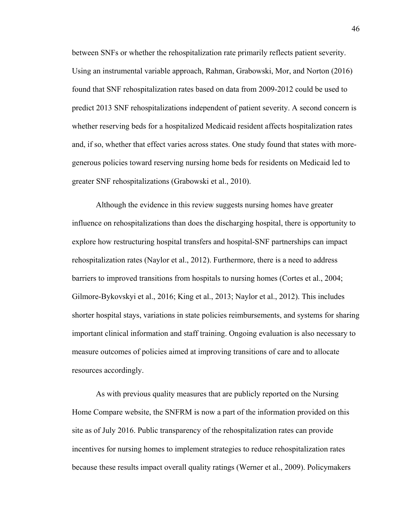between SNFs or whether the rehospitalization rate primarily reflects patient severity. Using an instrumental variable approach, Rahman, Grabowski, Mor, and Norton (2016) found that SNF rehospitalization rates based on data from 2009-2012 could be used to predict 2013 SNF rehospitalizations independent of patient severity. A second concern is whether reserving beds for a hospitalized Medicaid resident affects hospitalization rates and, if so, whether that effect varies across states. One study found that states with moregenerous policies toward reserving nursing home beds for residents on Medicaid led to greater SNF rehospitalizations (Grabowski et al., 2010).

Although the evidence in this review suggests nursing homes have greater influence on rehospitalizations than does the discharging hospital, there is opportunity to explore how restructuring hospital transfers and hospital-SNF partnerships can impact rehospitalization rates (Naylor et al., 2012). Furthermore, there is a need to address barriers to improved transitions from hospitals to nursing homes (Cortes et al., 2004; Gilmore-Bykovskyi et al., 2016; King et al., 2013; Naylor et al., 2012). This includes shorter hospital stays, variations in state policies reimbursements, and systems for sharing important clinical information and staff training. Ongoing evaluation is also necessary to measure outcomes of policies aimed at improving transitions of care and to allocate resources accordingly.

As with previous quality measures that are publicly reported on the Nursing Home Compare website, the SNFRM is now a part of the information provided on this site as of July 2016. Public transparency of the rehospitalization rates can provide incentives for nursing homes to implement strategies to reduce rehospitalization rates because these results impact overall quality ratings (Werner et al., 2009). Policymakers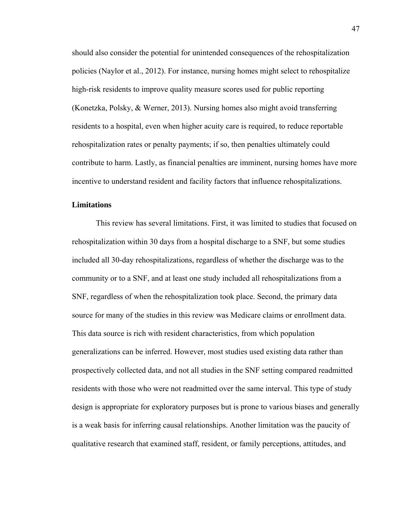should also consider the potential for unintended consequences of the rehospitalization policies (Naylor et al., 2012). For instance, nursing homes might select to rehospitalize high-risk residents to improve quality measure scores used for public reporting (Konetzka, Polsky, & Werner, 2013). Nursing homes also might avoid transferring residents to a hospital, even when higher acuity care is required, to reduce reportable rehospitalization rates or penalty payments; if so, then penalties ultimately could contribute to harm. Lastly, as financial penalties are imminent, nursing homes have more incentive to understand resident and facility factors that influence rehospitalizations.

# **Limitations**

This review has several limitations. First, it was limited to studies that focused on rehospitalization within 30 days from a hospital discharge to a SNF, but some studies included all 30-day rehospitalizations, regardless of whether the discharge was to the community or to a SNF, and at least one study included all rehospitalizations from a SNF, regardless of when the rehospitalization took place. Second, the primary data source for many of the studies in this review was Medicare claims or enrollment data. This data source is rich with resident characteristics, from which population generalizations can be inferred. However, most studies used existing data rather than prospectively collected data, and not all studies in the SNF setting compared readmitted residents with those who were not readmitted over the same interval. This type of study design is appropriate for exploratory purposes but is prone to various biases and generally is a weak basis for inferring causal relationships. Another limitation was the paucity of qualitative research that examined staff, resident, or family perceptions, attitudes, and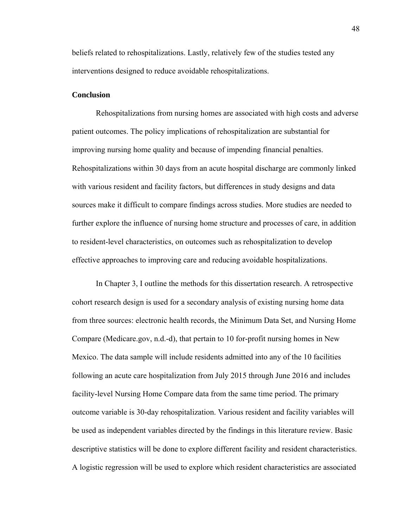beliefs related to rehospitalizations. Lastly, relatively few of the studies tested any interventions designed to reduce avoidable rehospitalizations.

## **Conclusion**

Rehospitalizations from nursing homes are associated with high costs and adverse patient outcomes. The policy implications of rehospitalization are substantial for improving nursing home quality and because of impending financial penalties. Rehospitalizations within 30 days from an acute hospital discharge are commonly linked with various resident and facility factors, but differences in study designs and data sources make it difficult to compare findings across studies. More studies are needed to further explore the influence of nursing home structure and processes of care, in addition to resident-level characteristics, on outcomes such as rehospitalization to develop effective approaches to improving care and reducing avoidable hospitalizations.

In Chapter 3, I outline the methods for this dissertation research. A retrospective cohort research design is used for a secondary analysis of existing nursing home data from three sources: electronic health records, the Minimum Data Set, and Nursing Home Compare (Medicare.gov, n.d.-d), that pertain to 10 for-profit nursing homes in New Mexico. The data sample will include residents admitted into any of the 10 facilities following an acute care hospitalization from July 2015 through June 2016 and includes facility-level Nursing Home Compare data from the same time period. The primary outcome variable is 30-day rehospitalization. Various resident and facility variables will be used as independent variables directed by the findings in this literature review. Basic descriptive statistics will be done to explore different facility and resident characteristics. A logistic regression will be used to explore which resident characteristics are associated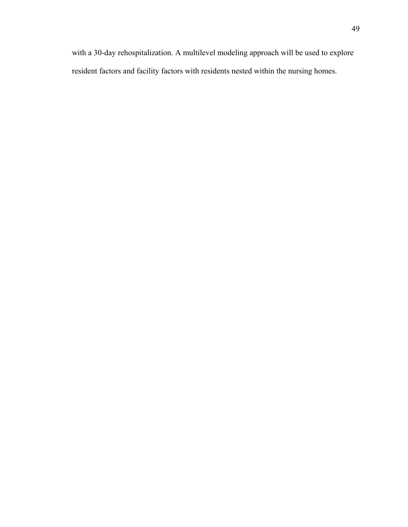with a 30-day rehospitalization. A multilevel modeling approach will be used to explore resident factors and facility factors with residents nested within the nursing homes.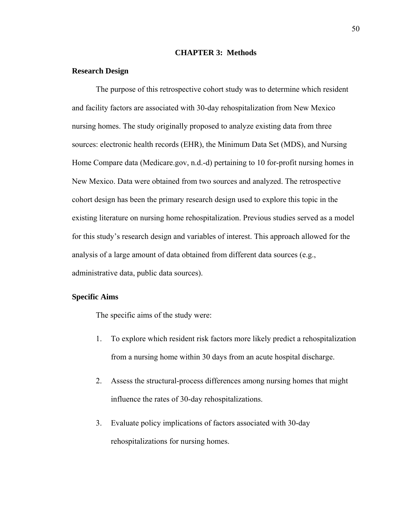#### **CHAPTER 3: Methods**

#### **Research Design**

The purpose of this retrospective cohort study was to determine which resident and facility factors are associated with 30-day rehospitalization from New Mexico nursing homes. The study originally proposed to analyze existing data from three sources: electronic health records (EHR), the Minimum Data Set (MDS), and Nursing Home Compare data (Medicare.gov, n.d.-d) pertaining to 10 for-profit nursing homes in New Mexico. Data were obtained from two sources and analyzed. The retrospective cohort design has been the primary research design used to explore this topic in the existing literature on nursing home rehospitalization. Previous studies served as a model for this study's research design and variables of interest. This approach allowed for the analysis of a large amount of data obtained from different data sources (e.g., administrative data, public data sources).

## **Specific Aims**

The specific aims of the study were:

- 1. To explore which resident risk factors more likely predict a rehospitalization from a nursing home within 30 days from an acute hospital discharge.
- 2. Assess the structural-process differences among nursing homes that might influence the rates of 30-day rehospitalizations.
- 3. Evaluate policy implications of factors associated with 30-day rehospitalizations for nursing homes.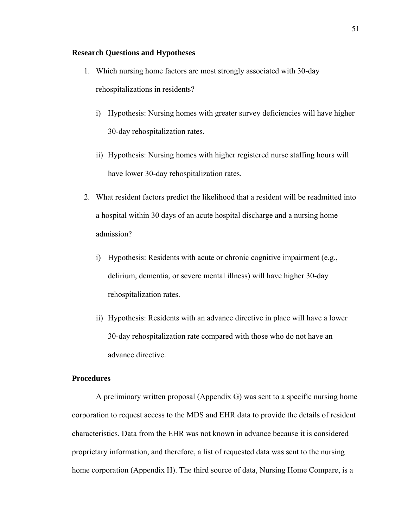## **Research Questions and Hypotheses**

- 1. Which nursing home factors are most strongly associated with 30-day rehospitalizations in residents?
	- i) Hypothesis: Nursing homes with greater survey deficiencies will have higher 30-day rehospitalization rates.
	- ii) Hypothesis: Nursing homes with higher registered nurse staffing hours will have lower 30-day rehospitalization rates.
- 2. What resident factors predict the likelihood that a resident will be readmitted into a hospital within 30 days of an acute hospital discharge and a nursing home admission?
	- i) Hypothesis: Residents with acute or chronic cognitive impairment (e.g., delirium, dementia, or severe mental illness) will have higher 30-day rehospitalization rates.
	- ii) Hypothesis: Residents with an advance directive in place will have a lower 30-day rehospitalization rate compared with those who do not have an advance directive.

# **Procedures**

A preliminary written proposal (Appendix G) was sent to a specific nursing home corporation to request access to the MDS and EHR data to provide the details of resident characteristics. Data from the EHR was not known in advance because it is considered proprietary information, and therefore, a list of requested data was sent to the nursing home corporation (Appendix H). The third source of data, Nursing Home Compare, is a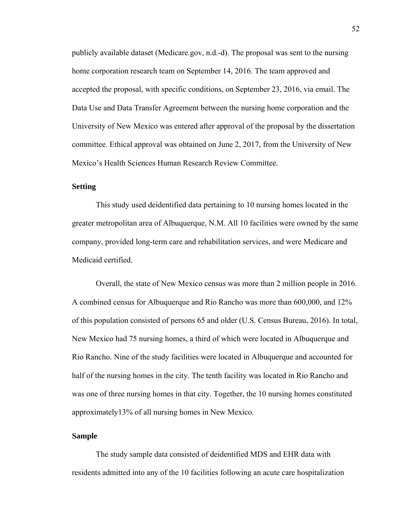publicly available dataset (Medicare.gov, n.d.-d). The proposal was sent to the nursing home corporation research team on September 14, 2016. The team approved and accepted the proposal, with specific conditions, on September 23, 2016, via email. The Data Use and Data Transfer Agreement between the nursing home corporation and the University of New Mexico was entered after approval of the proposal by the dissertation committee. Ethical approval was obtained on June 2, 2017, from the University of New Mexico's Health Sciences Human Research Review Committee.

# **Setting**

This study used deidentified data pertaining to 10 nursing homes located in the greater metropolitan area of Albuquerque, N.M. All 10 facilities were owned by the same company, provided long-term care and rehabilitation services, and were Medicare and Medicaid certified.

Overall, the state of New Mexico census was more than 2 million people in 2016. A combined census for Albuquerque and Rio Rancho was more than 600,000, and 12% of this population consisted of persons 65 and older (U.S. Census Bureau, 2016). In total, New Mexico had 75 nursing homes, a third of which were located in Albuquerque and Rio Rancho. Nine of the study facilities were located in Albuquerque and accounted for half of the nursing homes in the city. The tenth facility was located in Rio Rancho and was one of three nursing homes in that city. Together, the 10 nursing homes constituted approximately13% of all nursing homes in New Mexico.

## **Sample**

The study sample data consisted of deidentified MDS and EHR data with residents admitted into any of the 10 facilities following an acute care hospitalization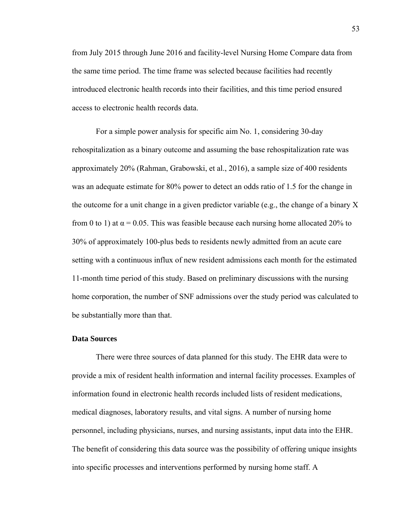from July 2015 through June 2016 and facility-level Nursing Home Compare data from the same time period. The time frame was selected because facilities had recently introduced electronic health records into their facilities, and this time period ensured access to electronic health records data.

For a simple power analysis for specific aim No. 1, considering 30-day rehospitalization as a binary outcome and assuming the base rehospitalization rate was approximately 20% (Rahman, Grabowski, et al., 2016), a sample size of 400 residents was an adequate estimate for 80% power to detect an odds ratio of 1.5 for the change in the outcome for a unit change in a given predictor variable (e.g., the change of a binary X from 0 to 1) at  $\alpha$  = 0.05. This was feasible because each nursing home allocated 20% to 30% of approximately 100-plus beds to residents newly admitted from an acute care setting with a continuous influx of new resident admissions each month for the estimated 11-month time period of this study. Based on preliminary discussions with the nursing home corporation, the number of SNF admissions over the study period was calculated to be substantially more than that.

## **Data Sources**

There were three sources of data planned for this study. The EHR data were to provide a mix of resident health information and internal facility processes. Examples of information found in electronic health records included lists of resident medications, medical diagnoses, laboratory results, and vital signs. A number of nursing home personnel, including physicians, nurses, and nursing assistants, input data into the EHR. The benefit of considering this data source was the possibility of offering unique insights into specific processes and interventions performed by nursing home staff. A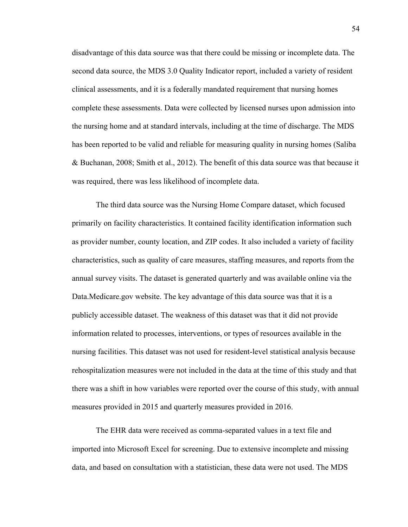disadvantage of this data source was that there could be missing or incomplete data. The second data source, the MDS 3.0 Quality Indicator report, included a variety of resident clinical assessments, and it is a federally mandated requirement that nursing homes complete these assessments. Data were collected by licensed nurses upon admission into the nursing home and at standard intervals, including at the time of discharge. The MDS has been reported to be valid and reliable for measuring quality in nursing homes (Saliba & Buchanan, 2008; Smith et al., 2012). The benefit of this data source was that because it was required, there was less likelihood of incomplete data.

The third data source was the Nursing Home Compare dataset, which focused primarily on facility characteristics. It contained facility identification information such as provider number, county location, and ZIP codes. It also included a variety of facility characteristics, such as quality of care measures, staffing measures, and reports from the annual survey visits. The dataset is generated quarterly and was available online via the Data.Medicare.gov website. The key advantage of this data source was that it is a publicly accessible dataset. The weakness of this dataset was that it did not provide information related to processes, interventions, or types of resources available in the nursing facilities. This dataset was not used for resident-level statistical analysis because rehospitalization measures were not included in the data at the time of this study and that there was a shift in how variables were reported over the course of this study, with annual measures provided in 2015 and quarterly measures provided in 2016.

The EHR data were received as comma-separated values in a text file and imported into Microsoft Excel for screening. Due to extensive incomplete and missing data, and based on consultation with a statistician, these data were not used. The MDS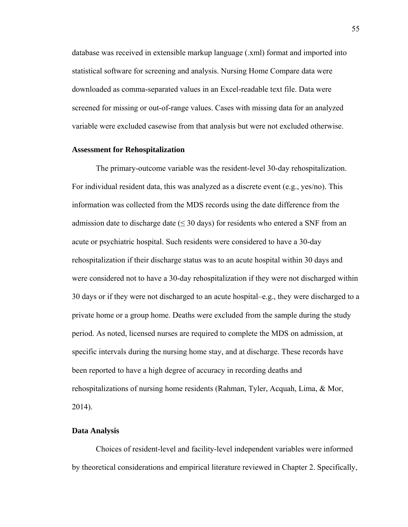database was received in extensible markup language (.xml) format and imported into statistical software for screening and analysis. Nursing Home Compare data were downloaded as comma-separated values in an Excel-readable text file. Data were screened for missing or out-of-range values. Cases with missing data for an analyzed variable were excluded casewise from that analysis but were not excluded otherwise.

#### **Assessment for Rehospitalization**

The primary-outcome variable was the resident-level 30-day rehospitalization. For individual resident data, this was analyzed as a discrete event (e.g., yes/no). This information was collected from the MDS records using the date difference from the admission date to discharge date ( $\leq$  30 days) for residents who entered a SNF from an acute or psychiatric hospital. Such residents were considered to have a 30-day rehospitalization if their discharge status was to an acute hospital within 30 days and were considered not to have a 30-day rehospitalization if they were not discharged within 30 days or if they were not discharged to an acute hospital–e.g., they were discharged to a private home or a group home. Deaths were excluded from the sample during the study period. As noted, licensed nurses are required to complete the MDS on admission, at specific intervals during the nursing home stay, and at discharge. These records have been reported to have a high degree of accuracy in recording deaths and rehospitalizations of nursing home residents (Rahman, Tyler, Acquah, Lima, & Mor, 2014).

#### **Data Analysis**

Choices of resident-level and facility-level independent variables were informed by theoretical considerations and empirical literature reviewed in Chapter 2. Specifically,

55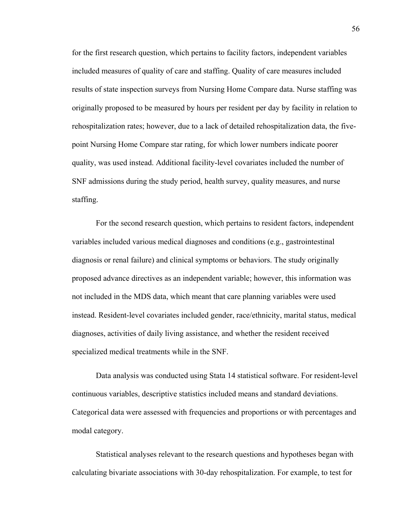for the first research question, which pertains to facility factors, independent variables included measures of quality of care and staffing. Quality of care measures included results of state inspection surveys from Nursing Home Compare data. Nurse staffing was originally proposed to be measured by hours per resident per day by facility in relation to rehospitalization rates; however, due to a lack of detailed rehospitalization data, the fivepoint Nursing Home Compare star rating, for which lower numbers indicate poorer quality, was used instead. Additional facility-level covariates included the number of SNF admissions during the study period, health survey, quality measures, and nurse staffing.

For the second research question, which pertains to resident factors, independent variables included various medical diagnoses and conditions (e.g., gastrointestinal diagnosis or renal failure) and clinical symptoms or behaviors. The study originally proposed advance directives as an independent variable; however, this information was not included in the MDS data, which meant that care planning variables were used instead. Resident-level covariates included gender, race/ethnicity, marital status, medical diagnoses, activities of daily living assistance, and whether the resident received specialized medical treatments while in the SNF.

Data analysis was conducted using Stata 14 statistical software. For resident-level continuous variables, descriptive statistics included means and standard deviations. Categorical data were assessed with frequencies and proportions or with percentages and modal category.

Statistical analyses relevant to the research questions and hypotheses began with calculating bivariate associations with 30-day rehospitalization. For example, to test for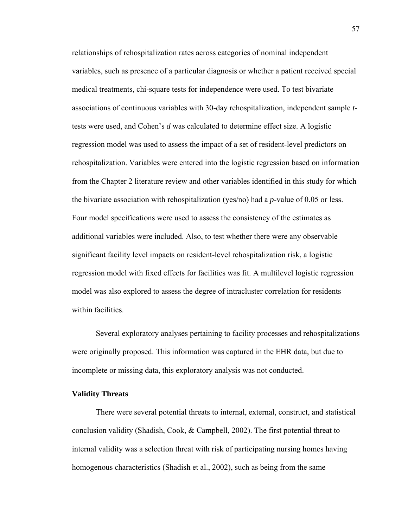relationships of rehospitalization rates across categories of nominal independent variables, such as presence of a particular diagnosis or whether a patient received special medical treatments, chi-square tests for independence were used. To test bivariate associations of continuous variables with 30-day rehospitalization, independent sample *t*tests were used, and Cohen's *d* was calculated to determine effect size. A logistic regression model was used to assess the impact of a set of resident-level predictors on rehospitalization. Variables were entered into the logistic regression based on information from the Chapter 2 literature review and other variables identified in this study for which the bivariate association with rehospitalization (yes/no) had a *p*-value of 0.05 or less. Four model specifications were used to assess the consistency of the estimates as additional variables were included. Also, to test whether there were any observable significant facility level impacts on resident-level rehospitalization risk, a logistic regression model with fixed effects for facilities was fit. A multilevel logistic regression model was also explored to assess the degree of intracluster correlation for residents within facilities.

Several exploratory analyses pertaining to facility processes and rehospitalizations were originally proposed. This information was captured in the EHR data, but due to incomplete or missing data, this exploratory analysis was not conducted.

### **Validity Threats**

There were several potential threats to internal, external, construct, and statistical conclusion validity (Shadish, Cook, & Campbell, 2002). The first potential threat to internal validity was a selection threat with risk of participating nursing homes having homogenous characteristics (Shadish et al., 2002), such as being from the same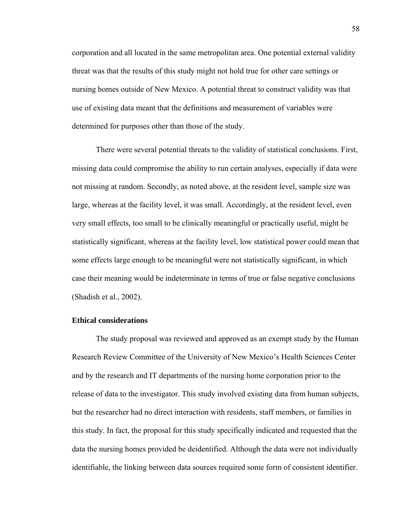corporation and all located in the same metropolitan area. One potential external validity threat was that the results of this study might not hold true for other care settings or nursing homes outside of New Mexico. A potential threat to construct validity was that use of existing data meant that the definitions and measurement of variables were determined for purposes other than those of the study.

There were several potential threats to the validity of statistical conclusions. First, missing data could compromise the ability to run certain analyses, especially if data were not missing at random. Secondly, as noted above, at the resident level, sample size was large, whereas at the facility level, it was small. Accordingly, at the resident level, even very small effects, too small to be clinically meaningful or practically useful, might be statistically significant, whereas at the facility level, low statistical power could mean that some effects large enough to be meaningful were not statistically significant, in which case their meaning would be indeterminate in terms of true or false negative conclusions (Shadish et al., 2002).

### **Ethical considerations**

The study proposal was reviewed and approved as an exempt study by the Human Research Review Committee of the University of New Mexico's Health Sciences Center and by the research and IT departments of the nursing home corporation prior to the release of data to the investigator. This study involved existing data from human subjects, but the researcher had no direct interaction with residents, staff members, or families in this study. In fact, the proposal for this study specifically indicated and requested that the data the nursing homes provided be deidentified. Although the data were not individually identifiable, the linking between data sources required some form of consistent identifier.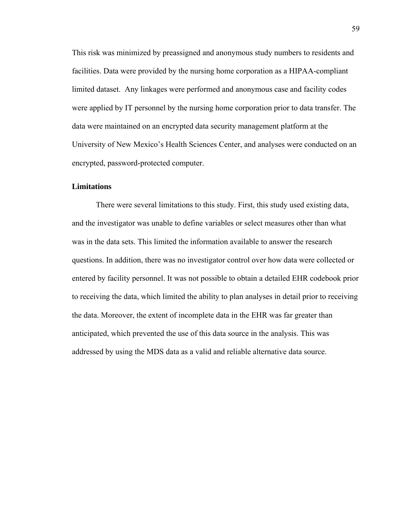This risk was minimized by preassigned and anonymous study numbers to residents and facilities. Data were provided by the nursing home corporation as a HIPAA-compliant limited dataset. Any linkages were performed and anonymous case and facility codes were applied by IT personnel by the nursing home corporation prior to data transfer. The data were maintained on an encrypted data security management platform at the University of New Mexico's Health Sciences Center, and analyses were conducted on an encrypted, password-protected computer.

# **Limitations**

There were several limitations to this study. First, this study used existing data, and the investigator was unable to define variables or select measures other than what was in the data sets. This limited the information available to answer the research questions. In addition, there was no investigator control over how data were collected or entered by facility personnel. It was not possible to obtain a detailed EHR codebook prior to receiving the data, which limited the ability to plan analyses in detail prior to receiving the data. Moreover, the extent of incomplete data in the EHR was far greater than anticipated, which prevented the use of this data source in the analysis. This was addressed by using the MDS data as a valid and reliable alternative data source.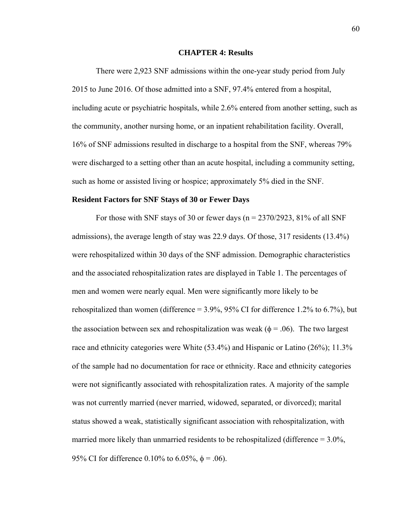#### **CHAPTER 4: Results**

There were 2,923 SNF admissions within the one-year study period from July 2015 to June 2016. Of those admitted into a SNF, 97.4% entered from a hospital, including acute or psychiatric hospitals, while 2.6% entered from another setting, such as the community, another nursing home, or an inpatient rehabilitation facility. Overall, 16% of SNF admissions resulted in discharge to a hospital from the SNF, whereas 79% were discharged to a setting other than an acute hospital, including a community setting, such as home or assisted living or hospice; approximately 5% died in the SNF.

#### **Resident Factors for SNF Stays of 30 or Fewer Days**

For those with SNF stays of 30 or fewer days ( $n = 2370/2923$ , 81% of all SNF admissions), the average length of stay was 22.9 days. Of those, 317 residents (13.4%) were rehospitalized within 30 days of the SNF admission. Demographic characteristics and the associated rehospitalization rates are displayed in Table 1. The percentages of men and women were nearly equal. Men were significantly more likely to be rehospitalized than women (difference  $= 3.9\%$ ,  $95\%$  CI for difference 1.2% to 6.7%), but the association between sex and rehospitalization was weak ( $\phi$  = .06). The two largest race and ethnicity categories were White (53.4%) and Hispanic or Latino (26%); 11.3% of the sample had no documentation for race or ethnicity. Race and ethnicity categories were not significantly associated with rehospitalization rates. A majority of the sample was not currently married (never married, widowed, separated, or divorced); marital status showed a weak, statistically significant association with rehospitalization, with married more likely than unmarried residents to be rehospitalized (difference  $= 3.0\%$ , 95% CI for difference 0.10% to 6.05%,  $\phi = .06$ ).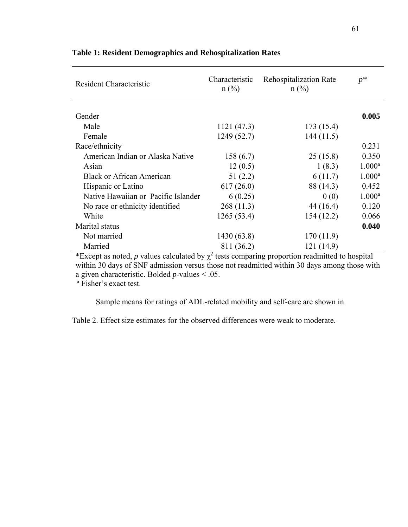| <b>Resident Characteristic</b>      | Characteristic<br>$n$ (%) | <b>Rehospitalization Rate</b><br>$n$ (%) | $p^*$     |
|-------------------------------------|---------------------------|------------------------------------------|-----------|
| Gender                              |                           |                                          | 0.005     |
|                                     |                           |                                          |           |
| Male                                | 1121(47.3)                | 173(15.4)                                |           |
| Female                              | 1249(52.7)                | 144(11.5)                                |           |
| Race/ethnicity                      |                           |                                          | 0.231     |
| American Indian or Alaska Native    | 158(6.7)                  | 25(15.8)                                 | 0.350     |
| Asian                               | 12(0.5)                   | 1(8.3)                                   | $1.000^a$ |
| <b>Black or African American</b>    | 51(2.2)                   | 6(11.7)                                  | $1.000^a$ |
| Hispanic or Latino                  | 617(26.0)                 | 88 (14.3)                                | 0.452     |
| Native Hawaiian or Pacific Islander | 6(0.25)                   | 0(0)                                     | $1.000^a$ |
| No race or ethnicity identified     | 268(11.3)                 | 44 (16.4)                                | 0.120     |
| White                               | 1265(53.4)                | 154(12.2)                                | 0.066     |
| Marital status                      |                           |                                          | 0.040     |
| Not married                         | 1430 (63.8)               | 170 (11.9)                               |           |
| Married                             | 811 (36.2)                | 121 (14.9)                               |           |

### **Table 1: Resident Demographics and Rehospitalization Rates**

\*Except as noted, *p* values calculated by  $\chi^2$  tests comparing proportion readmitted to hospital within 30 days of SNF admission versus those not readmitted within 30 days among those with a given characteristic. Bolded *p*-values < .05. a Fisher's exact test.

Sample means for ratings of ADL-related mobility and self-care are shown in

Table 2. Effect size estimates for the observed differences were weak to moderate.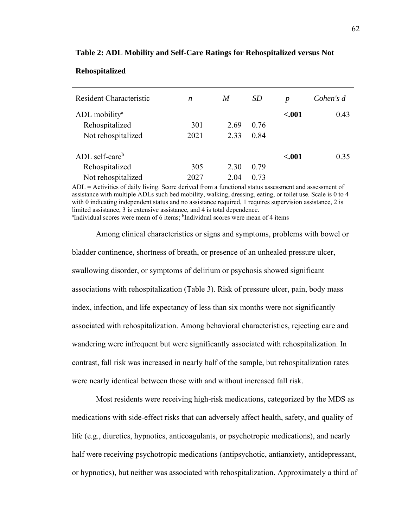| Resident Characteristic    | $\boldsymbol{n}$ | M    | SD   | $\boldsymbol{p}$ | Cohen's d |
|----------------------------|------------------|------|------|------------------|-----------|
| ADL mobility <sup>a</sup>  |                  |      |      | ${<}001$         | 0.43      |
| Rehospitalized             | 301              | 2.69 | 0.76 |                  |           |
| Not rehospitalized         | 2021             | 2.33 | 0.84 |                  |           |
| ADL self-care <sup>b</sup> |                  |      |      | $-.001$          | 0.35      |
| Rehospitalized             | 305              | 2.30 | 0.79 |                  |           |
| Not rehospitalized         | 2027             | 2.04 | 0.73 |                  |           |

#### **Table 2: ADL Mobility and Self-Care Ratings for Rehospitalized versus Not**

**Rehospitalized** 

ADL = Activities of daily living. Score derived from a functional status assessment and assessment of assistance with multiple ADLs such bed mobility, walking, dressing, eating, or toilet use. Scale is 0 to 4 with 0 indicating independent status and no assistance required, 1 requires supervision assistance, 2 is

limited assistance, 3 is extensive assistance, and 4 is total dependence. Individual scores were mean of 6 items; <sup>b</sup>Individual scores were mean of 4 items

Among clinical characteristics or signs and symptoms, problems with bowel or bladder continence, shortness of breath, or presence of an unhealed pressure ulcer, swallowing disorder, or symptoms of delirium or psychosis showed significant associations with rehospitalization (Table 3). Risk of pressure ulcer, pain, body mass index, infection, and life expectancy of less than six months were not significantly associated with rehospitalization. Among behavioral characteristics, rejecting care and wandering were infrequent but were significantly associated with rehospitalization. In contrast, fall risk was increased in nearly half of the sample, but rehospitalization rates were nearly identical between those with and without increased fall risk.

Most residents were receiving high-risk medications, categorized by the MDS as medications with side-effect risks that can adversely affect health, safety, and quality of life (e.g., diuretics, hypnotics, anticoagulants, or psychotropic medications), and nearly half were receiving psychotropic medications (antipsychotic, antianxiety, antidepressant, or hypnotics), but neither was associated with rehospitalization. Approximately a third of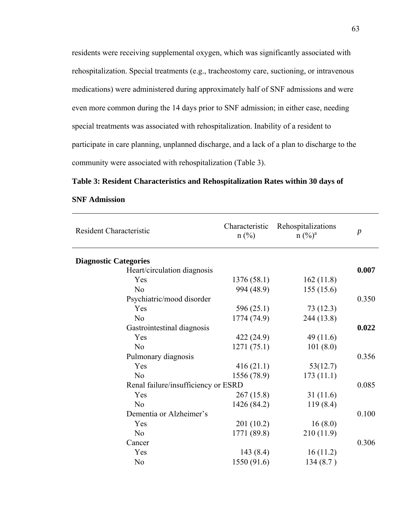residents were receiving supplemental oxygen, which was significantly associated with rehospitalization. Special treatments (e.g., tracheostomy care, suctioning, or intravenous medications) were administered during approximately half of SNF admissions and were even more common during the 14 days prior to SNF admission; in either case, needing special treatments was associated with rehospitalization. Inability of a resident to participate in care planning, unplanned discharge, and a lack of a plan to discharge to the community were associated with rehospitalization (Table 3).

#### **Table 3: Resident Characteristics and Rehospitalization Rates within 30 days of**

| <b>Resident Characteristic</b>      | Characteristic<br>$n$ (%) | Rehospitalizations<br>$n (%)^a$ | $\boldsymbol{p}$ |
|-------------------------------------|---------------------------|---------------------------------|------------------|
| <b>Diagnostic Categories</b>        |                           |                                 |                  |
| Heart/circulation diagnosis         |                           |                                 | 0.007            |
| Yes                                 | 1376(58.1)                | 162(11.8)                       |                  |
| N <sub>o</sub>                      | 994 (48.9)                | 155(15.6)                       |                  |
| Psychiatric/mood disorder           |                           |                                 | 0.350            |
| Yes                                 | 596 $(25.1)$              | 73(12.3)                        |                  |
| N <sub>o</sub>                      | 1774 (74.9)               | 244 (13.8)                      |                  |
| Gastrointestinal diagnosis          |                           |                                 | 0.022            |
| Yes                                 | 422(24.9)                 | 49(11.6)                        |                  |
| No                                  | 1271(75.1)                | 101(8.0)                        |                  |
| Pulmonary diagnosis                 |                           |                                 | 0.356            |
| Yes                                 | 416(21.1)                 | 53(12.7)                        |                  |
| N <sub>o</sub>                      | 1556 (78.9)               | 173(11.1)                       |                  |
| Renal failure/insufficiency or ESRD |                           |                                 | 0.085            |
| Yes                                 | 267(15.8)                 | 31(11.6)                        |                  |
| No                                  | 1426 (84.2)               | 119(8.4)                        |                  |
| Dementia or Alzheimer's             |                           |                                 | 0.100            |
| Yes                                 | 201(10.2)                 | 16(8.0)                         |                  |
| N <sub>o</sub>                      | 1771 (89.8)               | 210(11.9)                       |                  |
| Cancer                              |                           |                                 | 0.306            |
| Yes                                 | 143(8.4)                  | 16(11.2)                        |                  |
| N <sub>o</sub>                      | 1550 (91.6)               | 134(8.7)                        |                  |

#### **SNF Admission**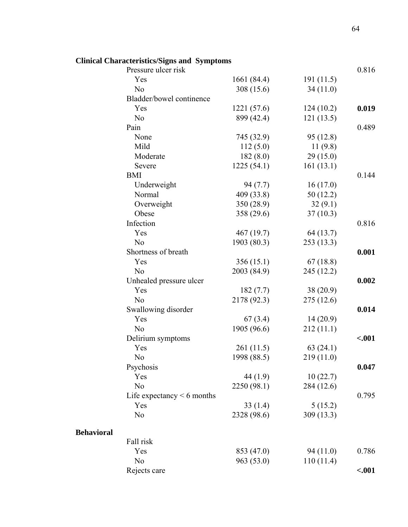|                   | Clinical Characteristics/Signs and Symptoms |             |            |         |
|-------------------|---------------------------------------------|-------------|------------|---------|
|                   | Pressure ulcer risk                         |             |            | 0.816   |
|                   | Yes                                         | 1661 (84.4) | 191(11.5)  |         |
|                   | N <sub>o</sub>                              | 308 (15.6)  | 34(11.0)   |         |
|                   | Bladder/bowel continence                    |             |            |         |
|                   | Yes                                         | 1221 (57.6) | 124(10.2)  | 0.019   |
|                   | N <sub>o</sub>                              | 899 (42.4)  | 121(13.5)  |         |
|                   | Pain                                        |             |            | 0.489   |
|                   | None                                        | 745 (32.9)  | 95 (12.8)  |         |
|                   | Mild                                        | 112(5.0)    | 11(9.8)    |         |
|                   | Moderate                                    | 182(8.0)    | 29(15.0)   |         |
|                   | Severe                                      | 1225(54.1)  | 161(13.1)  |         |
|                   | <b>BMI</b>                                  |             |            | 0.144   |
|                   | Underweight                                 | 94(7.7)     | 16(17.0)   |         |
|                   | Normal                                      | 409 (33.8)  | 50(12.2)   |         |
|                   | Overweight                                  | 350 (28.9)  | 32(9.1)    |         |
|                   | Obese                                       | 358 (29.6)  | 37(10.3)   |         |
|                   | Infection                                   |             |            | 0.816   |
|                   | Yes                                         | 467(19.7)   | 64 (13.7)  |         |
|                   | N <sub>o</sub>                              | 1903 (80.3) | 253(13.3)  |         |
|                   | Shortness of breath                         |             |            | 0.001   |
|                   | Yes                                         | 356(15.1)   | 67(18.8)   |         |
|                   | N <sub>o</sub>                              | 2003 (84.9) | 245 (12.2) |         |
|                   | Unhealed pressure ulcer                     |             |            | 0.002   |
|                   | Yes                                         | 182(7.7)    | 38 (20.9)  |         |
|                   | N <sub>o</sub>                              | 2178 (92.3) | 275(12.6)  |         |
|                   | Swallowing disorder                         |             |            | 0.014   |
|                   | Yes                                         | 67(3.4)     | 14(20.9)   |         |
|                   | N <sub>o</sub>                              | 1905 (96.6) | 212(11.1)  |         |
|                   | Delirium symptoms                           |             |            | $-.001$ |
|                   | Yes                                         | 261(11.5)   | 63(24.1)   |         |
|                   | N <sub>0</sub>                              | 1998 (88.5) | 219(11.0)  |         |
|                   | Psychosis                                   |             |            | 0.047   |
|                   | Yes                                         | 44 $(1.9)$  | 10(22.7)   |         |
|                   | N <sub>o</sub>                              | 2250 (98.1) | 284 (12.6) |         |
|                   | Life expectancy $\leq 6$ months             |             |            | 0.795   |
|                   | Yes                                         | 33(1.4)     | 5(15.2)    |         |
|                   | N <sub>o</sub>                              | 2328 (98.6) | 309 (13.3) |         |
| <b>Behavioral</b> |                                             |             |            |         |
|                   | Fall risk                                   |             |            |         |
|                   | Yes                                         | 853 (47.0)  | 94 (11.0)  | 0.786   |
|                   | N <sub>o</sub>                              | 963 (53.0)  | 110(11.4)  |         |
|                   | Rejects care                                |             |            | $-.001$ |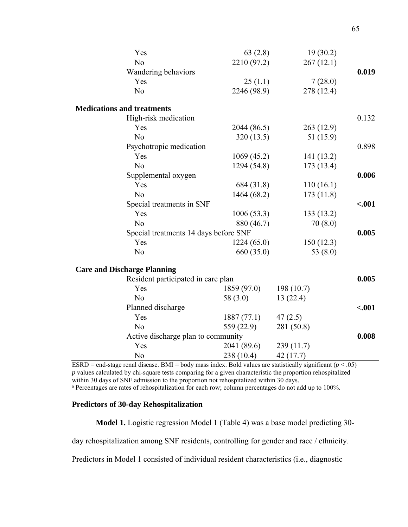| Yes                                   | 63(2.8)     | 19(30.2)   |         |
|---------------------------------------|-------------|------------|---------|
| N <sub>o</sub>                        | 2210 (97.2) | 267(12.1)  |         |
| Wandering behaviors                   |             |            | 0.019   |
| Yes                                   | 25(1.1)     | 7(28.0)    |         |
| No                                    | 2246 (98.9) | 278 (12.4) |         |
| <b>Medications and treatments</b>     |             |            |         |
| High-risk medication                  |             |            | 0.132   |
| Yes                                   | 2044 (86.5) | 263(12.9)  |         |
| N <sub>o</sub>                        | 320(13.5)   | 51(15.9)   |         |
| Psychotropic medication               |             |            | 0.898   |
| Yes                                   | 1069(45.2)  | 141(13.2)  |         |
| N <sub>o</sub>                        | 1294 (54.8) | 173(13.4)  |         |
| Supplemental oxygen                   |             |            | 0.006   |
| Yes                                   | 684 (31.8)  | 110(16.1)  |         |
| N <sub>o</sub>                        | 1464 (68.2) | 173(11.8)  |         |
| Special treatments in SNF             |             |            | $-.001$ |
| Yes                                   | 1006(53.3)  | 133(13.2)  |         |
| N <sub>o</sub>                        | 880 (46.7)  | 70(8.0)    |         |
| Special treatments 14 days before SNF |             |            | 0.005   |
| Yes                                   | 1224(65.0)  | 150(12.3)  |         |
| N <sub>o</sub>                        | 660 (35.0)  | 53 $(8.0)$ |         |
| <b>Care and Discharge Planning</b>    |             |            |         |
| Resident participated in care plan    |             |            | 0.005   |
| Yes                                   | 1859 (97.0) | 198(10.7)  |         |
| N <sub>o</sub>                        | 58 $(3.0)$  | 13(22.4)   |         |
| Planned discharge                     |             |            | $-.001$ |
| Yes                                   | 1887(77.1)  | 47(2.5)    |         |
| N <sub>o</sub>                        | 559 (22.9)  | 281 (50.8) |         |
| Active discharge plan to community    |             |            | 0.008   |
| Yes                                   | 2041 (89.6) | 239(11.7)  |         |
| N <sub>0</sub>                        | 238 (10.4)  | 42 (17.7)  |         |

ESRD = end-stage renal disease. BMI = body mass index. Bold values are statistically significant  $(p < .05)$ *p* values calculated by chi-square tests comparing for a given characteristic the proportion rehospitalized within 30 days of SNF admission to the proportion not rehospitalized within 30 days.

<sup>a</sup> Percentages are rates of rehospitalization for each row; column percentages do not add up to 100%.

#### **Predictors of 30-day Rehospitalization**

**Model 1.** Logistic regression Model 1 (Table 4) was a base model predicting 30-

day rehospitalization among SNF residents, controlling for gender and race / ethnicity.

Predictors in Model 1 consisted of individual resident characteristics (i.e., diagnostic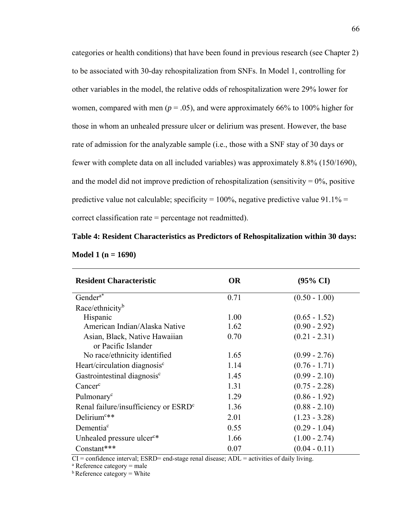categories or health conditions) that have been found in previous research (see Chapter 2) to be associated with 30-day rehospitalization from SNFs. In Model 1, controlling for other variables in the model, the relative odds of rehospitalization were 29% lower for women, compared with men ( $p = .05$ ), and were approximately 66% to 100% higher for those in whom an unhealed pressure ulcer or delirium was present. However, the base rate of admission for the analyzable sample (i.e., those with a SNF stay of 30 days or fewer with complete data on all included variables) was approximately 8.8% (150/1690), and the model did not improve prediction of rehospitalization (sensitivity  $= 0\%$ , positive predictive value not calculable; specificity =  $100\%$ , negative predictive value 91.1% = correct classification rate = percentage not readmitted).

# **Table 4: Resident Characteristics as Predictors of Rehospitalization within 30 days:**

| <b>Resident Characteristic</b>                   | <b>OR</b> | $(95\% \text{ CI})$ |
|--------------------------------------------------|-----------|---------------------|
| Gender <sup>a*</sup>                             | 0.71      | $(0.50 - 1.00)$     |
| Race/ethnicity <sup>b</sup>                      |           |                     |
| Hispanic                                         | 1.00      | $(0.65 - 1.52)$     |
| American Indian/Alaska Native                    | 1.62      | $(0.90 - 2.92)$     |
| Asian, Black, Native Hawaiian                    | 0.70      | $(0.21 - 2.31)$     |
| or Pacific Islander                              |           |                     |
| No race/ethnicity identified                     | 1.65      | $(0.99 - 2.76)$     |
| Heart/circulation diagnosis <sup>c</sup>         | 1.14      | $(0.76 - 1.71)$     |
| Gastrointestinal diagnosis <sup>c</sup>          | 1.45      | $(0.99 - 2.10)$     |
| $Cancer^c$                                       | 1.31      | $(0.75 - 2.28)$     |
| Pulmonary <sup>c</sup>                           | 1.29      | $(0.86 - 1.92)$     |
| Renal failure/insufficiency or ESRD <sup>c</sup> | 1.36      | $(0.88 - 2.10)$     |
| Delirium <sup>c**</sup>                          | 2.01      | $(1.23 - 3.28)$     |
| Dementia <sup>c</sup>                            | 0.55      | $(0.29 - 1.04)$     |
| Unhealed pressure ulcer <sup>c*</sup>            | 1.66      | $(1.00 - 2.74)$     |
| Constant***                                      | 0.07      | $(0.04 - 0.11)$     |

**Model 1 (n = 1690)** 

 $CI =$  confidence interval; ESRD= end-stage renal disease; ADL = activities of daily living.

 $a$  Reference category = male

 $<sup>b</sup>$  Reference category = White</sup>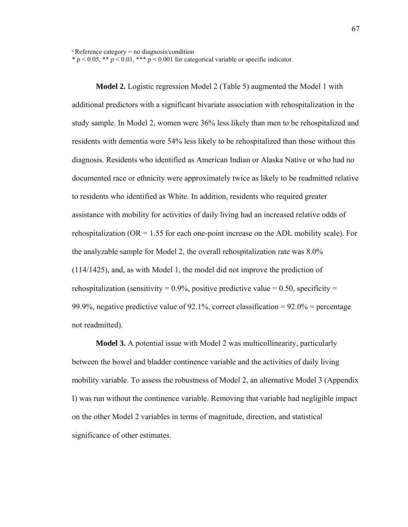$c$  Reference category = no diagnosis/condition

 $* p < 0.05$ ,  $** p < 0.01$ ,  $*** p < 0.001$  for categorical variable or specific indicator.

**Model 2.** Logistic regression Model 2 (Table 5) augmented the Model 1 with additional predictors with a significant bivariate association with rehospitalization in the study sample. In Model 2, women were 36% less likely than men to be rehospitalized and residents with dementia were 54% less likely to be rehospitalized than those without this diagnosis. Residents who identified as American Indian or Alaska Native or who had no documented race or ethnicity were approximately twice as likely to be readmitted relative to residents who identified as White. In addition, residents who required greater assistance with mobility for activities of daily living had an increased relative odds of rehospitalization ( $OR = 1.55$  for each one-point increase on the ADL mobility scale). For the analyzable sample for Model 2, the overall rehospitalization rate was 8.0% (114/1425), and, as with Model 1, the model did not improve the prediction of rehospitalization (sensitivity =  $0.9\%$ , positive predictive value = 0.50, specificity = 99.9%, negative predictive value of 92.1%, correct classification =  $92.0\%$  = percentage not readmitted).

**Model 3.** A potential issue with Model 2 was multicollinearity, particularly between the bowel and bladder continence variable and the activities of daily living mobility variable. To assess the robustness of Model 2, an alternative Model 3 (Appendix I) was run without the continence variable. Removing that variable had negligible impact on the other Model 2 variables in terms of magnitude, direction, and statistical significance of other estimates.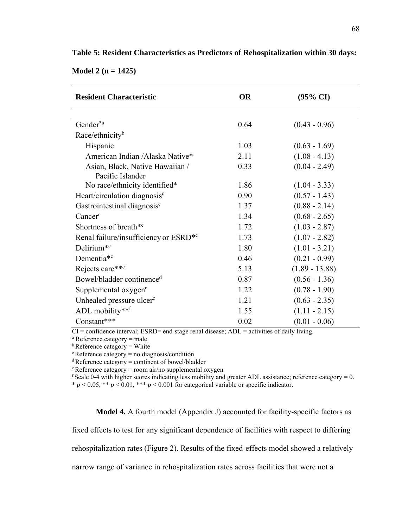| <b>Resident Characteristic</b>                    | <b>OR</b> | $(95\% \text{ CI})$ |
|---------------------------------------------------|-----------|---------------------|
|                                                   |           |                     |
| Gender <sup>*a</sup>                              | 0.64      | $(0.43 - 0.96)$     |
| Race/ethnicity <sup>b</sup>                       |           |                     |
| Hispanic                                          | 1.03      | $(0.63 - 1.69)$     |
| American Indian /Alaska Native*                   | 2.11      | $(1.08 - 4.13)$     |
| Asian, Black, Native Hawaiian /                   | 0.33      | $(0.04 - 2.49)$     |
| Pacific Islander                                  |           |                     |
| No race/ethnicity identified*                     | 1.86      | $(1.04 - 3.33)$     |
| Heart/circulation diagnosis <sup>c</sup>          | 0.90      | $(0.57 - 1.43)$     |
| Gastrointestinal diagnosis <sup>c</sup>           | 1.37      | $(0.88 - 2.14)$     |
| $Cancer^c$                                        | 1.34      | $(0.68 - 2.65)$     |
| Shortness of breath <sup>*c</sup>                 | 1.72      | $(1.03 - 2.87)$     |
| Renal failure/insufficiency or ESRD <sup>*c</sup> | 1.73      | $(1.07 - 2.82)$     |
| Delirium <sup>*c</sup>                            | 1.80      | $(1.01 - 3.21)$     |
| Dementia <sup>*c</sup>                            | 0.46      | $(0.21 - 0.99)$     |
| Rejects care**c                                   | 5.13      | $(1.89 - 13.88)$    |
| Bowel/bladder continence <sup>d</sup>             | 0.87      | $(0.56 - 1.36)$     |
| Supplemental oxygen <sup>e</sup>                  | 1.22      | $(0.78 - 1.90)$     |
| Unhealed pressure ulcer <sup>c</sup>              | 1.21      | $(0.63 - 2.35)$     |
| ADL mobility**f                                   | 1.55      | $(1.11 - 2.15)$     |
| Constant***                                       | 0.02      | $(0.01 - 0.06)$     |

**Table 5: Resident Characteristics as Predictors of Rehospitalization within 30 days:** 

**Model 2 (n = 1425)** 

 $CI =$  confidence interval; ESRD= end-stage renal disease; ADL = activities of daily living.

 $a$  Reference category  $=$  male

 $<sup>b</sup>$  Reference category = White</sup>

 $c$  Reference category = no diagnosis/condition

d Reference category = continent of bowel/bladder

e Reference category = room air/no supplemental oxygen

 $f$  Scale 0-4 with higher scores indicating less mobility and greater ADL assistance; reference category = 0.  $* p < 0.05$ ,  $** p < 0.01$ ,  $*** p < 0.001$  for categorical variable or specific indicator.

#### **Model 4.** A fourth model (Appendix J) accounted for facility-specific factors as

fixed effects to test for any significant dependence of facilities with respect to differing

rehospitalization rates (Figure 2). Results of the fixed-effects model showed a relatively

narrow range of variance in rehospitalization rates across facilities that were not a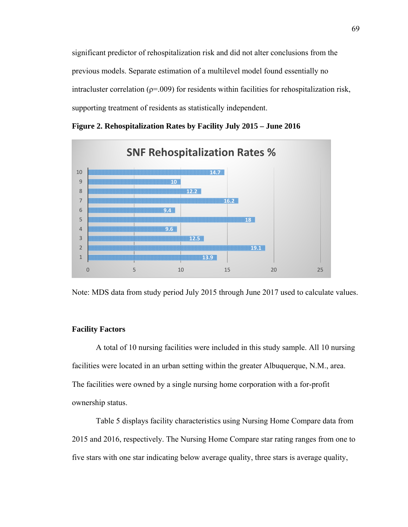significant predictor of rehospitalization risk and did not alter conclusions from the previous models. Separate estimation of a multilevel model found essentially no intracluster correlation ( $p=0.009$ ) for residents within facilities for rehospitalization risk, supporting treatment of residents as statistically independent.



**Figure 2. Rehospitalization Rates by Facility July 2015 – June 2016** 



#### **Facility Factors**

A total of 10 nursing facilities were included in this study sample. All 10 nursing facilities were located in an urban setting within the greater Albuquerque, N.M., area. The facilities were owned by a single nursing home corporation with a for-profit ownership status.

Table 5 displays facility characteristics using Nursing Home Compare data from 2015 and 2016, respectively. The Nursing Home Compare star rating ranges from one to five stars with one star indicating below average quality, three stars is average quality,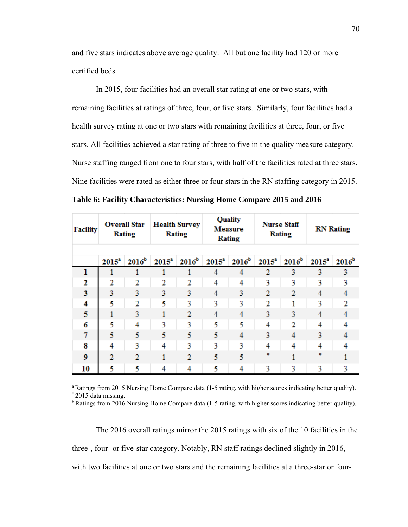and five stars indicates above average quality. All but one facility had 120 or more certified beds.

In 2015, four facilities had an overall star rating at one or two stars, with remaining facilities at ratings of three, four, or five stars. Similarly, four facilities had a health survey rating at one or two stars with remaining facilities at three, four, or five stars. All facilities achieved a star rating of three to five in the quality measure category. Nurse staffing ranged from one to four stars, with half of the facilities rated at three stars. Nine facilities were rated as either three or four stars in the RN staffing category in 2015.

**Table 6: Facility Characteristics: Nursing Home Compare 2015 and 2016** 

| <b>Facility</b> |                   | <b>Overall Star</b><br>Rating |          | <b>Health Survey</b><br>Rating |          | Quality<br>Measure<br>Rating |          | <b>Nurse Staff</b><br>Rating |                   | <b>RN</b> Rating  |
|-----------------|-------------------|-------------------------------|----------|--------------------------------|----------|------------------------------|----------|------------------------------|-------------------|-------------------|
|                 | 2015 <sup>a</sup> | 2016 <sup>b</sup>             | $2015^a$ | 2016 <sup>b</sup>              | $2015^a$ | 2016 <sup>b</sup>            | $2015^a$ | 2016 <sup>b</sup>            | 2015 <sup>a</sup> | 2016 <sup>b</sup> |
| ı               |                   |                               |          |                                | 4        | 4                            | 2        | 3                            | 3                 | 3                 |
| 2               | 2                 | 2                             | 2        | 2                              | 4        | 4                            | 3        | 3                            | 3                 | 3                 |
| 3               | 3                 | 3                             | 3        | 3                              | 4        | 3                            | 2        | 2                            | 4                 | 4                 |
| 4               | 5                 | 2                             | 5        | 3                              | 3        | 3                            | 2        | 1                            | 3                 | $\overline{2}$    |
| 5               | 1                 | 3                             | 1        | $\mathbf{2}$                   | 4        | 4                            | 3        | 3                            | 4                 | 4                 |
| 6               | 5                 | 4                             | 3        | 3                              | 5        | 5                            | 4        | 2                            | 4                 | 4                 |
| 7               | 5                 | 5                             | 5        | 5                              | 5        | 4                            | 3        | 4                            | 3                 | 4                 |
| 8               | 4                 | 3                             | 4        | 3                              | 3        | 3                            | 4        | 4                            | 4                 | 4                 |
| 9               | $\overline{2}$    | $\overline{2}$                |          | $\overline{2}$                 | 5        | 5                            | *        |                              | *                 |                   |
| 10              | 5                 | 5                             | 4        | 4                              | 5        | 4                            | 3        | 3                            | 3                 | 3                 |

a Ratings from 2015 Nursing Home Compare data (1-5 rating, with higher scores indicating better quality). \* 2015 data missing.

<sup>b</sup> Ratings from 2016 Nursing Home Compare data (1-5 rating, with higher scores indicating better quality).

The 2016 overall ratings mirror the 2015 ratings with six of the 10 facilities in the

three-, four- or five-star category. Notably, RN staff ratings declined slightly in 2016,

with two facilities at one or two stars and the remaining facilities at a three-star or four-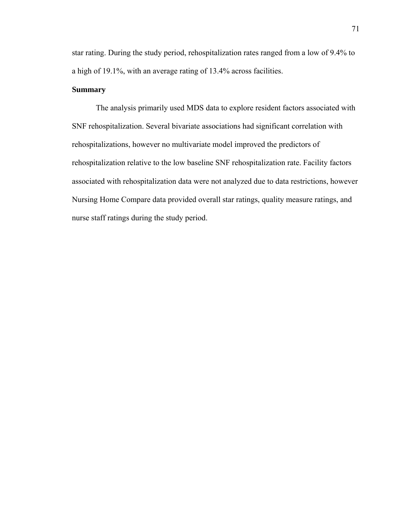star rating. During the study period, rehospitalization rates ranged from a low of 9.4% to a high of 19.1%, with an average rating of 13.4% across facilities.

#### **Summary**

 The analysis primarily used MDS data to explore resident factors associated with SNF rehospitalization. Several bivariate associations had significant correlation with rehospitalizations, however no multivariate model improved the predictors of rehospitalization relative to the low baseline SNF rehospitalization rate. Facility factors associated with rehospitalization data were not analyzed due to data restrictions, however Nursing Home Compare data provided overall star ratings, quality measure ratings, and nurse staff ratings during the study period.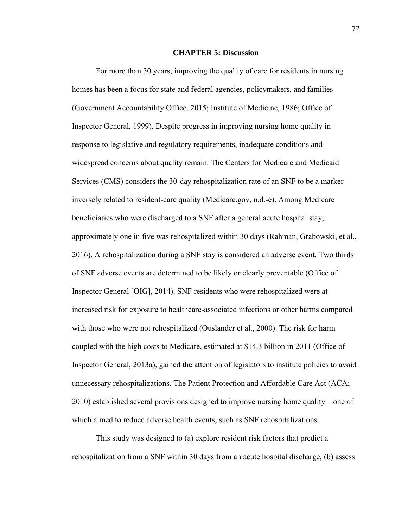#### **CHAPTER 5: Discussion**

For more than 30 years, improving the quality of care for residents in nursing homes has been a focus for state and federal agencies, policymakers, and families (Government Accountability Office, 2015; Institute of Medicine, 1986; Office of Inspector General, 1999). Despite progress in improving nursing home quality in response to legislative and regulatory requirements, inadequate conditions and widespread concerns about quality remain. The Centers for Medicare and Medicaid Services (CMS) considers the 30-day rehospitalization rate of an SNF to be a marker inversely related to resident-care quality (Medicare.gov, n.d.-e). Among Medicare beneficiaries who were discharged to a SNF after a general acute hospital stay, approximately one in five was rehospitalized within 30 days (Rahman, Grabowski, et al., 2016). A rehospitalization during a SNF stay is considered an adverse event. Two thirds of SNF adverse events are determined to be likely or clearly preventable (Office of Inspector General [OIG], 2014). SNF residents who were rehospitalized were at increased risk for exposure to healthcare-associated infections or other harms compared with those who were not rehospitalized (Ouslander et al., 2000). The risk for harm coupled with the high costs to Medicare, estimated at \$14.3 billion in 2011 (Office of Inspector General, 2013a), gained the attention of legislators to institute policies to avoid unnecessary rehospitalizations. The Patient Protection and Affordable Care Act (ACA; 2010) established several provisions designed to improve nursing home quality—one of which aimed to reduce adverse health events, such as SNF rehospitalizations.

 This study was designed to (a) explore resident risk factors that predict a rehospitalization from a SNF within 30 days from an acute hospital discharge, (b) assess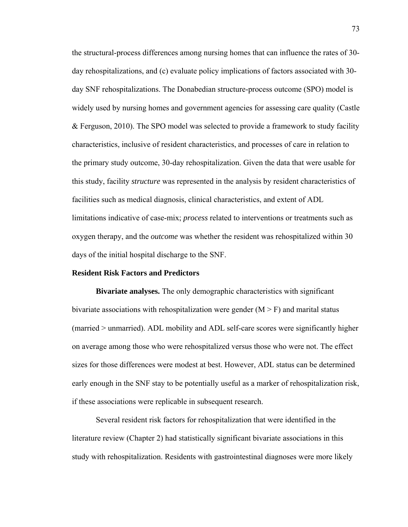the structural-process differences among nursing homes that can influence the rates of 30 day rehospitalizations, and (c) evaluate policy implications of factors associated with 30 day SNF rehospitalizations. The Donabedian structure-process outcome (SPO) model is widely used by nursing homes and government agencies for assessing care quality (Castle & Ferguson, 2010). The SPO model was selected to provide a framework to study facility characteristics, inclusive of resident characteristics, and processes of care in relation to the primary study outcome, 30-day rehospitalization. Given the data that were usable for this study, facility *structure* was represented in the analysis by resident characteristics of facilities such as medical diagnosis, clinical characteristics, and extent of ADL limitations indicative of case-mix; *process* related to interventions or treatments such as oxygen therapy, and the *outcome* was whether the resident was rehospitalized within 30 days of the initial hospital discharge to the SNF.

#### **Resident Risk Factors and Predictors**

**Bivariate analyses.** The only demographic characteristics with significant bivariate associations with rehospitalization were gender  $(M > F)$  and marital status (married > unmarried). ADL mobility and ADL self-care scores were significantly higher on average among those who were rehospitalized versus those who were not. The effect sizes for those differences were modest at best. However, ADL status can be determined early enough in the SNF stay to be potentially useful as a marker of rehospitalization risk, if these associations were replicable in subsequent research.

 Several resident risk factors for rehospitalization that were identified in the literature review (Chapter 2) had statistically significant bivariate associations in this study with rehospitalization. Residents with gastrointestinal diagnoses were more likely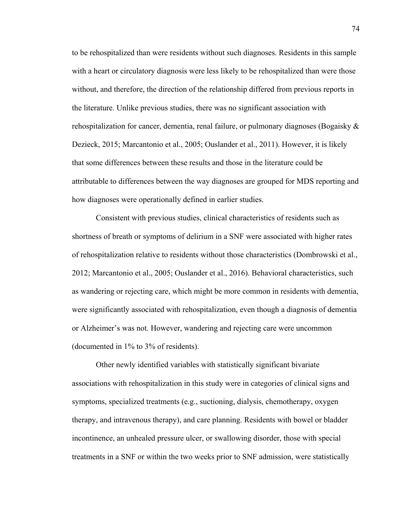to be rehospitalized than were residents without such diagnoses. Residents in this sample with a heart or circulatory diagnosis were less likely to be rehospitalized than were those without, and therefore, the direction of the relationship differed from previous reports in the literature. Unlike previous studies, there was no significant association with rehospitalization for cancer, dementia, renal failure, or pulmonary diagnoses (Bogaisky & Dezieck, 2015; Marcantonio et al., 2005; Ouslander et al., 2011). However, it is likely that some differences between these results and those in the literature could be attributable to differences between the way diagnoses are grouped for MDS reporting and how diagnoses were operationally defined in earlier studies.

 Consistent with previous studies, clinical characteristics of residents such as shortness of breath or symptoms of delirium in a SNF were associated with higher rates of rehospitalization relative to residents without those characteristics (Dombrowski et al., 2012; Marcantonio et al., 2005; Ouslander et al., 2016). Behavioral characteristics, such as wandering or rejecting care, which might be more common in residents with dementia, were significantly associated with rehospitalization, even though a diagnosis of dementia or Alzheimer's was not. However, wandering and rejecting care were uncommon (documented in 1% to 3% of residents).

 Other newly identified variables with statistically significant bivariate associations with rehospitalization in this study were in categories of clinical signs and symptoms, specialized treatments (e.g., suctioning, dialysis, chemotherapy, oxygen therapy, and intravenous therapy), and care planning. Residents with bowel or bladder incontinence, an unhealed pressure ulcer, or swallowing disorder, those with special treatments in a SNF or within the two weeks prior to SNF admission, were statistically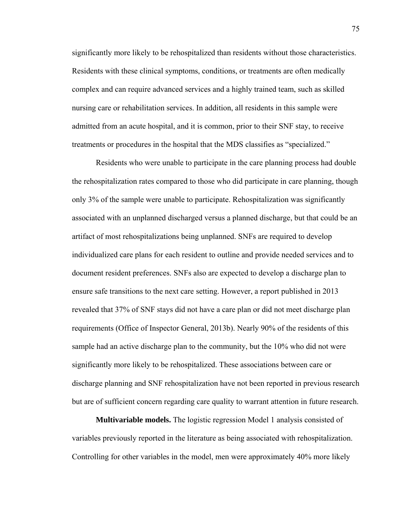significantly more likely to be rehospitalized than residents without those characteristics. Residents with these clinical symptoms, conditions, or treatments are often medically complex and can require advanced services and a highly trained team, such as skilled nursing care or rehabilitation services. In addition, all residents in this sample were admitted from an acute hospital, and it is common, prior to their SNF stay, to receive treatments or procedures in the hospital that the MDS classifies as "specialized."

 Residents who were unable to participate in the care planning process had double the rehospitalization rates compared to those who did participate in care planning, though only 3% of the sample were unable to participate. Rehospitalization was significantly associated with an unplanned discharged versus a planned discharge, but that could be an artifact of most rehospitalizations being unplanned. SNFs are required to develop individualized care plans for each resident to outline and provide needed services and to document resident preferences. SNFs also are expected to develop a discharge plan to ensure safe transitions to the next care setting. However, a report published in 2013 revealed that 37% of SNF stays did not have a care plan or did not meet discharge plan requirements (Office of Inspector General, 2013b). Nearly 90% of the residents of this sample had an active discharge plan to the community, but the 10% who did not were significantly more likely to be rehospitalized. These associations between care or discharge planning and SNF rehospitalization have not been reported in previous research but are of sufficient concern regarding care quality to warrant attention in future research.

**Multivariable models.** The logistic regression Model 1 analysis consisted of variables previously reported in the literature as being associated with rehospitalization. Controlling for other variables in the model, men were approximately 40% more likely

75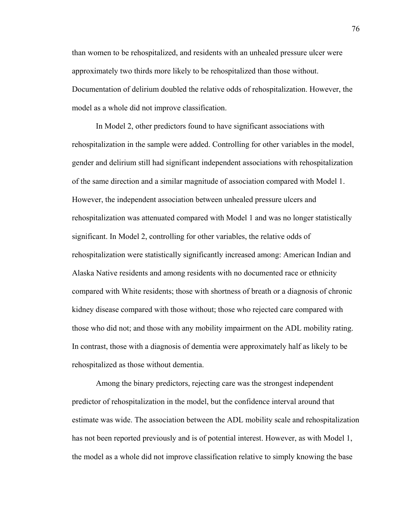than women to be rehospitalized, and residents with an unhealed pressure ulcer were approximately two thirds more likely to be rehospitalized than those without. Documentation of delirium doubled the relative odds of rehospitalization. However, the model as a whole did not improve classification.

 In Model 2, other predictors found to have significant associations with rehospitalization in the sample were added. Controlling for other variables in the model, gender and delirium still had significant independent associations with rehospitalization of the same direction and a similar magnitude of association compared with Model 1. However, the independent association between unhealed pressure ulcers and rehospitalization was attenuated compared with Model 1 and was no longer statistically significant. In Model 2, controlling for other variables, the relative odds of rehospitalization were statistically significantly increased among: American Indian and Alaska Native residents and among residents with no documented race or ethnicity compared with White residents; those with shortness of breath or a diagnosis of chronic kidney disease compared with those without; those who rejected care compared with those who did not; and those with any mobility impairment on the ADL mobility rating. In contrast, those with a diagnosis of dementia were approximately half as likely to be rehospitalized as those without dementia.

 Among the binary predictors, rejecting care was the strongest independent predictor of rehospitalization in the model, but the confidence interval around that estimate was wide. The association between the ADL mobility scale and rehospitalization has not been reported previously and is of potential interest. However, as with Model 1, the model as a whole did not improve classification relative to simply knowing the base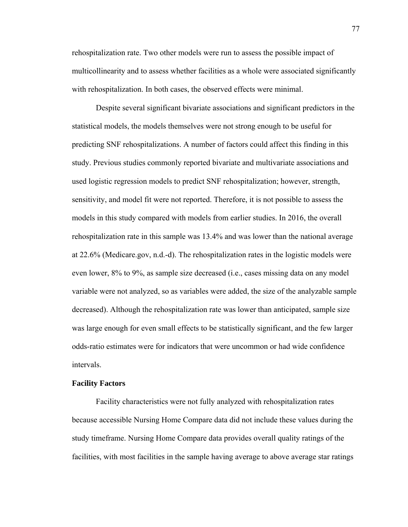rehospitalization rate. Two other models were run to assess the possible impact of multicollinearity and to assess whether facilities as a whole were associated significantly with rehospitalization. In both cases, the observed effects were minimal.

 Despite several significant bivariate associations and significant predictors in the statistical models, the models themselves were not strong enough to be useful for predicting SNF rehospitalizations. A number of factors could affect this finding in this study. Previous studies commonly reported bivariate and multivariate associations and used logistic regression models to predict SNF rehospitalization; however, strength, sensitivity, and model fit were not reported. Therefore, it is not possible to assess the models in this study compared with models from earlier studies. In 2016, the overall rehospitalization rate in this sample was 13.4% and was lower than the national average at 22.6% (Medicare.gov, n.d.-d). The rehospitalization rates in the logistic models were even lower, 8% to 9%, as sample size decreased (i.e., cases missing data on any model variable were not analyzed, so as variables were added, the size of the analyzable sample decreased). Although the rehospitalization rate was lower than anticipated, sample size was large enough for even small effects to be statistically significant, and the few larger odds-ratio estimates were for indicators that were uncommon or had wide confidence intervals.

#### **Facility Factors**

Facility characteristics were not fully analyzed with rehospitalization rates because accessible Nursing Home Compare data did not include these values during the study timeframe. Nursing Home Compare data provides overall quality ratings of the facilities, with most facilities in the sample having average to above average star ratings

77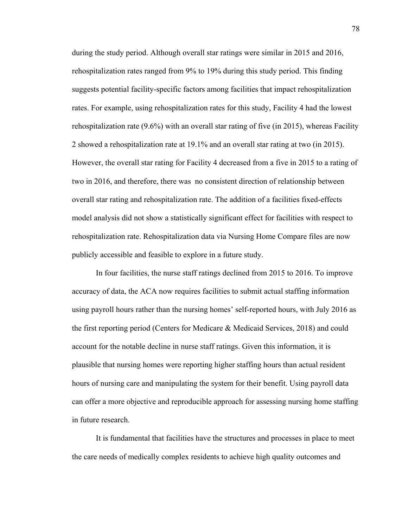during the study period. Although overall star ratings were similar in 2015 and 2016, rehospitalization rates ranged from 9% to 19% during this study period. This finding suggests potential facility-specific factors among facilities that impact rehospitalization rates. For example, using rehospitalization rates for this study, Facility 4 had the lowest rehospitalization rate (9.6%) with an overall star rating of five (in 2015), whereas Facility 2 showed a rehospitalization rate at 19.1% and an overall star rating at two (in 2015). However, the overall star rating for Facility 4 decreased from a five in 2015 to a rating of two in 2016, and therefore, there was no consistent direction of relationship between overall star rating and rehospitalization rate. The addition of a facilities fixed-effects model analysis did not show a statistically significant effect for facilities with respect to rehospitalization rate. Rehospitalization data via Nursing Home Compare files are now publicly accessible and feasible to explore in a future study.

 In four facilities, the nurse staff ratings declined from 2015 to 2016. To improve accuracy of data, the ACA now requires facilities to submit actual staffing information using payroll hours rather than the nursing homes' self-reported hours, with July 2016 as the first reporting period (Centers for Medicare & Medicaid Services, 2018) and could account for the notable decline in nurse staff ratings. Given this information, it is plausible that nursing homes were reporting higher staffing hours than actual resident hours of nursing care and manipulating the system for their benefit. Using payroll data can offer a more objective and reproducible approach for assessing nursing home staffing in future research.

 It is fundamental that facilities have the structures and processes in place to meet the care needs of medically complex residents to achieve high quality outcomes and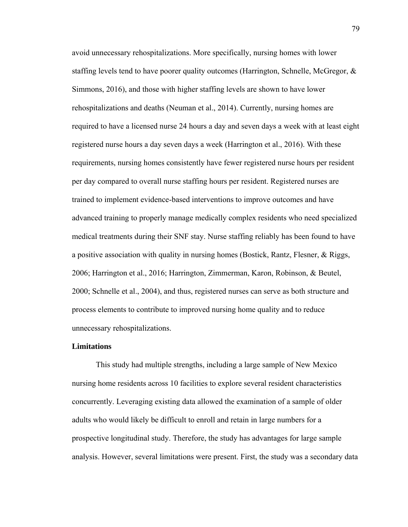avoid unnecessary rehospitalizations. More specifically, nursing homes with lower staffing levels tend to have poorer quality outcomes (Harrington, Schnelle, McGregor,  $\&$ Simmons, 2016), and those with higher staffing levels are shown to have lower rehospitalizations and deaths (Neuman et al., 2014). Currently, nursing homes are required to have a licensed nurse 24 hours a day and seven days a week with at least eight registered nurse hours a day seven days a week (Harrington et al., 2016). With these requirements, nursing homes consistently have fewer registered nurse hours per resident per day compared to overall nurse staffing hours per resident. Registered nurses are trained to implement evidence-based interventions to improve outcomes and have advanced training to properly manage medically complex residents who need specialized medical treatments during their SNF stay. Nurse staffing reliably has been found to have a positive association with quality in nursing homes (Bostick, Rantz, Flesner, & Riggs, 2006; Harrington et al., 2016; Harrington, Zimmerman, Karon, Robinson, & Beutel, 2000; Schnelle et al., 2004), and thus, registered nurses can serve as both structure and process elements to contribute to improved nursing home quality and to reduce unnecessary rehospitalizations.

#### **Limitations**

This study had multiple strengths, including a large sample of New Mexico nursing home residents across 10 facilities to explore several resident characteristics concurrently. Leveraging existing data allowed the examination of a sample of older adults who would likely be difficult to enroll and retain in large numbers for a prospective longitudinal study. Therefore, the study has advantages for large sample analysis. However, several limitations were present. First, the study was a secondary data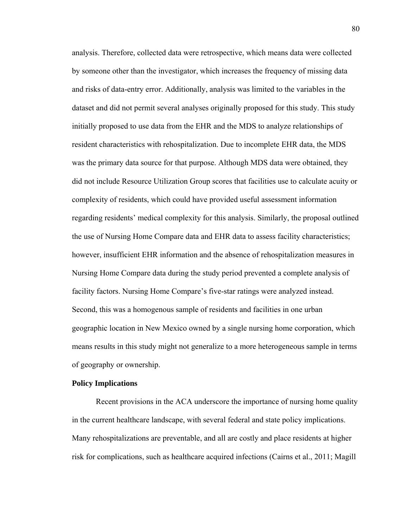analysis. Therefore, collected data were retrospective, which means data were collected by someone other than the investigator, which increases the frequency of missing data and risks of data-entry error. Additionally, analysis was limited to the variables in the dataset and did not permit several analyses originally proposed for this study. This study initially proposed to use data from the EHR and the MDS to analyze relationships of resident characteristics with rehospitalization. Due to incomplete EHR data, the MDS was the primary data source for that purpose. Although MDS data were obtained, they did not include Resource Utilization Group scores that facilities use to calculate acuity or complexity of residents, which could have provided useful assessment information regarding residents' medical complexity for this analysis. Similarly, the proposal outlined the use of Nursing Home Compare data and EHR data to assess facility characteristics; however, insufficient EHR information and the absence of rehospitalization measures in Nursing Home Compare data during the study period prevented a complete analysis of facility factors. Nursing Home Compare's five-star ratings were analyzed instead. Second, this was a homogenous sample of residents and facilities in one urban geographic location in New Mexico owned by a single nursing home corporation, which means results in this study might not generalize to a more heterogeneous sample in terms of geography or ownership.

#### **Policy Implications**

 Recent provisions in the ACA underscore the importance of nursing home quality in the current healthcare landscape, with several federal and state policy implications. Many rehospitalizations are preventable, and all are costly and place residents at higher risk for complications, such as healthcare acquired infections (Cairns et al., 2011; Magill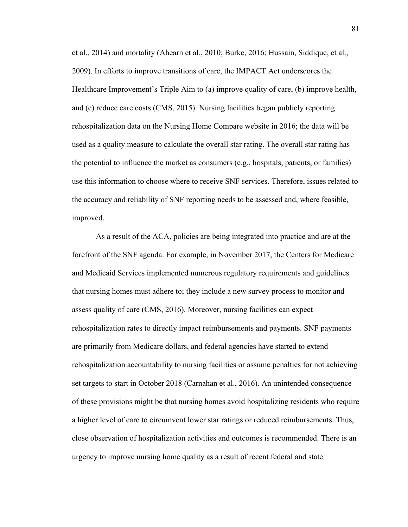et al., 2014) and mortality (Ahearn et al., 2010; Burke, 2016; Hussain, Siddique, et al., 2009). In efforts to improve transitions of care, the IMPACT Act underscores the Healthcare Improvement's Triple Aim to (a) improve quality of care, (b) improve health, and (c) reduce care costs (CMS, 2015). Nursing facilities began publicly reporting rehospitalization data on the Nursing Home Compare website in 2016; the data will be used as a quality measure to calculate the overall star rating. The overall star rating has the potential to influence the market as consumers (e.g., hospitals, patients, or families) use this information to choose where to receive SNF services. Therefore, issues related to the accuracy and reliability of SNF reporting needs to be assessed and, where feasible, improved.

 As a result of the ACA, policies are being integrated into practice and are at the forefront of the SNF agenda. For example, in November 2017, the Centers for Medicare and Medicaid Services implemented numerous regulatory requirements and guidelines that nursing homes must adhere to; they include a new survey process to monitor and assess quality of care (CMS, 2016). Moreover, nursing facilities can expect rehospitalization rates to directly impact reimbursements and payments. SNF payments are primarily from Medicare dollars, and federal agencies have started to extend rehospitalization accountability to nursing facilities or assume penalties for not achieving set targets to start in October 2018 (Carnahan et al., 2016). An unintended consequence of these provisions might be that nursing homes avoid hospitalizing residents who require a higher level of care to circumvent lower star ratings or reduced reimbursements. Thus, close observation of hospitalization activities and outcomes is recommended. There is an urgency to improve nursing home quality as a result of recent federal and state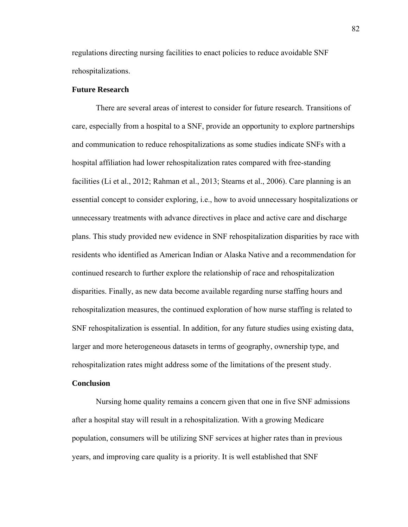regulations directing nursing facilities to enact policies to reduce avoidable SNF rehospitalizations.

#### **Future Research**

 There are several areas of interest to consider for future research. Transitions of care, especially from a hospital to a SNF, provide an opportunity to explore partnerships and communication to reduce rehospitalizations as some studies indicate SNFs with a hospital affiliation had lower rehospitalization rates compared with free-standing facilities (Li et al., 2012; Rahman et al., 2013; Stearns et al., 2006). Care planning is an essential concept to consider exploring, i.e., how to avoid unnecessary hospitalizations or unnecessary treatments with advance directives in place and active care and discharge plans. This study provided new evidence in SNF rehospitalization disparities by race with residents who identified as American Indian or Alaska Native and a recommendation for continued research to further explore the relationship of race and rehospitalization disparities. Finally, as new data become available regarding nurse staffing hours and rehospitalization measures, the continued exploration of how nurse staffing is related to SNF rehospitalization is essential. In addition, for any future studies using existing data, larger and more heterogeneous datasets in terms of geography, ownership type, and rehospitalization rates might address some of the limitations of the present study.

#### **Conclusion**

 Nursing home quality remains a concern given that one in five SNF admissions after a hospital stay will result in a rehospitalization. With a growing Medicare population, consumers will be utilizing SNF services at higher rates than in previous years, and improving care quality is a priority. It is well established that SNF

82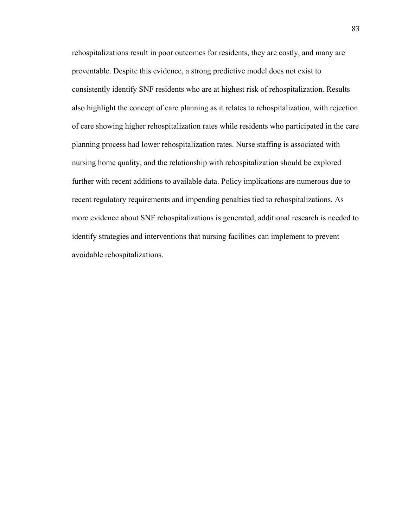rehospitalizations result in poor outcomes for residents, they are costly, and many are preventable. Despite this evidence, a strong predictive model does not exist to consistently identify SNF residents who are at highest risk of rehospitalization. Results also highlight the concept of care planning as it relates to rehospitalization, with rejection of care showing higher rehospitalization rates while residents who participated in the care planning process had lower rehospitalization rates. Nurse staffing is associated with nursing home quality, and the relationship with rehospitalization should be explored further with recent additions to available data. Policy implications are numerous due to recent regulatory requirements and impending penalties tied to rehospitalizations. As more evidence about SNF rehospitalizations is generated, additional research is needed to identify strategies and interventions that nursing facilities can implement to prevent avoidable rehospitalizations.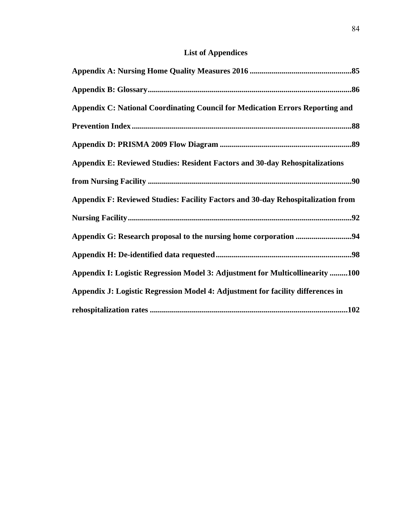# **List of Appendices**

| Appendix C: National Coordinating Council for Medication Errors Reporting and       |
|-------------------------------------------------------------------------------------|
|                                                                                     |
|                                                                                     |
| <b>Appendix E: Reviewed Studies: Resident Factors and 30-day Rehospitalizations</b> |
|                                                                                     |
| Appendix F: Reviewed Studies: Facility Factors and 30-day Rehospitalization from    |
|                                                                                     |
|                                                                                     |
|                                                                                     |
| Appendix I: Logistic Regression Model 3: Adjustment for Multicollinearity 100       |
| Appendix J: Logistic Regression Model 4: Adjustment for facility differences in     |
|                                                                                     |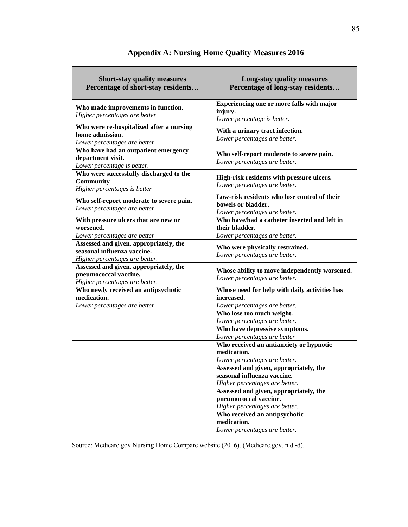| <b>Short-stay quality measures</b><br>Percentage of short-stay residents                                | Long-stay quality measures<br>Percentage of long-stay residents                                         |
|---------------------------------------------------------------------------------------------------------|---------------------------------------------------------------------------------------------------------|
| Who made improvements in function.<br>Higher percentages are better                                     | Experiencing one or more falls with major<br>injury.<br>Lower percentage is better.                     |
| Who were re-hospitalized after a nursing<br>home admission.<br>Lower percentages are better             | With a urinary tract infection.<br>Lower percentages are better.                                        |
| Who have had an outpatient emergency<br>department visit.<br>Lower percentage is better.                | Who self-report moderate to severe pain.<br>Lower percentages are better.                               |
| Who were successfully discharged to the<br><b>Community</b><br>Higher percentages is better             | High-risk residents with pressure ulcers.<br>Lower percentages are better.                              |
| Who self-report moderate to severe pain.<br>Lower percentages are better                                | Low-risk residents who lose control of their<br>bowels or bladder.<br>Lower percentages are better.     |
| With pressure ulcers that are new or<br>worsened.<br>Lower percentages are better                       | Who have/had a catheter inserted and left in<br>their bladder.<br>Lower percentages are better.         |
| Assessed and given, appropriately, the<br>seasonal influenza vaccine.<br>Higher percentages are better. | Who were physically restrained.<br>Lower percentages are better.                                        |
| Assessed and given, appropriately, the<br>pneumococcal vaccine.<br>Higher percentages are better.       | Whose ability to move independently worsened.<br>Lower percentages are better.                          |
| Who newly received an antipsychotic<br>medication.<br>Lower percentages are better                      | Whose need for help with daily activities has<br>increased.<br>Lower percentages are better.            |
|                                                                                                         | Who lose too much weight.<br>Lower percentages are better.                                              |
|                                                                                                         | Who have depressive symptoms.<br>Lower percentages are better                                           |
|                                                                                                         | Who received an antianxiety or hypnotic<br>medication.<br>Lower percentages are better.                 |
|                                                                                                         | Assessed and given, appropriately, the<br>seasonal influenza vaccine.<br>Higher percentages are better. |
|                                                                                                         | Assessed and given, appropriately, the<br>pneumococcal vaccine.<br>Higher percentages are better.       |
|                                                                                                         | Who received an antipsychotic<br>medication.<br>Lower percentages are better.                           |

# **Appendix A: Nursing Home Quality Measures 2016**

Source: Medicare.gov Nursing Home Compare website (2016). (Medicare.gov, n.d.-d).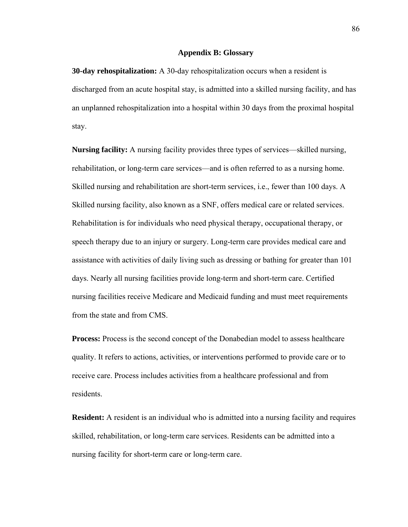#### **Appendix B: Glossary**

**30-day rehospitalization:** A 30-day rehospitalization occurs when a resident is discharged from an acute hospital stay, is admitted into a skilled nursing facility, and has an unplanned rehospitalization into a hospital within 30 days from the proximal hospital stay.

**Nursing facility:** A nursing facility provides three types of services––skilled nursing, rehabilitation, or long-term care services––and is often referred to as a nursing home. Skilled nursing and rehabilitation are short-term services, i.e., fewer than 100 days. A Skilled nursing facility, also known as a SNF, offers medical care or related services. Rehabilitation is for individuals who need physical therapy, occupational therapy, or speech therapy due to an injury or surgery. Long-term care provides medical care and assistance with activities of daily living such as dressing or bathing for greater than 101 days. Nearly all nursing facilities provide long-term and short-term care. Certified nursing facilities receive Medicare and Medicaid funding and must meet requirements from the state and from CMS.

**Process:** Process is the second concept of the Donabedian model to assess healthcare quality. It refers to actions, activities, or interventions performed to provide care or to receive care. Process includes activities from a healthcare professional and from residents.

**Resident:** A resident is an individual who is admitted into a nursing facility and requires skilled, rehabilitation, or long-term care services. Residents can be admitted into a nursing facility for short-term care or long-term care.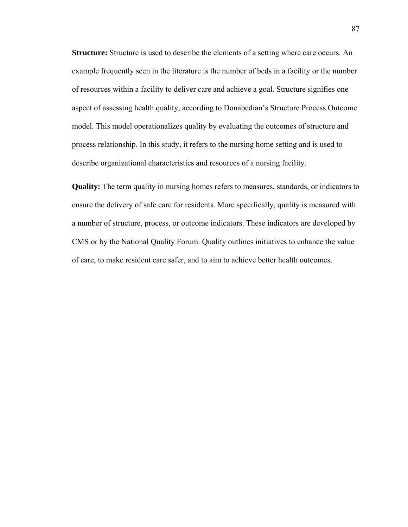**Structure:** Structure is used to describe the elements of a setting where care occurs. An example frequently seen in the literature is the number of beds in a facility or the number of resources within a facility to deliver care and achieve a goal. Structure signifies one aspect of assessing health quality, according to Donabedian's Structure Process Outcome model. This model operationalizes quality by evaluating the outcomes of structure and process relationship. In this study, it refers to the nursing home setting and is used to describe organizational characteristics and resources of a nursing facility.

**Quality:** The term quality in nursing homes refers to measures, standards, or indicators to ensure the delivery of safe care for residents. More specifically, quality is measured with a number of structure, process, or outcome indicators. These indicators are developed by CMS or by the National Quality Forum. Quality outlines initiatives to enhance the value of care, to make resident care safer, and to aim to achieve better health outcomes.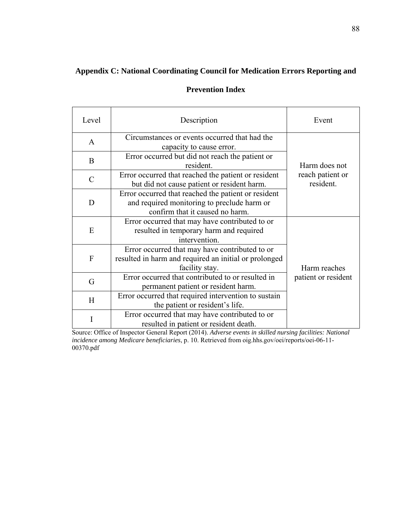# **Appendix C: National Coordinating Council for Medication Errors Reporting and**

# **Prevention Index**

| Level         | Description                                                                                                                           | Event                         |
|---------------|---------------------------------------------------------------------------------------------------------------------------------------|-------------------------------|
| $\mathbf{A}$  | Circumstances or events occurred that had the<br>capacity to cause error.                                                             |                               |
| B             | Error occurred but did not reach the patient or<br>resident.                                                                          | Harm does not                 |
| $\mathcal{C}$ | Error occurred that reached the patient or resident<br>but did not cause patient or resident harm.                                    | reach patient or<br>resident. |
| D             | Error occurred that reached the patient or resident<br>and required monitoring to preclude harm or<br>confirm that it caused no harm. |                               |
| E             | Error occurred that may have contributed to or<br>resulted in temporary harm and required<br>intervention.                            |                               |
| $\mathbf{F}$  | Error occurred that may have contributed to or<br>resulted in harm and required an initial or prolonged<br>facility stay.             | Harm reaches                  |
| G             | Error occurred that contributed to or resulted in<br>permanent patient or resident harm.                                              | patient or resident           |
| H             | Error occurred that required intervention to sustain<br>the patient or resident's life.                                               |                               |
|               | Error occurred that may have contributed to or<br>resulted in patient or resident death.                                              |                               |

Source: Office of Inspector General Report (2014). *Adverse events in skilled nursing facilities: National incidence among Medicare beneficiaries*, p. 10. Retrieved from oig.hhs.gov/oei/reports/oei-06-11- 00370.pdf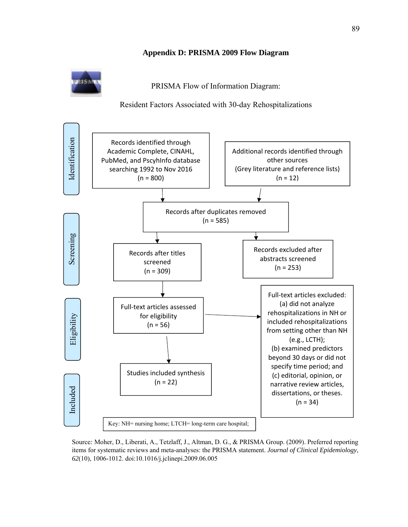**Appendix D: PRISMA 2009 Flow Diagram** 

PRISMA Flow of Information Diagram:

Resident Factors Associated with 30-day Rehospitalizations



Source*:* Moher, D., Liberati, A., Tetzlaff, J., Altman, D. G., & PRISMA Group. (2009). Preferred reporting items for systematic reviews and meta-analyses: the PRISMA statement. *Journal of Clinical Epidemiology*, *62*(10), 1006-1012. doi:10.1016/j.jclinepi.2009.06.005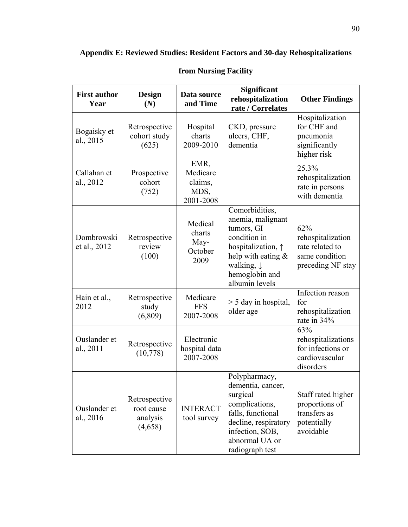| <b>First author</b><br>Year | <b>Design</b><br>(N)                               | Data source<br>and Time                          | <b>Significant</b><br>rehospitalization<br>rate / Correlates                                                                                                                        | <b>Other Findings</b>                                                              |
|-----------------------------|----------------------------------------------------|--------------------------------------------------|-------------------------------------------------------------------------------------------------------------------------------------------------------------------------------------|------------------------------------------------------------------------------------|
| Bogaisky et<br>al., 2015    | Retrospective<br>cohort study<br>(625)             | Hospital<br>charts<br>2009-2010                  | CKD, pressure<br>ulcers, CHF,<br>dementia                                                                                                                                           | Hospitalization<br>for CHF and<br>pneumonia<br>significantly<br>higher risk        |
| Callahan et<br>al., 2012    | Prospective<br>cohort<br>(752)                     | EMR,<br>Medicare<br>claims,<br>MDS,<br>2001-2008 |                                                                                                                                                                                     | 25.3%<br>rehospitalization<br>rate in persons<br>with dementia                     |
| Dombrowski<br>et al., 2012  | Retrospective<br>review<br>(100)                   | Medical<br>charts<br>May-<br>October<br>2009     | Comorbidities,<br>anemia, malignant<br>tumors, GI<br>condition in<br>hospitalization, $\uparrow$<br>help with eating &<br>walking, $\downarrow$<br>hemoglobin and<br>albumin levels | 62%<br>rehospitalization<br>rate related to<br>same condition<br>preceding NF stay |
| Hain et al.,<br>2012        | Retrospective<br>study<br>(6,809)                  | Medicare<br><b>FFS</b><br>2007-2008              | $>$ 5 day in hospital,<br>older age                                                                                                                                                 | Infection reason<br>for<br>rehospitalization<br>rate in 34%                        |
| Ouslander et<br>al., 2011   | Retrospective<br>(10, 778)                         | Electronic<br>hospital data<br>2007-2008         |                                                                                                                                                                                     | 63%<br>rehospitalizations<br>for infections or<br>cardiovascular<br>disorders      |
| Ouslander et<br>al., 2016   | Retrospective<br>root cause<br>analysis<br>(4,658) | <b>INTERACT</b><br>tool survey                   | Polypharmacy,<br>dementia, cancer,<br>surgical<br>complications,<br>falls, functional<br>decline, respiratory<br>infection, SOB,<br>abnormal UA or<br>radiograph test               | Staff rated higher<br>proportions of<br>transfers as<br>potentially<br>avoidable   |

# **from Nursing Facility**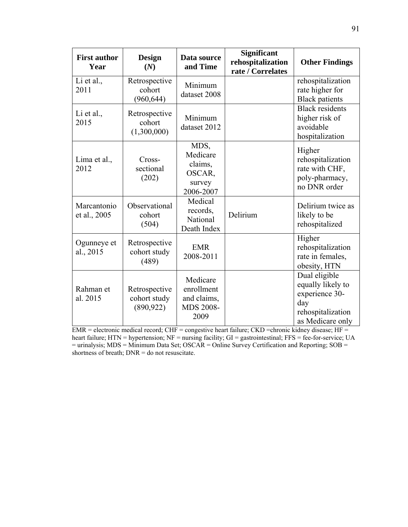| <b>First author</b><br>Year | <b>Design</b><br>(N)                        | Data source<br>and Time                                           | Significant<br>rehospitalization<br>rate / Correlates | <b>Other Findings</b>                                                                                |
|-----------------------------|---------------------------------------------|-------------------------------------------------------------------|-------------------------------------------------------|------------------------------------------------------------------------------------------------------|
| Li et al.,<br>2011          | Retrospective<br>cohort<br>(960, 644)       | Minimum<br>dataset 2008                                           |                                                       | rehospitalization<br>rate higher for<br><b>Black patients</b>                                        |
| Li et al.,<br>2015          | Retrospective<br>cohort<br>(1,300,000)      | Minimum<br>dataset 2012                                           |                                                       | <b>Black residents</b><br>higher risk of<br>avoidable<br>hospitalization                             |
| Lima et al.,<br>2012        | Cross-<br>sectional<br>(202)                | MDS,<br>Medicare<br>claims,<br>OSCAR,<br>survey<br>2006-2007      |                                                       | Higher<br>rehospitalization<br>rate with CHF,<br>poly-pharmacy,<br>no DNR order                      |
| Marcantonio<br>et al., 2005 | Observational<br>cohort<br>(504)            | Medical<br>records,<br>National<br>Death Index                    | Delirium                                              | Delirium twice as<br>likely to be<br>rehospitalized                                                  |
| Ogunneye et<br>al., 2015    | Retrospective<br>cohort study<br>(489)      | <b>EMR</b><br>2008-2011                                           |                                                       | Higher<br>rehospitalization<br>rate in females,<br>obesity, HTN                                      |
| Rahman et<br>al. 2015       | Retrospective<br>cohort study<br>(890, 922) | Medicare<br>enrollment<br>and claims,<br><b>MDS 2008-</b><br>2009 |                                                       | Dual eligible<br>equally likely to<br>experience 30-<br>day<br>rehospitalization<br>as Medicare only |

 $EMR =$  electronic medical record;  $CHF =$  congestive heart failure;  $CKD =$ chronic kidney disease;  $HF =$ heart failure; HTN = hypertension; NF = nursing facility; GI = gastrointestinal; FFS = fee-for-service; UA = urinalysis; MDS = Minimum Data Set; OSCAR = Online Survey Certification and Reporting; SOB = shortness of breath;  $DNR =$  do not resuscitate.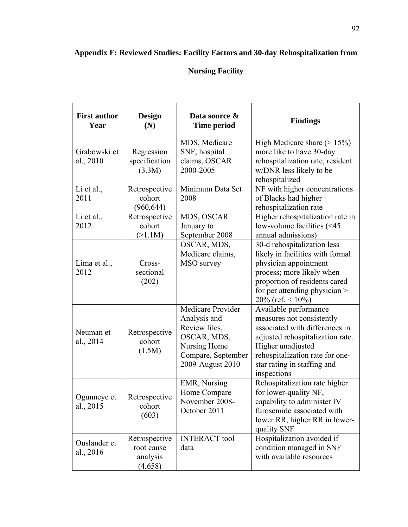# **Appendix F: Reviewed Studies: Facility Factors and 30-day Rehospitalization from**

# **Nursing Facility**

| <b>First author</b><br>Year | <b>Design</b><br>(N)                               | Data source &<br><b>Time period</b>                                                                                         | <b>Findings</b>                                                                                                                                                                                                                |
|-----------------------------|----------------------------------------------------|-----------------------------------------------------------------------------------------------------------------------------|--------------------------------------------------------------------------------------------------------------------------------------------------------------------------------------------------------------------------------|
| Grabowski et<br>al., 2010   | Regression<br>specification<br>(3.3M)              | MDS, Medicare<br>SNF, hospital<br>claims, OSCAR<br>2000-2005                                                                | High Medicare share $(> 15\%)$<br>more like to have 30-day<br>rehospitalization rate, resident<br>w/DNR less likely to be<br>rehospitalized                                                                                    |
| Li et al.,<br>2011          | Retrospective<br>cohort<br>(960, 644)              | Minimum Data Set<br>2008                                                                                                    | NF with higher concentrations<br>of Blacks had higher<br>rehospitalization rate                                                                                                                                                |
| Li et al.,<br>2012          | Retrospective<br>cohort<br>(>1.1M)                 | MDS, OSCAR<br>January to<br>September 2008                                                                                  | Higher rehospitalization rate in<br>low-volume facilities $(< 45$<br>annual admissions)                                                                                                                                        |
| Lima et al.,<br>2012        | Cross-<br>sectional<br>(202)                       | OSCAR, MDS,<br>Medicare claims,<br>MSO survey                                                                               | 30-d rehospitalization less<br>likely in facilities with formal<br>physician appointment<br>process; more likely when<br>proportion of residents cared<br>for per attending physician $>$<br>20% (ref. $\leq 10\%$ )           |
| Neuman et<br>al., 2014      | Retrospective<br>cohort<br>(1.5M)                  | Medicare Provider<br>Analysis and<br>Review files,<br>OSCAR, MDS,<br>Nursing Home<br>Compare, September<br>2009-August 2010 | Available performance<br>measures not consistently<br>associated with differences in<br>adjusted rehospitalization rate.<br>Higher unadjusted<br>rehospitalization rate for one-<br>star rating in staffing and<br>inspections |
| Ogunneye et<br>al., 2015    | Retrospective<br>cohort<br>(603)                   | EMR, Nursing<br>Home Compare<br>November 2008-<br>October 2011                                                              | Rehospitalization rate higher<br>for lower-quality NF,<br>capability to administer IV<br>furosemide associated with<br>lower RR, higher RR in lower-<br>quality SNF                                                            |
| Ouslander et<br>al., 2016   | Retrospective<br>root cause<br>analysis<br>(4,658) | <b>INTERACT</b> tool<br>data                                                                                                | Hospitalization avoided if<br>condition managed in SNF<br>with available resources                                                                                                                                             |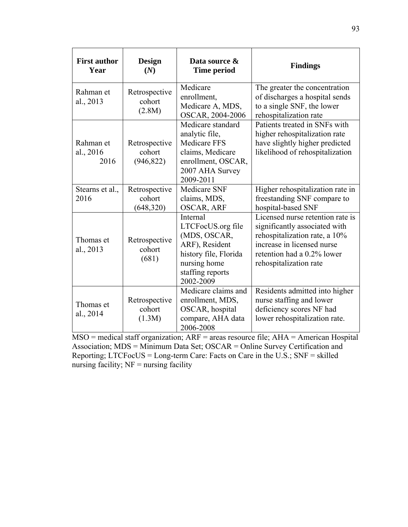| <b>First author</b><br>Year    | <b>Design</b><br>(N)                  | Data source &<br><b>Time period</b>                                                                                                              | <b>Findings</b>                                                                                                                                                                          |
|--------------------------------|---------------------------------------|--------------------------------------------------------------------------------------------------------------------------------------------------|------------------------------------------------------------------------------------------------------------------------------------------------------------------------------------------|
| Rahman et<br>al., 2013         | Retrospective<br>cohort<br>(2.8M)     | Medicare<br>enrollment,<br>Medicare A, MDS,<br>OSCAR, 2004-2006                                                                                  | The greater the concentration<br>of discharges a hospital sends<br>to a single SNF, the lower<br>rehospitalization rate                                                                  |
| Rahman et<br>al., 2016<br>2016 | Retrospective<br>cohort<br>(946, 822) | Medicare standard<br>analytic file,<br><b>Medicare FFS</b><br>claims, Medicare<br>enrollment, OSCAR,<br>2007 AHA Survey<br>2009-2011             | Patients treated in SNFs with<br>higher rehospitalization rate<br>have slightly higher predicted<br>likelihood of rehospitalization                                                      |
| Stearns et al.,<br>2016        | Retrospective<br>cohort<br>(648, 320) | <b>Medicare SNF</b><br>claims, MDS,<br><b>OSCAR, ARF</b>                                                                                         | Higher rehospitalization rate in<br>freestanding SNF compare to<br>hospital-based SNF                                                                                                    |
| Thomas et<br>al., 2013         | Retrospective<br>cohort<br>(681)      | <b>Internal</b><br>LTCFocUS.org file<br>(MDS, OSCAR,<br>ARF), Resident<br>history file, Florida<br>nursing home<br>staffing reports<br>2002-2009 | Licensed nurse retention rate is<br>significantly associated with<br>rehospitalization rate, a 10%<br>increase in licensed nurse<br>retention had a 0.2% lower<br>rehospitalization rate |
| Thomas et<br>al., 2014         | Retrospective<br>cohort<br>(1.3M)     | Medicare claims and<br>enrollment, MDS,<br>OSCAR, hospital<br>compare, AHA data<br>2006-2008                                                     | Residents admitted into higher<br>nurse staffing and lower<br>deficiency scores NF had<br>lower rehospitalization rate.                                                                  |

MSO = medical staff organization; ARF = areas resource file; AHA = American Hospital Association; MDS = Minimum Data Set; OSCAR = Online Survey Certification and Reporting; LTCFocUS = Long-term Care: Facts on Care in the U.S.; SNF = skilled nursing facility; NF = nursing facility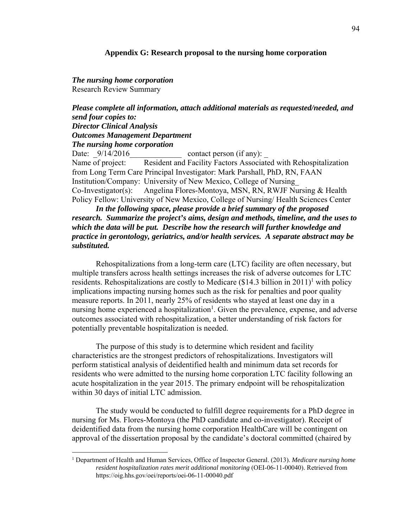#### **Appendix G: Research proposal to the nursing home corporation**

*The nursing home corporation*  Research Review Summary

1

*Please complete all information, attach additional materials as requested/needed, and send four copies to: Director Clinical Analysis Outcomes Management Department The nursing home corporation* 

Date:  $9/14/2016$  contact person (if any): Name of project: Resident and Facility Factors Associated with Rehospitalization from Long Term Care Principal Investigator: Mark Parshall, PhD, RN, FAAN Institution/Company: University of New Mexico, College of Nursing\_ Co-Investigator(s): Angelina Flores-Montoya, MSN, RN, RWJF Nursing & Health Policy Fellow: University of New Mexico, College of Nursing/ Health Sciences Center

*In the following space, please provide a brief summary of the proposed research. Summarize the project's aims, design and methods, timeline, and the uses to which the data will be put. Describe how the research will further knowledge and practice in gerontology, geriatrics, and/or health services. A separate abstract may be substituted.*

Rehospitalizations from a long-term care (LTC) facility are often necessary, but multiple transfers across health settings increases the risk of adverse outcomes for LTC residents. Rehospitalizations are costly to Medicare  $(\$14.3$  billion in  $2011$ <sup>1</sup> with policy implications impacting nursing homes such as the risk for penalties and poor quality measure reports. In 2011, nearly 25% of residents who stayed at least one day in a nursing home experienced a hospitalization<sup>1</sup>. Given the prevalence, expense, and adverse outcomes associated with rehospitalization, a better understanding of risk factors for potentially preventable hospitalization is needed.

The purpose of this study is to determine which resident and facility characteristics are the strongest predictors of rehospitalizations. Investigators will perform statistical analysis of deidentified health and minimum data set records for residents who were admitted to the nursing home corporation LTC facility following an acute hospitalization in the year 2015. The primary endpoint will be rehospitalization within 30 days of initial LTC admission.

The study would be conducted to fulfill degree requirements for a PhD degree in nursing for Ms. Flores-Montoya (the PhD candidate and co-investigator). Receipt of deidentified data from the nursing home corporation HealthCare will be contingent on approval of the dissertation proposal by the candidate's doctoral committed (chaired by

<sup>1</sup> Department of Health and Human Services, Office of Inspector General. (2013). *Medicare nursing home resident hospitalization rates merit additional monitoring* (OEI-06-11-00040). Retrieved from https://oig.hhs.gov/oei/reports/oei-06-11-00040.pdf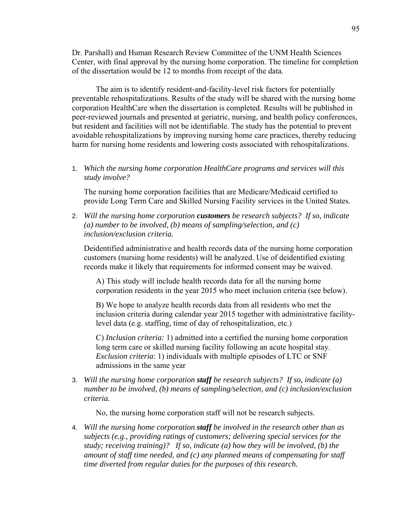Dr. Parshall) and Human Research Review Committee of the UNM Health Sciences Center, with final approval by the nursing home corporation. The timeline for completion of the dissertation would be 12 to months from receipt of the data.

The aim is to identify resident-and-facility-level risk factors for potentially preventable rehospitalizations. Results of the study will be shared with the nursing home corporation HealthCare when the dissertation is completed. Results will be published in peer-reviewed journals and presented at geriatric, nursing, and health policy conferences, but resident and facilities will not be identifiable. The study has the potential to prevent avoidable rehospitalizations by improving nursing home care practices, thereby reducing harm for nursing home residents and lowering costs associated with rehospitalizations.

1. *Which the nursing home corporation HealthCare programs and services will this study involve?* 

The nursing home corporation facilities that are Medicare/Medicaid certified to provide Long Term Care and Skilled Nursing Facility services in the United States.

2. *Will the nursing home corporation customers be research subjects? If so, indicate (a) number to be involved, (b) means of sampling/selection, and (c) inclusion/exclusion criteria.* 

Deidentified administrative and health records data of the nursing home corporation customers (nursing home residents) will be analyzed. Use of deidentified existing records make it likely that requirements for informed consent may be waived.

A) This study will include health records data for all the nursing home corporation residents in the year 2015 who meet inclusion criteria (see below).

B) We hope to analyze health records data from all residents who met the inclusion criteria during calendar year 2015 together with administrative facilitylevel data (e.g. staffing, time of day of rehospitalization, etc.)

C) *Inclusion criteria:* 1) admitted into a certified the nursing home corporation long term care or skilled nursing facility following an acute hospital stay. *Exclusion criteria*: 1) individuals with multiple episodes of LTC or SNF admissions in the same year

3. *Will the nursing home corporation staff be research subjects? If so, indicate (a) number to be involved, (b) means of sampling/selection, and (c) inclusion/exclusion criteria.* 

No, the nursing home corporation staff will not be research subjects.

4. *Will the nursing home corporation staff be involved in the research other than as subjects (e.g., providing ratings of customers; delivering special services for the study; receiving training)? If so, indicate (a) how they will be involved, (b) the amount of staff time needed, and (c) any planned means of compensating for staff time diverted from regular duties for the purposes of this research.*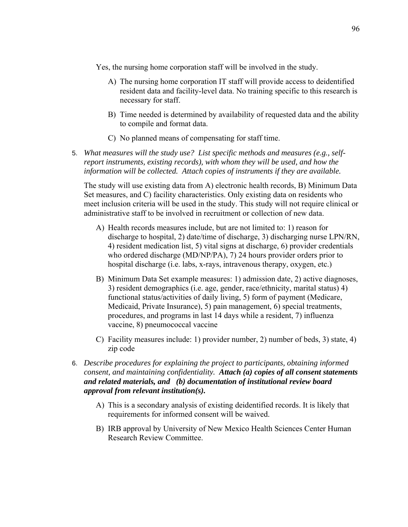Yes, the nursing home corporation staff will be involved in the study.

- A) The nursing home corporation IT staff will provide access to deidentified resident data and facility-level data. No training specific to this research is necessary for staff.
- B) Time needed is determined by availability of requested data and the ability to compile and format data.
- C) No planned means of compensating for staff time.
- 5. *What measures will the study use? List specific methods and measures (e.g., selfreport instruments, existing records), with whom they will be used, and how the information will be collected. Attach copies of instruments if they are available.*

The study will use existing data from A) electronic health records, B) Minimum Data Set measures, and C) facility characteristics. Only existing data on residents who meet inclusion criteria will be used in the study. This study will not require clinical or administrative staff to be involved in recruitment or collection of new data.

- A) Health records measures include, but are not limited to: 1) reason for discharge to hospital, 2) date/time of discharge, 3) discharging nurse LPN/RN, 4) resident medication list, 5) vital signs at discharge, 6) provider credentials who ordered discharge (MD/NP/PA), 7) 24 hours provider orders prior to hospital discharge (i.e. labs, x-rays, intravenous therapy, oxygen, etc.)
- B) Minimum Data Set example measures: 1) admission date, 2) active diagnoses, 3) resident demographics (i.e. age, gender, race/ethnicity, marital status) 4) functional status/activities of daily living, 5) form of payment (Medicare, Medicaid, Private Insurance), 5) pain management, 6) special treatments, procedures, and programs in last 14 days while a resident, 7) influenza vaccine, 8) pneumococcal vaccine
- C) Facility measures include: 1) provider number, 2) number of beds, 3) state, 4) zip code
- 6. *Describe procedures for explaining the project to participants, obtaining informed consent, and maintaining confidentiality. Attach (a) copies of all consent statements and related materials, and (b) documentation of institutional review board approval from relevant institution(s).* 
	- A) This is a secondary analysis of existing deidentified records. It is likely that requirements for informed consent will be waived.
	- B) IRB approval by University of New Mexico Health Sciences Center Human Research Review Committee.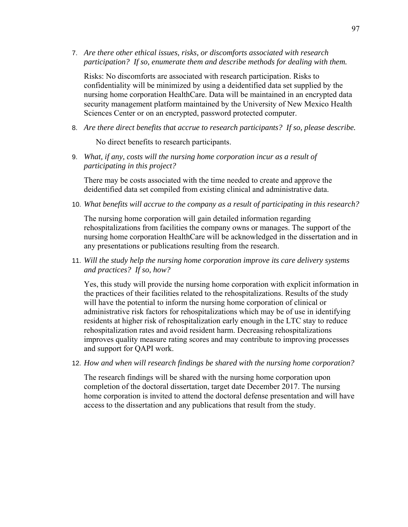7. *Are there other ethical issues, risks, or discomforts associated with research participation? If so, enumerate them and describe methods for dealing with them.* 

Risks: No discomforts are associated with research participation. Risks to confidentiality will be minimized by using a deidentified data set supplied by the nursing home corporation HealthCare. Data will be maintained in an encrypted data security management platform maintained by the University of New Mexico Health Sciences Center or on an encrypted, password protected computer.

8. *Are there direct benefits that accrue to research participants? If so, please describe.* 

No direct benefits to research participants.

9. *What, if any, costs will the nursing home corporation incur as a result of participating in this project?* 

There may be costs associated with the time needed to create and approve the deidentified data set compiled from existing clinical and administrative data.

10. *What benefits will accrue to the company as a result of participating in this research?* 

The nursing home corporation will gain detailed information regarding rehospitalizations from facilities the company owns or manages. The support of the nursing home corporation HealthCare will be acknowledged in the dissertation and in any presentations or publications resulting from the research.

11. *Will the study help the nursing home corporation improve its care delivery systems and practices? If so, how?* 

Yes, this study will provide the nursing home corporation with explicit information in the practices of their facilities related to the rehospitalizations. Results of the study will have the potential to inform the nursing home corporation of clinical or administrative risk factors for rehospitalizations which may be of use in identifying residents at higher risk of rehospitalization early enough in the LTC stay to reduce rehospitalization rates and avoid resident harm. Decreasing rehospitalizations improves quality measure rating scores and may contribute to improving processes and support for QAPI work.

12. *How and when will research findings be shared with the nursing home corporation?* 

The research findings will be shared with the nursing home corporation upon completion of the doctoral dissertation, target date December 2017. The nursing home corporation is invited to attend the doctoral defense presentation and will have access to the dissertation and any publications that result from the study.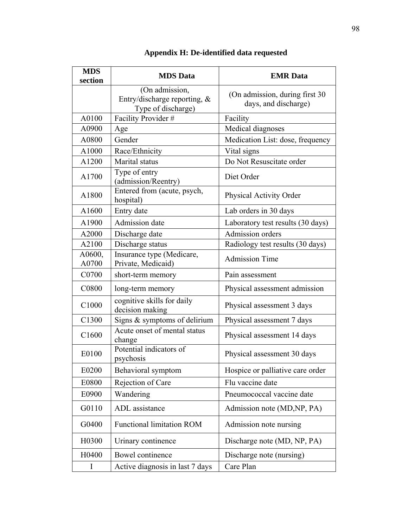| <b>MDS</b><br>section | <b>MDS</b> Data                                                      | <b>EMR</b> Data                                         |  |
|-----------------------|----------------------------------------------------------------------|---------------------------------------------------------|--|
|                       | (On admission,<br>Entry/discharge reporting, &<br>Type of discharge) | (On admission, during first 30)<br>days, and discharge) |  |
| A0100                 | Facility Provider #                                                  | Facility                                                |  |
| A0900                 | Age                                                                  | Medical diagnoses                                       |  |
| A0800                 | Gender                                                               | Medication List: dose, frequency                        |  |
| A1000                 | Race/Ethnicity                                                       | Vital signs                                             |  |
| A1200                 | Marital status                                                       | Do Not Resuscitate order                                |  |
| A1700                 | Type of entry<br>(admission/Reentry)                                 | Diet Order                                              |  |
| A1800                 | Entered from (acute, psych,<br>hospital)                             | Physical Activity Order                                 |  |
| A1600                 | Entry date                                                           | Lab orders in 30 days                                   |  |
| A1900                 | Admission date                                                       | Laboratory test results (30 days)                       |  |
| A2000                 | Discharge date                                                       | Admission orders                                        |  |
| A2100                 | Discharge status                                                     | Radiology test results (30 days)                        |  |
| A0600,<br>A0700       | Insurance type (Medicare,<br>Private, Medicaid)                      | <b>Admission Time</b>                                   |  |
| C0700                 | short-term memory                                                    | Pain assessment                                         |  |
| C0800                 | long-term memory                                                     | Physical assessment admission                           |  |
| C <sub>1000</sub>     | cognitive skills for daily<br>decision making                        | Physical assessment 3 days                              |  |
| C1300                 | Signs & symptoms of delirium                                         | Physical assessment 7 days                              |  |
| C <sub>1600</sub>     | Acute onset of mental status<br>change                               | Physical assessment 14 days                             |  |
| E0100                 | Potential indicators of<br>psychosis                                 | Physical assessment 30 days                             |  |
| E0200                 | Behavioral symptom                                                   | Hospice or palliative care order                        |  |
| E0800                 | Rejection of Care                                                    | Flu vaccine date                                        |  |
| E0900                 | Wandering                                                            | Pneumococcal vaccine date                               |  |
| G0110                 | ADL assistance                                                       | Admission note (MD, NP, PA)                             |  |
| G0400                 | <b>Functional limitation ROM</b>                                     | Admission note nursing                                  |  |
| H0300                 | Urinary continence                                                   | Discharge note (MD, NP, PA)                             |  |
| H0400                 | Bowel continence                                                     | Discharge note (nursing)                                |  |
|                       | Active diagnosis in last 7 days                                      | Care Plan                                               |  |

## **Appendix H: De-identified data requested**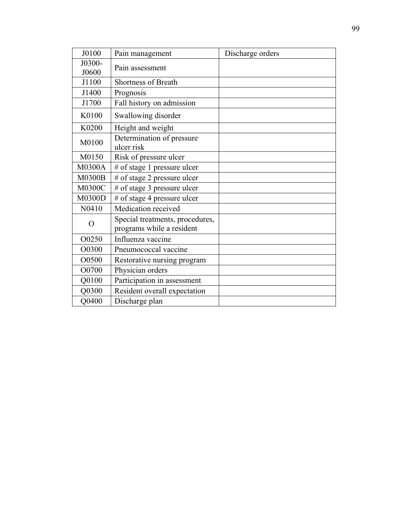| J0100           | Pain management                                              | Discharge orders |
|-----------------|--------------------------------------------------------------|------------------|
| J0300-<br>J0600 | Pain assessment                                              |                  |
| J1100           | <b>Shortness of Breath</b>                                   |                  |
| J1400           | Prognosis                                                    |                  |
| J1700           | Fall history on admission                                    |                  |
| K0100           | Swallowing disorder                                          |                  |
| K0200           | Height and weight                                            |                  |
| M0100           | Determination of pressure<br>ulcer risk                      |                  |
| M0150           | Risk of pressure ulcer                                       |                  |
| <b>M0300A</b>   | # of stage 1 pressure ulcer                                  |                  |
| <b>M0300B</b>   | # of stage 2 pressure ulcer                                  |                  |
| <b>M0300C</b>   | # of stage 3 pressure ulcer                                  |                  |
| <b>M0300D</b>   | # of stage 4 pressure ulcer                                  |                  |
| N0410           | Medication received                                          |                  |
| O               | Special treatments, procedures,<br>programs while a resident |                  |
| O0250           | Influenza vaccine                                            |                  |
| O0300           | Pneumococcal vaccine                                         |                  |
| O0500           | Restorative nursing program                                  |                  |
| O0700           | Physician orders                                             |                  |
| Q0100           | Participation in assessment                                  |                  |
| Q0300           | Resident overall expectation                                 |                  |
| Q0400           | Discharge plan                                               |                  |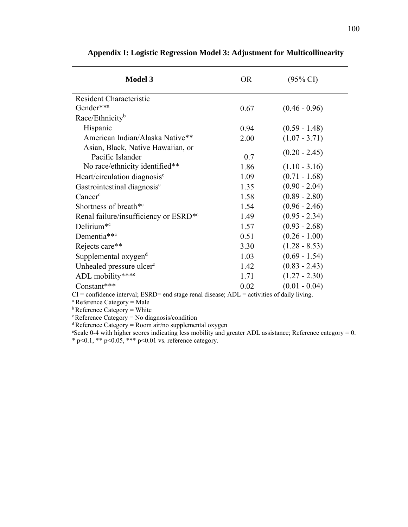| $\mathbf{F}$ , and $\mathbf{F}$ , and $\mathbf{F}$ , and $\mathbf{F}$ , and $\mathbf{F}$ , and $\mathbf{F}$ , and $\mathbf{F}$ , and $\mathbf{F}$ , and $\mathbf{F}$ |           |                     |  |  |
|----------------------------------------------------------------------------------------------------------------------------------------------------------------------|-----------|---------------------|--|--|
| <b>Model 3</b>                                                                                                                                                       | <b>OR</b> | $(95\% \text{ CI})$ |  |  |
| <b>Resident Characteristic</b>                                                                                                                                       |           |                     |  |  |
| Gender** <sup>a</sup>                                                                                                                                                | 0.67      | $(0.46 - 0.96)$     |  |  |
| Race/Ethnicity <sup>b</sup>                                                                                                                                          |           |                     |  |  |
| Hispanic                                                                                                                                                             | 0.94      | $(0.59 - 1.48)$     |  |  |
| American Indian/Alaska Native**                                                                                                                                      | 2.00      | $(1.07 - 3.71)$     |  |  |
| Asian, Black, Native Hawaiian, or<br>Pacific Islander                                                                                                                | 0.7       | $(0.20 - 2.45)$     |  |  |
| No race/ethnicity identified**                                                                                                                                       | 1.86      | $(1.10 - 3.16)$     |  |  |
| $H_{\alpha\alpha\tau}$ or diagonal diagonal $\mathfrak{c}$                                                                                                           | 1. QQ     | $(0.71 \quad 1.68)$ |  |  |

## **Appendix I: Logistic Regression Model 3: Adjustment for Multicollinearity**

| Race/Ethnicity <sup>b</sup>                           |      |                 |
|-------------------------------------------------------|------|-----------------|
| Hispanic                                              | 0.94 | $(0.59 - 1.48)$ |
| American Indian/Alaska Native**                       | 2.00 | $(1.07 - 3.71)$ |
| Asian, Black, Native Hawaiian, or<br>Pacific Islander | 0.7  | $(0.20 - 2.45)$ |
| No race/ethnicity identified**                        | 1.86 | $(1.10 - 3.16)$ |
| Heart/circulation diagnosis <sup>c</sup>              | 1.09 | $(0.71 - 1.68)$ |
| Gastrointestinal diagnosis <sup>c</sup>               | 1.35 | $(0.90 - 2.04)$ |
| Cancer <sup>c</sup>                                   | 1.58 | $(0.89 - 2.80)$ |
| Shortness of breath <sup>*c</sup>                     | 1.54 | $(0.96 - 2.46)$ |
| Renal failure/insufficiency or ESRD <sup>*c</sup>     | 1.49 | $(0.95 - 2.34)$ |
| Delirium <sup>*c</sup>                                | 1.57 | $(0.93 - 2.68)$ |
| Dementia** <sup>c</sup>                               | 0.51 | $(0.26 - 1.00)$ |
| Rejects care**                                        | 3.30 | $(1.28 - 8.53)$ |
| Supplemental oxygen <sup>d</sup>                      | 1.03 | $(0.69 - 1.54)$ |
| Unhealed pressure ulcer <sup>c</sup>                  | 1.42 | $(0.83 - 2.43)$ |
| ADL mobility***e                                      | 1.71 | $(1.27 - 2.30)$ |
| Constant***                                           | 0.02 | $(0.01 - 0.04)$ |

 $CI =$  confidence interval; ESRD= end stage renal disease;  $ADL =$  activities of daily living.

<sup>a</sup> Reference Category = Male

 $<sup>b</sup>$  Reference Category = White</sup>

c Reference Category = No diagnosis/condition

 $d$  Reference Category = Room air/no supplemental oxygen

 $\text{``Scale 0-4 with higher scores indicating less mobility and greater ADL assistance; Reference category} = 0.$ \* p<0.1, \*\* p<0.05, \*\*\* p<0.01 vs. reference category.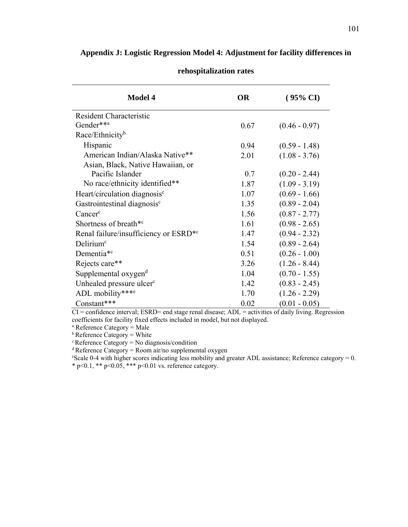| Appendix J: Logistic Regression Model 4: Adjustment for facility differences in |
|---------------------------------------------------------------------------------|
| rehospitalization rates                                                         |

| <b>Model 4</b>                                    | OR   | $(95\% \text{ CI})$ |
|---------------------------------------------------|------|---------------------|
| <b>Resident Characteristic</b>                    |      |                     |
| Gender**a                                         | 0.67 | $(0.46 - 0.97)$     |
| Race/Ethnicity <sup>b</sup>                       |      |                     |
| Hispanic                                          | 0.94 | $(0.59 - 1.48)$     |
| American Indian/Alaska Native**                   | 2.01 | $(1.08 - 3.76)$     |
| Asian, Black, Native Hawaiian, or                 |      |                     |
| Pacific Islander                                  | 0.7  | $(0.20 - 2.44)$     |
| No race/ethnicity identified**                    | 1.87 | $(1.09 - 3.19)$     |
| Heart/circulation diagnosis <sup>c</sup>          | 1.07 | $(0.69 - 1.66)$     |
| Gastrointestinal diagnosis <sup>c</sup>           | 1.35 | $(0.89 - 2.04)$     |
| Cancer <sup>c</sup>                               | 1.56 | $(0.87 - 2.77)$     |
| Shortness of breath <sup>*c</sup>                 | 1.61 | $(0.98 - 2.65)$     |
| Renal failure/insufficiency or ESRD <sup>*c</sup> | 1.47 | $(0.94 - 2.32)$     |
| Delirium <sup>c</sup>                             | 1.54 | $(0.89 - 2.64)$     |
| Dementia <sup>*c</sup>                            | 0.51 | $(0.26 - 1.00)$     |
| Rejects care**                                    | 3.26 | $(1.26 - 8.44)$     |
| Supplemental oxygen <sup>d</sup>                  | 1.04 | $(0.70 - 1.55)$     |
| Unhealed pressure ulcer <sup>c</sup>              | 1.42 | $(0.83 - 2.45)$     |
| ADL mobility***e                                  | 1.70 | $(1.26 - 2.29)$     |
| Constant***                                       | 0.02 | $(0.01 - 0.05)$     |

 $CI =$  confidence interval; ESRD= end stage renal disease;  $ADL =$  activities of daily living. Regression coefficients for facility fixed effects included in model, but not displayed.

a Reference Category = Male

 $<sup>b</sup>$  Reference Category = White</sup>

c Reference Category = No diagnosis/condition

 $d$  Reference Category = Room air/no supplemental oxygen

e Scale 0-4 with higher scores indicating less mobility and greater ADL assistance; Reference category = 0. \* p<0.1, \*\* p<0.05, \*\*\* p<0.01 vs. reference category.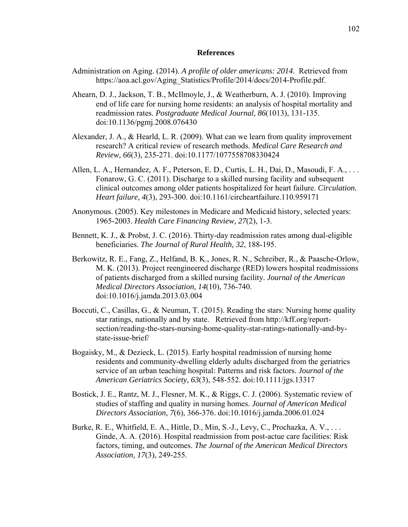## **References**

- Administration on Aging. (2014). *A profile of older americans: 2014*. Retrieved from https://aoa.acl.gov/Aging\_Statistics/Profile/2014/docs/2014-Profile.pdf.
- Ahearn, D. J., Jackson, T. B., McIlmoyle, J., & Weatherburn, A. J. (2010). Improving end of life care for nursing home residents: an analysis of hospital mortality and readmission rates. *Postgraduate Medical Journal, 86*(1013), 131-135. doi:10.1136/pgmj.2008.076430
- Alexander, J. A., & Hearld, L. R. (2009). What can we learn from quality improvement research? A critical review of research methods. *Medical Care Research and Review, 66*(3), 235-271. doi:10.1177/1077558708330424
- Allen, L. A., Hernandez, A. F., Peterson, E. D., Curtis, L. H., Dai, D., Masoudi, F. A., . . . Fonarow, G. C. (2011). Discharge to a skilled nursing facility and subsequent clinical outcomes among older patients hospitalized for heart failure. *Circulation. Heart failure, 4*(3), 293-300. doi:10.1161/circheartfailure.110.959171
- Anonymous. (2005). Key milestones in Medicare and Medicaid history, selected years: 1965-2003. *Health Care Financing Review, 27*(2), 1-3.
- Bennett, K. J., & Probst, J. C. (2016). Thirty-day readmission rates among dual-eligible beneficiaries. *The Journal of Rural Health, 32*, 188-195.
- Berkowitz, R. E., Fang, Z., Helfand, B. K., Jones, R. N., Schreiber, R., & Paasche-Orlow, M. K. (2013). Project reengineered discharge (RED) lowers hospital readmissions of patients discharged from a skilled nursing facility. *Journal of the American Medical Directors Association, 14*(10), 736-740. doi:10.1016/j.jamda.2013.03.004
- Boccuti, C., Casillas, G., & Neuman, T. (2015). Reading the stars: Nursing home quality star ratings, nationally and by state. Retrieved from http://kff.org/reportsection/reading-the-stars-nursing-home-quality-star-ratings-nationally-and-bystate-issue-brief/
- Bogaisky, M., & Dezieck, L. (2015). Early hospital readmission of nursing home residents and community-dwelling elderly adults discharged from the geriatrics service of an urban teaching hospital: Patterns and risk factors. *Journal of the American Geriatrics Society, 63*(3), 548-552. doi:10.1111/jgs.13317
- Bostick, J. E., Rantz, M. J., Flesner, M. K., & Riggs, C. J. (2006). Systematic review of studies of staffing and quality in nursing homes. *Journal of American Medical Directors Association, 7*(6), 366-376. doi:10.1016/j.jamda.2006.01.024
- Burke, R. E., Whitfield, E. A., Hittle, D., Min, S.-J., Levy, C., Prochazka, A. V., . . . Ginde, A. A. (2016). Hospital readmission from post-actue care facilities: Risk factors, timing, and outcomes. *The Journal of the American Medical Directors Association, 17*(3), 249-255.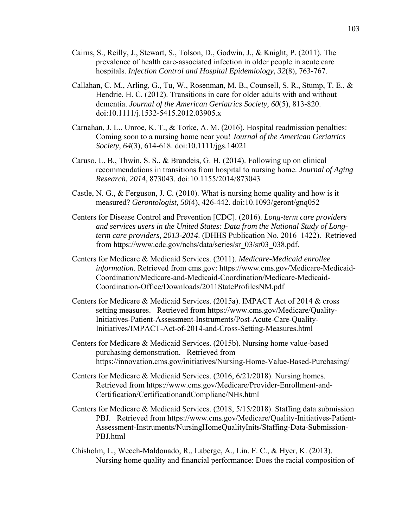- Cairns, S., Reilly, J., Stewart, S., Tolson, D., Godwin, J., & Knight, P. (2011). The prevalence of health care-associated infection in older people in acute care hospitals. *Infection Control and Hospital Epidemiology, 32*(8), 763-767.
- Callahan, C. M., Arling, G., Tu, W., Rosenman, M. B., Counsell, S. R., Stump, T. E., & Hendrie, H. C. (2012). Transitions in care for older adults with and without dementia. *Journal of the American Geriatrics Society, 60*(5), 813-820. doi:10.1111/j.1532-5415.2012.03905.x
- Carnahan, J. L., Unroe, K. T., & Torke, A. M. (2016). Hospital readmission penalties: Coming soon to a nursing home near you! *Journal of the American Geriatrics Society, 64*(3), 614-618. doi:10.1111/jgs.14021
- Caruso, L. B., Thwin, S. S., & Brandeis, G. H. (2014). Following up on clinical recommendations in transitions from hospital to nursing home. *Journal of Aging Research, 2014*, 873043. doi:10.1155/2014/873043
- Castle, N. G., & Ferguson, J. C. (2010). What is nursing home quality and how is it measured? *Gerontologist, 50*(4), 426-442. doi:10.1093/geront/gnq052
- Centers for Disease Control and Prevention [CDC]. (2016). *Long-term care providers and services users in the United States: Data from the National Study of Longterm care providers, 2013-2014*. (DHHS Publication No. 2016–1422). Retrieved from https://www.cdc.gov/nchs/data/series/sr\_03/sr03\_038.pdf.
- Centers for Medicare & Medicaid Services. (2011). *Medicare-Medicaid enrollee information*. Retrieved from cms.gov: https://www.cms.gov/Medicare-Medicaid-Coordination/Medicare-and-Medicaid-Coordination/Medicare-Medicaid-Coordination-Office/Downloads/2011StateProfilesNM.pdf
- Centers for Medicare & Medicaid Services. (2015a). IMPACT Act of 2014 & cross setting measures. Retrieved from https://www.cms.gov/Medicare/Quality-Initiatives-Patient-Assessment-Instruments/Post-Acute-Care-Quality-Initiatives/IMPACT-Act-of-2014-and-Cross-Setting-Measures.html
- Centers for Medicare & Medicaid Services. (2015b). Nursing home value-based purchasing demonstration. Retrieved from https://innovation.cms.gov/initiatives/Nursing-Home-Value-Based-Purchasing/
- Centers for Medicare & Medicaid Services. (2016, 6/21/2018). Nursing homes. Retrieved from https://www.cms.gov/Medicare/Provider-Enrollment-and-Certification/CertificationandComplianc/NHs.html
- Centers for Medicare & Medicaid Services. (2018, 5/15/2018). Staffing data submission PBJ. Retrieved from https://www.cms.gov/Medicare/Quality-Initiatives-Patient-Assessment-Instruments/NursingHomeQualityInits/Staffing-Data-Submission-PBJ.html
- Chisholm, L., Weech-Maldonado, R., Laberge, A., Lin, F. C., & Hyer, K. (2013). Nursing home quality and financial performance: Does the racial composition of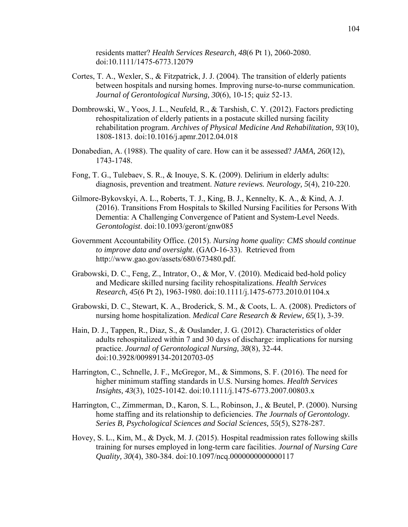residents matter? *Health Services Research, 48*(6 Pt 1), 2060-2080. doi:10.1111/1475-6773.12079

- Cortes, T. A., Wexler, S., & Fitzpatrick, J. J. (2004). The transition of elderly patients between hospitals and nursing homes. Improving nurse-to-nurse communication. *Journal of Gerontological Nursing, 30*(6), 10-15; quiz 52-13.
- Dombrowski, W., Yoos, J. L., Neufeld, R., & Tarshish, C. Y. (2012). Factors predicting rehospitalization of elderly patients in a postacute skilled nursing facility rehabilitation program. *Archives of Physical Medicine And Rehabilitation, 93*(10), 1808-1813. doi:10.1016/j.apmr.2012.04.018
- Donabedian, A. (1988). The quality of care. How can it be assessed? *JAMA, 260*(12), 1743-1748.
- Fong, T. G., Tulebaev, S. R., & Inouye, S. K. (2009). Delirium in elderly adults: diagnosis, prevention and treatment. *Nature reviews. Neurology, 5*(4), 210-220.
- Gilmore-Bykovskyi, A. L., Roberts, T. J., King, B. J., Kennelty, K. A., & Kind, A. J. (2016). Transitions From Hospitals to Skilled Nursing Facilities for Persons With Dementia: A Challenging Convergence of Patient and System-Level Needs. *Gerontologist*. doi:10.1093/geront/gnw085
- Government Accountability Office. (2015). *Nursing home quality: CMS should continue to improve data and oversight*. (GAO-16-33). Retrieved from http://www.gao.gov/assets/680/673480.pdf.
- Grabowski, D. C., Feng, Z., Intrator, O., & Mor, V. (2010). Medicaid bed-hold policy and Medicare skilled nursing facility rehospitalizations. *Health Services Research, 45*(6 Pt 2), 1963-1980. doi:10.1111/j.1475-6773.2010.01104.x
- Grabowski, D. C., Stewart, K. A., Broderick, S. M., & Coots, L. A. (2008). Predictors of nursing home hospitalization. *Medical Care Research & Review, 65*(1), 3-39.
- Hain, D. J., Tappen, R., Diaz, S., & Ouslander, J. G. (2012). Characteristics of older adults rehospitalized within 7 and 30 days of discharge: implications for nursing practice. *Journal of Gerontological Nursing, 38*(8), 32-44. doi:10.3928/00989134-20120703-05
- Harrington, C., Schnelle, J. F., McGregor, M., & Simmons, S. F. (2016). The need for higher minimum staffing standards in U.S. Nursing homes. *Health Services Insights, 43*(3), 1025-10142. doi:10.1111/j.1475-6773.2007.00803.x
- Harrington, C., Zimmerman, D., Karon, S. L., Robinson, J., & Beutel, P. (2000). Nursing home staffing and its relationship to deficiencies. *The Journals of Gerontology. Series B, Psychological Sciences and Social Sciences, 55*(5), S278-287.
- Hovey, S. L., Kim, M., & Dyck, M. J. (2015). Hospital readmission rates following skills training for nurses employed in long-term care facilities. *Journal of Nursing Care Quality, 30*(4), 380-384. doi:10.1097/ncq.0000000000000117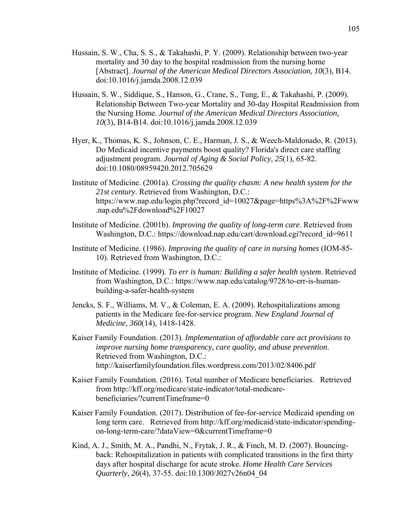- Hussain, S. W., Cha, S. S., & Takahashi, P. Y. (2009). Relationship between two-year mortality and 30 day to the hospital readmission from the nursing home [Abstract]. *Journal of the American Medical Directors Association, 10*(3), B14. doi:10.1016/j.jamda.2008.12.039
- Hussain, S. W., Siddique, S., Hanson, G., Crane, S., Tung, E., & Takahashi, P. (2009). Relationship Between Two-year Mortality and 30-day Hospital Readmission from the Nursing Home. *Journal of the American Medical Directors Association, 10*(3), B14-B14. doi:10.1016/j.jamda.2008.12.039
- Hyer, K., Thomas, K. S., Johnson, C. E., Harman, J. S., & Weech-Maldonado, R. (2013). Do Medicaid incentive payments boost quality? Florida's direct care staffing adjustment program. *Journal of Aging & Social Policy, 25*(1), 65-82. doi:10.1080/08959420.2012.705629
- Institute of Medicine. (2001a). *Crossing the quality chasm: A new health system for the 21st century*. Retrieved from Washington, D.C.: https://www.nap.edu/login.php?record\_id=10027&page=https%3A%2F%2Fwww .nap.edu%2Fdownload%2F10027
- Institute of Medicine. (2001b). *Improving the quality of long-term care*. Retrieved from Washington, D.C.: https://download.nap.edu/cart/download.cgi?record\_id=9611
- Institute of Medicine. (1986). *Improving the quality of care in nursing homes* (IOM-85- 10). Retrieved from Washington, D.C.:
- Institute of Medicine. (1999). *To err is human: Building a safer health system*. Retrieved from Washington, D.C.: https://www.nap.edu/catalog/9728/to-err-is-humanbuilding-a-safer-health-system
- Jencks, S. F., Williams, M. V., & Coleman, E. A. (2009). Rehospitalizations among patients in the Medicare fee-for-service program. *New England Journal of Medicine, 360*(14), 1418-1428.
- Kaiser Family Foundation. (2013). *Implementation of affordable care act provisions to improve nursing home transparency, care quality, and abuse prevention*. Retrieved from Washington, D.C.: http://kaiserfamilyfoundation.files.wordpress.com/2013/02/8406.pdf
- Kaiser Family Foundation. (2016). Total number of Medicare beneficiaries. Retrieved from http://kff.org/medicare/state-indicator/total-medicarebeneficiaries/?currentTimeframe=0
- Kaiser Family Foundation. (2017). Distribution of fee-for-service Medicaid spending on long term care. Retrieved from http://kff.org/medicaid/state-indicator/spendingon-long-term-care/?dataView=0&currentTimeframe=0
- Kind, A. J., Smith, M. A., Pandhi, N., Frytak, J. R., & Finch, M. D. (2007). Bouncingback: Rehospitalization in patients with complicated transitions in the first thirty days after hospital discharge for acute stroke. *Home Health Care Services Quarterly, 26*(4), 37-55. doi:10.1300/J027v26n04\_04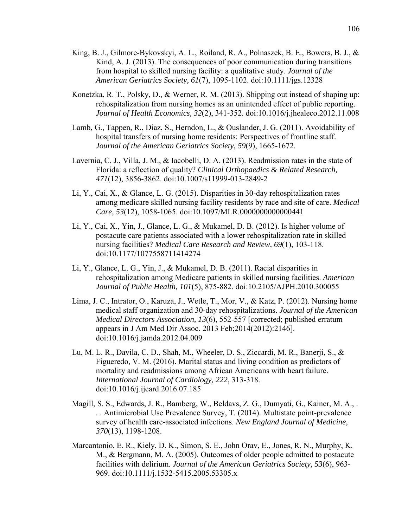- King, B. J., Gilmore-Bykovskyi, A. L., Roiland, R. A., Polnaszek, B. E., Bowers, B. J., & Kind, A. J. (2013). The consequences of poor communication during transitions from hospital to skilled nursing facility: a qualitative study. *Journal of the American Geriatrics Society, 61*(7), 1095-1102. doi:10.1111/jgs.12328
- Konetzka, R. T., Polsky, D., & Werner, R. M. (2013). Shipping out instead of shaping up: rehospitalization from nursing homes as an unintended effect of public reporting. *Journal of Health Economics, 32*(2), 341-352. doi:10.1016/j.jhealeco.2012.11.008
- Lamb, G., Tappen, R., Diaz, S., Herndon, L., & Ouslander, J. G. (2011). Avoidability of hospital transfers of nursing home residents: Perspectives of frontline staff. *Journal of the American Geriatrics Society, 59*(9), 1665-1672.
- Lavernia, C. J., Villa, J. M., & Iacobelli, D. A. (2013). Readmission rates in the state of Florida: a reflection of quality? *Clinical Orthopaedics & Related Research, 471*(12), 3856-3862. doi:10.1007/s11999-013-2849-2
- Li, Y., Cai, X., & Glance, L. G. (2015). Disparities in 30-day rehospitalization rates among medicare skilled nursing facility residents by race and site of care. *Medical Care, 53*(12), 1058-1065. doi:10.1097/MLR.0000000000000441
- Li, Y., Cai, X., Yin, J., Glance, L. G., & Mukamel, D. B. (2012). Is higher volume of postacute care patients associated with a lower rehospitalization rate in skilled nursing facilities? *Medical Care Research and Review, 69*(1), 103-118. doi:10.1177/1077558711414274
- Li, Y., Glance, L. G., Yin, J., & Mukamel, D. B. (2011). Racial disparities in rehospitalization among Medicare patients in skilled nursing facilities. *American Journal of Public Health, 101*(5), 875-882. doi:10.2105/AJPH.2010.300055
- Lima, J. C., Intrator, O., Karuza, J., Wetle, T., Mor, V., & Katz, P. (2012). Nursing home medical staff organization and 30-day rehospitalizations. *Journal of the American Medical Directors Association, 13*(6), 552-557 [corrected; published erratum appears in J Am Med Dir Assoc. 2013 Feb;2014(2012):2146]. doi:10.1016/j.jamda.2012.04.009
- Lu, M. L. R., Davila, C. D., Shah, M., Wheeler, D. S., Ziccardi, M. R., Banerji, S., & Figueredo, V. M. (2016). Marital status and living condition as predictors of mortality and readmissions among African Americans with heart failure. *International Journal of Cardiology, 222*, 313-318. doi:10.1016/j.ijcard.2016.07.185
- Magill, S. S., Edwards, J. R., Bamberg, W., Beldavs, Z. G., Dumyati, G., Kainer, M. A., . . . Antimicrobial Use Prevalence Survey, T. (2014). Multistate point-prevalence survey of health care-associated infections. *New England Journal of Medicine, 370*(13), 1198-1208.
- Marcantonio, E. R., Kiely, D. K., Simon, S. E., John Orav, E., Jones, R. N., Murphy, K. M., & Bergmann, M. A. (2005). Outcomes of older people admitted to postacute facilities with delirium. *Journal of the American Geriatrics Society, 53*(6), 963- 969. doi:10.1111/j.1532-5415.2005.53305.x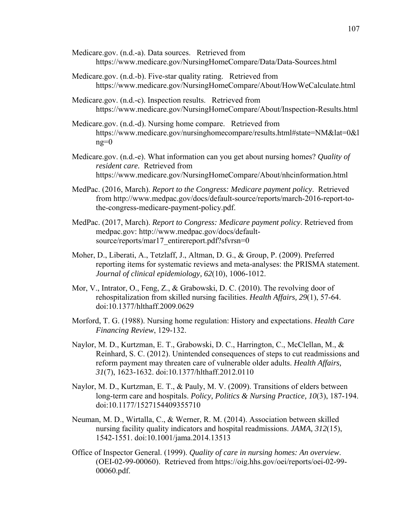- Medicare.gov. (n.d.-a). Data sources. Retrieved from https://www.medicare.gov/NursingHomeCompare/Data/Data-Sources.html
- Medicare.gov. (n.d.-b). Five-star quality rating. Retrieved from https://www.medicare.gov/NursingHomeCompare/About/HowWeCalculate.html
- Medicare.gov. (n.d.-c). Inspection results. Retrieved from https://www.medicare.gov/NursingHomeCompare/About/Inspection-Results.html
- Medicare.gov. (n.d.-d). Nursing home compare. Retrieved from https://www.medicare.gov/nursinghomecompare/results.html#state=NM&lat=0&l  $ng=0$
- Medicare.gov. (n.d.-e). What information can you get about nursing homes? *Quality of resident care.* Retrieved from https://www.medicare.gov/NursingHomeCompare/About/nhcinformation.html
- MedPac. (2016, March). *Report to the Congress: Medicare payment policy*. Retrieved from http://www.medpac.gov/docs/default-source/reports/march-2016-report-tothe-congress-medicare-payment-policy.pdf.
- MedPac. (2017, March). *Report to Congress: Medicare payment policy*. Retrieved from medpac.gov: http://www.medpac.gov/docs/defaultsource/reports/mar17\_entirereport.pdf?sfvrsn=0
- Moher, D., Liberati, A., Tetzlaff, J., Altman, D. G., & Group, P. (2009). Preferred reporting items for systematic reviews and meta-analyses: the PRISMA statement. *Journal of clinical epidemiology, 62*(10), 1006-1012.
- Mor, V., Intrator, O., Feng, Z., & Grabowski, D. C. (2010). The revolving door of rehospitalization from skilled nursing facilities. *Health Affairs, 29*(1), 57-64. doi:10.1377/hlthaff.2009.0629
- Morford, T. G. (1988). Nursing home regulation: History and expectations. *Health Care Financing Review*, 129-132.
- Naylor, M. D., Kurtzman, E. T., Grabowski, D. C., Harrington, C., McClellan, M., & Reinhard, S. C. (2012). Unintended consequences of steps to cut readmissions and reform payment may threaten care of vulnerable older adults. *Health Affairs, 31*(7), 1623-1632. doi:10.1377/hlthaff.2012.0110
- Naylor, M. D., Kurtzman, E. T., & Pauly, M. V. (2009). Transitions of elders between long-term care and hospitals. *Policy, Politics & Nursing Practice, 10*(3), 187-194. doi:10.1177/1527154409355710
- Neuman, M. D., Wirtalla, C., & Werner, R. M. (2014). Association between skilled nursing facility quality indicators and hospital readmissions. *JAMA, 312*(15), 1542-1551. doi:10.1001/jama.2014.13513
- Office of Inspector General. (1999). *Quality of care in nursing homes: An overview*. (OEI-02-99-00060). Retrieved from https://oig.hhs.gov/oei/reports/oei-02-99- 00060.pdf.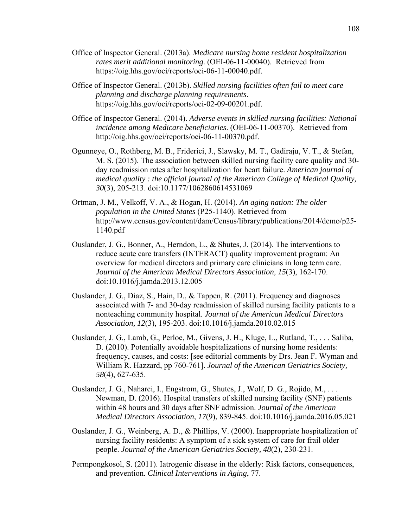- Office of Inspector General. (2013a). *Medicare nursing home resident hospitalization rates merit additional monitoring*. (OEI-06-11-00040). Retrieved from https://oig.hhs.gov/oei/reports/oei-06-11-00040.pdf.
- Office of Inspector General. (2013b). *Skilled nursing facilities often fail to meet care planning and discharge planning requirements*. https://oig.hhs.gov/oei/reports/oei-02-09-00201.pdf.
- Office of Inspector General. (2014). *Adverse events in skilled nursing facilities: National incidence among Medicare beneficiaries*. (OEI-06-11-00370). Retrieved from http://oig.hhs.gov/oei/reports/oei-06-11-00370.pdf.
- Ogunneye, O., Rothberg, M. B., Friderici, J., Slawsky, M. T., Gadiraju, V. T., & Stefan, M. S. (2015). The association between skilled nursing facility care quality and 30 day readmission rates after hospitalization for heart failure. *American journal of medical quality : the official journal of the American College of Medical Quality, 30*(3), 205-213. doi:10.1177/1062860614531069
- Ortman, J. M., Velkoff, V. A., & Hogan, H. (2014). *An aging nation: The older population in the United States* (P25-1140). Retrieved from http://www.census.gov/content/dam/Census/library/publications/2014/demo/p25- 1140.pdf
- Ouslander, J. G., Bonner, A., Herndon, L., & Shutes, J. (2014). The interventions to reduce acute care transfers (INTERACT) quality improvement program: An overview for medical directors and primary care clinicians in long term care. *Journal of the American Medical Directors Association, 15*(3), 162-170. doi:10.1016/j.jamda.2013.12.005
- Ouslander, J. G., Diaz, S., Hain, D., & Tappen, R. (2011). Frequency and diagnoses associated with 7- and 30-day readmission of skilled nursing facility patients to a nonteaching community hospital. *Journal of the American Medical Directors Association, 12*(3), 195-203. doi:10.1016/j.jamda.2010.02.015
- Ouslander, J. G., Lamb, G., Perloe, M., Givens, J. H., Kluge, L., Rutland, T., . . . Saliba, D. (2010). Potentially avoidable hospitalizations of nursing home residents: frequency, causes, and costs: [see editorial comments by Drs. Jean F. Wyman and William R. Hazzard, pp 760-761]. *Journal of the American Geriatrics Society, 58*(4), 627-635.
- Ouslander, J. G., Naharci, I., Engstrom, G., Shutes, J., Wolf, D. G., Rojido, M., . . . Newman, D. (2016). Hospital transfers of skilled nursing facility (SNF) patients within 48 hours and 30 days after SNF admission. *Journal of the American Medical Directors Association, 17*(9), 839-845. doi:10.1016/j.jamda.2016.05.021
- Ouslander, J. G., Weinberg, A. D., & Phillips, V. (2000). Inappropriate hospitalization of nursing facility residents: A symptom of a sick system of care for frail older people. *Journal of the American Geriatrics Society, 48*(2), 230-231.
- Permpongkosol, S. (2011). Iatrogenic disease in the elderly: Risk factors, consequences, and prevention. *Clinical Interventions in Aging*, 77.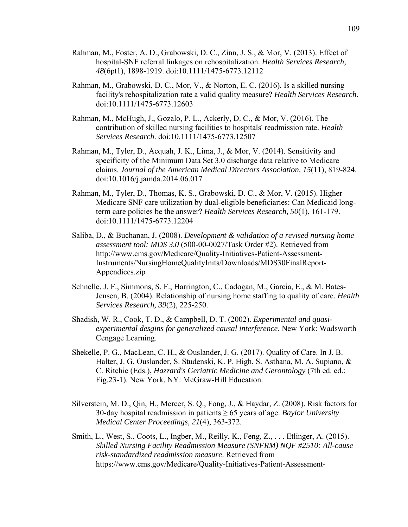- Rahman, M., Foster, A. D., Grabowski, D. C., Zinn, J. S., & Mor, V. (2013). Effect of hospital-SNF referral linkages on rehospitalization. *Health Services Research, 48*(6pt1), 1898-1919. doi:10.1111/1475-6773.12112
- Rahman, M., Grabowski, D. C., Mor, V., & Norton, E. C. (2016). Is a skilled nursing facility's rehospitalization rate a valid quality measure? *Health Services Research*. doi:10.1111/1475-6773.12603
- Rahman, M., McHugh, J., Gozalo, P. L., Ackerly, D. C., & Mor, V. (2016). The contribution of skilled nursing facilities to hospitals' readmission rate. *Health Services Research*. doi:10.1111/1475-6773.12507
- Rahman, M., Tyler, D., Acquah, J. K., Lima, J., & Mor, V. (2014). Sensitivity and specificity of the Minimum Data Set 3.0 discharge data relative to Medicare claims. *Journal of the American Medical Directors Association, 15*(11), 819-824. doi:10.1016/j.jamda.2014.06.017
- Rahman, M., Tyler, D., Thomas, K. S., Grabowski, D. C., & Mor, V. (2015). Higher Medicare SNF care utilization by dual-eligible beneficiaries: Can Medicaid longterm care policies be the answer? *Health Services Research, 50*(1), 161-179. doi:10.1111/1475-6773.12204
- Saliba, D., & Buchanan, J. (2008). *Development & validation of a revised nursing home assessment tool: MDS 3.0* (500-00-0027/Task Order #2). Retrieved from http://www.cms.gov/Medicare/Quality-Initiatives-Patient-Assessment-Instruments/NursingHomeQualityInits/Downloads/MDS30FinalReport-Appendices.zip
- Schnelle, J. F., Simmons, S. F., Harrington, C., Cadogan, M., Garcia, E., & M. Bates-Jensen, B. (2004). Relationship of nursing home staffing to quality of care. *Health Services Research, 39*(2), 225-250.
- Shadish, W. R., Cook, T. D., & Campbell, D. T. (2002). *Experimental and quasiexperimental desgins for generalized causal interference*. New York: Wadsworth Cengage Learning.
- Shekelle, P. G., MacLean, C. H., & Ouslander, J. G. (2017). Quality of Care. In J. B. Halter, J. G. Ouslander, S. Studenski, K. P. High, S. Asthana, M. A. Supiano, & C. Ritchie (Eds.), *Hazzard's Geriatric Medicine and Gerontology* (7th ed. ed.; Fig.23-1). New York, NY: McGraw-Hill Education.
- Silverstein, M. D., Qin, H., Mercer, S. Q., Fong, J., & Haydar, Z. (2008). Risk factors for 30-day hospital readmission in patients ≥ 65 years of age. *Baylor University Medical Center Proceedings, 21*(4), 363-372.
- Smith, L., West, S., Coots, L., Ingber, M., Reilly, K., Feng, Z., . . . Etlinger, A. (2015). *Skilled Nursing Facility Readmission Measure (SNFRM) NQF #2510: All-cause risk-standardized readmission measure*. Retrieved from https://www.cms.gov/Medicare/Quality-Initiatives-Patient-Assessment-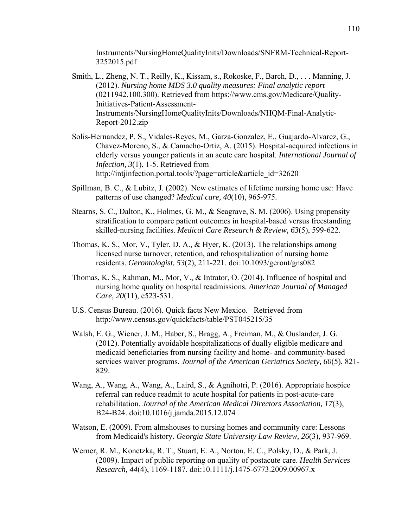Instruments/NursingHomeQualityInits/Downloads/SNFRM-Technical-Report-3252015.pdf

- Smith, L., Zheng, N. T., Reilly, K., Kissam, s., Rokoske, F., Barch, D., . . . Manning, J. (2012). *Nursing home MDS 3.0 quality measures: Final analytic report* (0211942.100.300). Retrieved from https://www.cms.gov/Medicare/Quality-Initiatives-Patient-Assessment-Instruments/NursingHomeQualityInits/Downloads/NHQM-Final-Analytic-Report-2012.zip
- Solis-Hernandez, P. S., Vidales-Reyes, M., Garza-Gonzalez, E., Guajardo-Alvarez, G., Chavez-Moreno, S., & Camacho-Ortiz, A. (2015). Hospital-acquired infections in elderly versus younger patients in an acute care hospital. *International Journal of Infection, 3*(1), 1-5. Retrieved from http://intjinfection.portal.tools/?page=article&article\_id=32620
- Spillman, B. C.,  $\&$  Lubitz, J. (2002). New estimates of lifetime nursing home use: Have patterns of use changed? *Medical care, 40*(10), 965-975.
- Stearns, S. C., Dalton, K., Holmes, G. M., & Seagrave, S. M. (2006). Using propensity stratification to compare patient outcomes in hospital-based versus freestanding skilled-nursing facilities. *Medical Care Research & Review, 63*(5), 599-622.
- Thomas, K. S., Mor, V., Tyler, D. A., & Hyer, K. (2013). The relationships among licensed nurse turnover, retention, and rehospitalization of nursing home residents. *Gerontologist, 53*(2), 211-221. doi:10.1093/geront/gns082
- Thomas, K. S., Rahman, M., Mor, V., & Intrator, O. (2014). Influence of hospital and nursing home quality on hospital readmissions. *American Journal of Managed Care, 20*(11), e523-531.
- U.S. Census Bureau. (2016). Quick facts New Mexico. Retrieved from http://www.census.gov/quickfacts/table/PST045215/35
- Walsh, E. G., Wiener, J. M., Haber, S., Bragg, A., Freiman, M., & Ouslander, J. G. (2012). Potentially avoidable hospitalizations of dually eligible medicare and medicaid beneficiaries from nursing facility and home- and community-based services waiver programs. *Journal of the American Geriatrics Society, 60*(5), 821- 829.
- Wang, A., Wang, A., Wang, A., Laird, S., & Agnihotri, P. (2016). Appropriate hospice referral can reduce readmit to acute hospital for patients in post-acute-care rehabilitation. *Journal of the American Medical Directors Association, 17*(3), B24-B24. doi:10.1016/j.jamda.2015.12.074
- Watson, E. (2009). From almshouses to nursing homes and community care: Lessons from Medicaid's history. *Georgia State University Law Review, 26*(3), 937-969.
- Werner, R. M., Konetzka, R. T., Stuart, E. A., Norton, E. C., Polsky, D., & Park, J. (2009). Impact of public reporting on quality of postacute care. *Health Services Research, 44*(4), 1169-1187. doi:10.1111/j.1475-6773.2009.00967.x